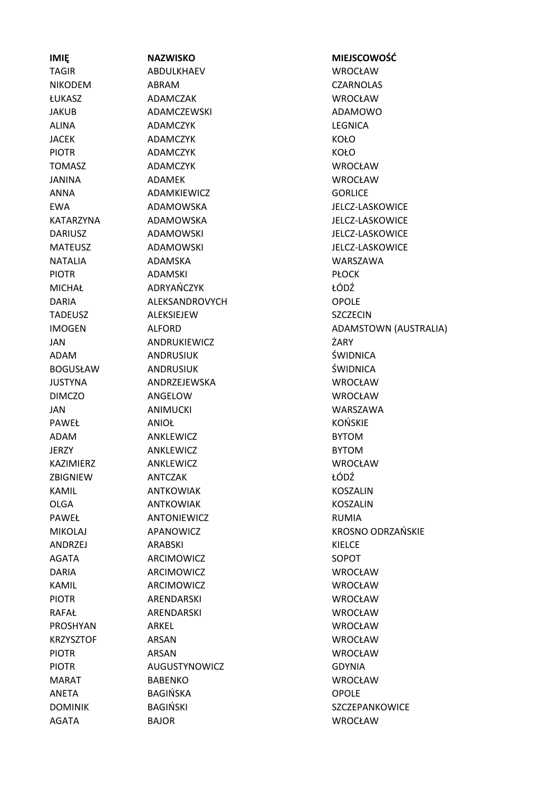**IMIĘ NAZWISKO MIEJSCOWOŚĆ** TAGIR ABDULKHAEV WROCŁAW NIKODEM ABRAM CZARNOLAS ŁUKASZ ADAMCZAK WROCŁAW JAKUB ADAMCZEWSKI ADAMOWO ALINA ADAMCZYK LEGNICA JACEK ADAMCZYK KOŁO PIOTR ADAMCZYK KOŁO TOMASZ ADAMCZYK WROCŁAW JANINA ADAMEK WROCŁAW ANNA ADAMKIEWICZ GORLICE EWA ADAMOWSKA JELCZ-LASKOWICE KATARZYNA ADAMOWSKA JELCZ-LASKOWICE DARIUSZ ADAMOWSKI JELCZ-LASKOWICE MATEUSZ ADAMOWSKI JELCZ-LASKOWICE NATALIA ADAMSKA WARSZAWA PIOTR ADAMSKI PIOTR PLOCK MICHAŁ ADRYAŃCZYK ŁÓDŹ DARIA ALEKSANDROVYCH OPOLE TADEUSZ ALEKSIEJEW SZCZECIN JAN ANDRUKIEWICZ ŻARY ADAM ANDRUSIUK ŚWIDNICA BOGUSŁAW ANDRUSIUK ŚWIDNICA JUSTYNA ANDRZEJEWSKA WROCŁAW DIMCZO ANGELOW WROCŁAW JAN ANIMUCKI WARSZAWA PAWEŁ ANIOŁ KOŃSKIE ADAM ANKLEWICZ BYTOM JERZY ANKLEWICZ BYTOM KAZIMIERZ ANKLEWICZ WROCŁAW ZBIGNIEW ANTCZAK ŁÓDŹ KAMIL ANTKOWIAK KOSZALIN OLGA ANTKOWIAK KOSZALIN PAWEŁ ANTONIEWICZ RUMIA ANDRZEJ ARABSKI KIELCE AGATA ARCIMOWICZ SOPOT DARIA ARCIMOWICZ WROCŁAW KAMIL ARCIMOWICZ WROCŁAW PIOTR ARENDARSKI WROCŁAW RAFAŁ ARENDARSKI WROCŁAW PROSHYAN ARKEL WROCŁAW KRZYSZTOF ARSAN WROCŁAW PIOTR ARSAN ARSAN WROCŁAW PIOTR AUGUSTYNOWICZ GDYNIA MARAT BABENKO WROCŁAW ANETA BAGIŃSKA OPOLE DOMINIK BAGIŃSKI SZCZEPANKOWICE AGATA BAJOR WROCŁAW

IMOGEN ALFORD AND ADAMSTOWN (AUSTRALIA) MIKOLAJ APANOWICZ KROSNO ODRZAŃSKIE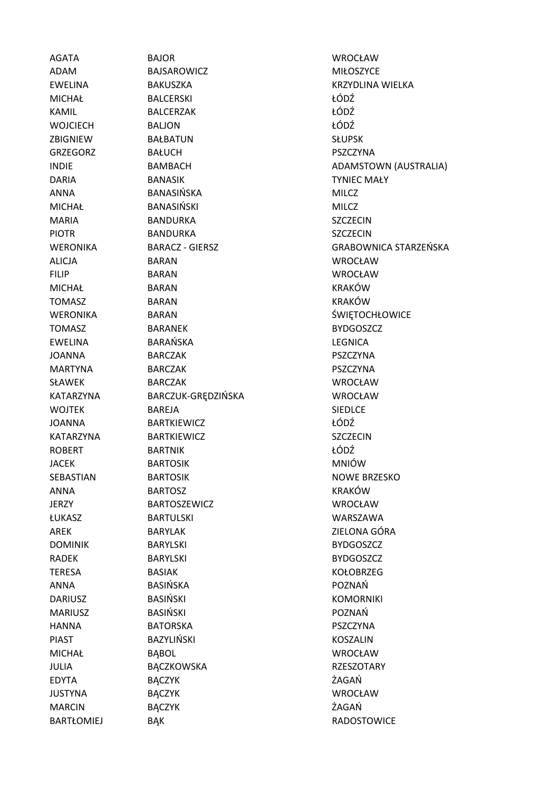AGATA BAJOR WROCŁAW

ADAM BAJSAROWICZ MIŁOSZYCE EWELINA BAKUSZKA KRZYDLINA WIELKA MICHAŁ BALCERSKI ŁÓDŹ KAMIL BALCERZAK ŁÓDŹ WOJCIECH BALJON ŁÓDŹ ZBIGNIEW BAŁBATUN SŁUPSK GRZEGORZ BAŁUCH PSZCZYNA DARIA BANASIK TYNIEC MAŁY ANNA BANASIŃSKA MILCZ MICHAŁ BANASIŃSKI MILCZ MARIA BANDURKA SZCZECIN PIOTR BANDURKA SZCZECIN ALICJA BARAN WROCŁAW FILIP BARAN WROCŁAW MICHAŁ BARAN BARAN KRAKÓW TOMASZ BARAN KRAKÓW WERONIKA BARAN **BARAN** SWIETOCHŁOWICE TOMASZ BARANEK BYDGOSZCZ EWELINA BARAŃSKA LEGNICA JOANNA BARCZAK PSZCZYNA MARTYNA BARCZAK PSZCZYNA SŁAWEK BARCZAK WROCŁAW KATARZYNA BARCZUK-GRĘDZIŃSKA WROCŁAW WOJTEK BAREJA BAREJA SIEDLCE JOANNA BARTKIEWICZ ŁÓDŹ KATARZYNA BARTKIEWICZ SZCZECIN ROBERT BARTNIK ŁÓDŹ JACEK BARTOSIK MNIÓW SEBASTIAN BARTOSIK NOWE BRZESKO ANNA BARTOSZ KRAKÓW JERZY BARTOSZEWICZ WROCŁAW ŁUKASZ BARTULSKI WARSZAWA AREK BARYLAK ZIFI ONA GÓRA DOMINIK BARYLSKI BYDGOSZCZ RADEK BARYLSKI BYDGOSZCZ TERESA BASIAK KOŁOBRZEG ANNA BASIŃSKA POZNAŃ DARIUSZ BASIŃSKI KOMORNIKI MARIUSZ BASIŃSKI POZNAŃ HANNA BATORSKA PSZCZYNA PIAST BAZYLIŃSKI KOSZALIN MICHAŁ BĄBOL WROCŁAW JULIA BĄCZKOWSKA RZESZOTARY EDYTA BĄCZYK ŻAGAŃ JUSTYNA BĄCZYK WROCŁAW MARCIN BĄCZYK ŻAGAŃ BARTŁOMIEJ BĄK RADOSTOWICE

INDIE BAMBACH BAMENA HADAMSTOWN (AUSTRALIA) WERONIKA BARACZ - GIERSZ GRABOWNICA STARZEŃSKA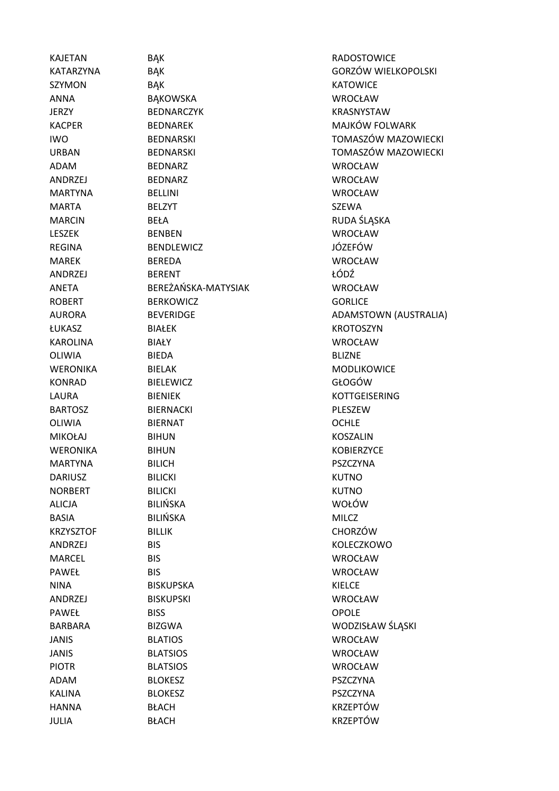HANNA BŁACH KRZEPTÓW JULIA BŁACH KRZEPTÓW

KAJETAN BAK BAK RADOSTOWICE SZYMON BĄK BĄK KATOWICE ANNA BĄKOWSKA WROCŁAW JERZY BEDNARCZYK KRASNYSTAW KACPER BEDNAREK MAJKÓW FOLWARK ADAM BEDNARZ WROCŁAW ANDRZEJ BEDNARZ WROCŁAW MARTYNA BELLINI WROCŁAW MARTA BELZYT BELZYT SZEWA MARCIN BEŁA BEŁA RUDA ŚLĄSKA LESZEK BENBEN WROCŁAW REGINA BENDLEWICZ JÓZEFÓW MAREK BEREDA WROCŁAW ANDRZEJ BERENT ŁÓDŹ ANETA BEREŻAŃSKA-MATYSIAK WROCŁAW ROBERT BERKOWICZ GORLICE ŁUKASZ BIAŁEK KROTOSZYN KAROLINA BIAŁY WROCŁAW OLIWIA BIEDA BLIZNE WERONIKA BIELAK BIELAK MODLIKOWICE KONRAD BIELEWICZ GŁOGÓW LAURA BIENIEK EN KOTTGEISERING BARTOSZ BIERNACKI PLESZEW OLIWIA BIERNAT OCHLE MIKOŁAJ BIHUN KOSZALIN WERONIKA BIHUN BIHUN KOBIERZYCE MARTYNA BILICH PSZCZYNA DARIUSZ BILICKI METALOGISTA BILICKI KUTNO NORBERT BILICKI BILICKI KUTNO ALICJA BILIŃSKA WOŁÓW BASIA BILIŃSKA MILCZ KRZYSZTOF BILLIK CHORZÓW ANDRZEJ BIS KOLECZKOWO MARCEL BIS WROCŁAW PAWEŁ BIS WROCŁAW NINA BISKUPSKA KIELCE ANDRZEJ BISKUPSKI WROCŁAW PAWEŁ BISS OPOLE BARBARA BIZGWA WODZISŁAW ŚLĄSKI JANIS BLATIOS WROCŁAW JANIS BLATSIOS WROCŁAW PIOTR BLATSIOS WROCŁAW ADAM BLOKESZ PSZCZYNA KALINA BLOKESZ PSZCZYNA

KATARZYNA BAK BAK GORZÓW WIELKOPOLSKI IWO BEDNARSKI BEOGRAFI BEDNARSKI KOMASZÓW MAZOWIECKI URBAN BEDNARSKI TOMASZÓW MAZOWIECKI AURORA BEVERIDGE BEVERIDGE ADAMSTOWN (AUSTRALIA)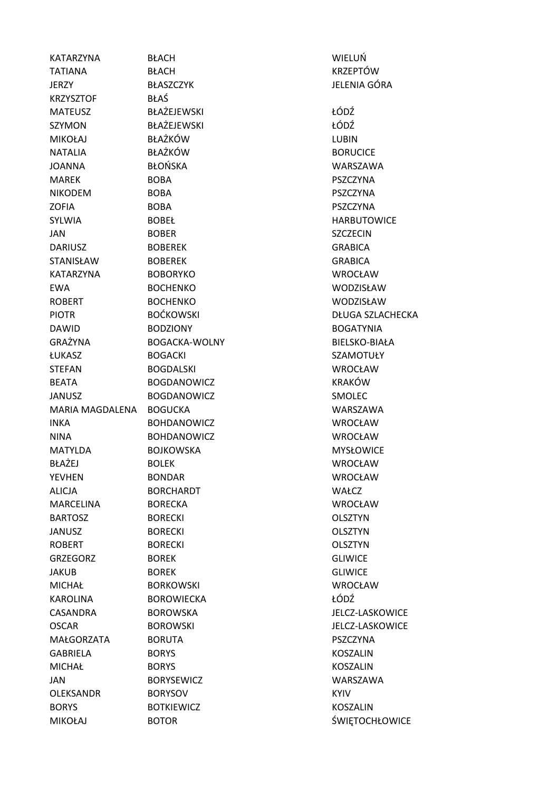| KATARZYNA        | <b>BŁACH</b>         | WIELUŃ                  |
|------------------|----------------------|-------------------------|
| <b>TATIANA</b>   | <b>BŁACH</b>         | <b>KRZEPTÓW</b>         |
| <b>JERZY</b>     | <b>BŁASZCZYK</b>     | JELENIA GÓRA            |
| <b>KRZYSZTOF</b> | <b>BŁAŚ</b>          |                         |
| <b>MATEUSZ</b>   | BŁAŻEJEWSKI          | ŁÓDŹ                    |
| SZYMON           | BŁAŻEJEWSKI          | ŁÓDŹ                    |
| <b>MIKOŁAJ</b>   | <b>BŁAŻKÓW</b>       | <b>LUBIN</b>            |
| <b>NATALIA</b>   | <b>BŁAŻKÓW</b>       | <b>BORUCICE</b>         |
| <b>JOANNA</b>    | <b>BŁOŃSKA</b>       | WARSZAWA                |
| <b>MAREK</b>     | <b>BOBA</b>          | <b>PSZCZYNA</b>         |
| <b>NIKODEM</b>   | <b>BOBA</b>          | <b>PSZCZYNA</b>         |
| <b>ZOFIA</b>     | <b>BOBA</b>          | <b>PSZCZYNA</b>         |
| <b>SYLWIA</b>    | <b>BOBEŁ</b>         | <b>HARBUTOWICE</b>      |
| JAN              | <b>BOBER</b>         | <b>SZCZECIN</b>         |
| <b>DARIUSZ</b>   | <b>BOBEREK</b>       | <b>GRABICA</b>          |
| <b>STANISŁAW</b> | <b>BOBEREK</b>       | <b>GRABICA</b>          |
| <b>KATARZYNA</b> | <b>BOBORYKO</b>      | <b>WROCŁAW</b>          |
| <b>EWA</b>       | <b>BOCHENKO</b>      | WODZISŁAW               |
| <b>ROBERT</b>    | <b>BOCHENKO</b>      | WODZISŁAW               |
| <b>PIOTR</b>     | <b>BOĆKOWSKI</b>     | <b>DŁUGA SZLACHECKA</b> |
| <b>DAWID</b>     | <b>BODZIONY</b>      | <b>BOGATYNIA</b>        |
| GRAŻYNA          | <b>BOGACKA-WOLNY</b> | BIELSKO-BIAŁA           |
| ŁUKASZ           | <b>BOGACKI</b>       | <b>SZAMOTUŁY</b>        |
| <b>STEFAN</b>    | <b>BOGDALSKI</b>     | <b>WROCŁAW</b>          |
| <b>BEATA</b>     | <b>BOGDANOWICZ</b>   | <b>KRAKÓW</b>           |
| <b>JANUSZ</b>    | <b>BOGDANOWICZ</b>   | SMOLEC                  |
| MARIA MAGDALENA  | <b>BOGUCKA</b>       | WARSZAWA                |
| <b>INKA</b>      | <b>BOHDANOWICZ</b>   | <b>WROCŁAW</b>          |
| <b>NINA</b>      | <b>BOHDANOWICZ</b>   | <b>WROCŁAW</b>          |
| <b>MATYLDA</b>   | <b>BOJKOWSKA</b>     | <b>MYSŁOWICE</b>        |
| BŁAŻEJ           | <b>BOLEK</b>         | <b>WROCŁAW</b>          |
| <b>YEVHEN</b>    | <b>BONDAR</b>        | <b>WROCŁAW</b>          |
| <b>ALICJA</b>    | <b>BORCHARDT</b>     | WAŁCZ                   |
| <b>MARCELINA</b> | <b>BORECKA</b>       | <b>WROCŁAW</b>          |
| <b>BARTOSZ</b>   | <b>BORECKI</b>       | <b>OLSZTYN</b>          |
| <b>JANUSZ</b>    | <b>BORECKI</b>       | <b>OLSZTYN</b>          |
| <b>ROBERT</b>    | <b>BORECKI</b>       | <b>OLSZTYN</b>          |
| <b>GRZEGORZ</b>  | <b>BOREK</b>         | <b>GLIWICE</b>          |
| <b>JAKUB</b>     | <b>BOREK</b>         | <b>GLIWICE</b>          |
| <b>MICHAŁ</b>    | <b>BORKOWSKI</b>     | WROCŁAW                 |
| KAROLINA         | <b>BOROWIECKA</b>    | ŁÓDŹ                    |
| CASANDRA         | <b>BOROWSKA</b>      | JELCZ-LASKOWICE         |
| <b>OSCAR</b>     | <b>BOROWSKI</b>      | <b>JELCZ-LASKOWICE</b>  |
| MAŁGORZATA       | <b>BORUTA</b>        | <b>PSZCZYNA</b>         |
| <b>GABRIELA</b>  | <b>BORYS</b>         | <b>KOSZALIN</b>         |
| <b>MICHAŁ</b>    | <b>BORYS</b>         | <b>KOSZALIN</b>         |
| JAN              | <b>BORYSEWICZ</b>    | WARSZAWA                |
| OLEKSANDR        | <b>BORYSOV</b>       | <b>KYIV</b>             |
| <b>BORYS</b>     | <b>BOTKIEWICZ</b>    | <b>KOSZALIN</b>         |
| <b>MIKOŁAJ</b>   | <b>BOTOR</b>         | ŚWIĘTOCHŁOWICE          |
|                  |                      |                         |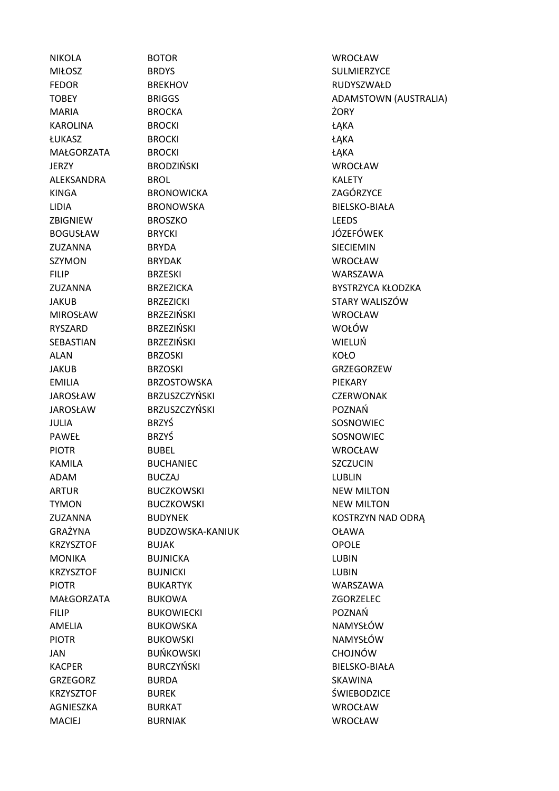MIŁOSZ BRDYS SULMIERZYCE FEDOR BREKHOV RUDYSZWAŁD MARIA BROCKA ŻORY KAROLINA BROCKI ŁĄKA ŁUKASZ BROCKI ŁĄKA MAŁGORZATA BROCKI ŁĄKA JERZY BRODZIŃSKI WROCŁAW ALEKSANDRA BROL KALETY KINGA BRONOWICKA ZAGÓRZYCE LIDIA BRONOWSKA BIELSKO-BIAŁA ZBIGNIEW BROSZKO LEEDS BOGUSŁAW BRYCKI STOROGO BRYCKI STOROGO DO NASTALA DO BRYCKI STOROGO DO NASTALA DO DO DO NASTALA DO DO DO DO DO ZUZANNA BRYDA SIECIEMIN SZYMON BRYDAK WROCŁAW FILIP BRZESKI WARSZAWA MIROSŁAW BRZEZIŃSKI WROCŁAW RYSZARD BRZEZIŃSKI WOŁÓW SEBASTIAN BRZEZIŃSKI WIELUŃ ALAN BRZOSKI KOŁO JAKUB BRZOSKI GRZEGORZEW EMILIA BRZOSTOWSKA PIEKARY JAROSŁAW BRZUSZCZYŃSKI CZERWONAK JAROSŁAW BRZUSZCZYŃSKI POZNAŃ JULIA BRZYŚ SOSNOWIEC PAWEŁ BRZYŚ BRZYŚ SOSNOWIEC PIOTR BUBEL WROCŁAW KAMILA BUCHANIEC SZCZUCIN ADAM BUCZAJ ROMANIA BUGZAJ LUBLIN ARTUR BUCZKOWSKI NEW MILTON TYMON BUCZKOWSKI NEW MILTON GRAŻYNA BUDZOWSKA-KANIUK OŁAWA KRZYSZTOF BUJAK OPOLE MONIKA BUJNICKA LUBIN KRZYSZTOF BUJNICKI LUBIN PIOTR BUKARTYK WARSZAWA MAŁGORZATA BUKOWA ZGORZELEC FILIP BUKOWIECKI POZNAŃ AMELIA BUKOWSKA NAMYSŁÓW PIOTR BUKOWSKI NAMYSŁÓW JAN BUŃKOWSKI CHOJNÓW KACPER BURCZYŃSKI BIELSKO-BIAŁA GRZEGORZ BURDA SKAWINA KRZYSZTOF BUREK ŚWIEBODZICE AGNIESZKA BURKAT WROCŁAW

NIKOLA BOTOR WROCŁAW TOBEY BRIGGS BRIGGS ADAMSTOWN (AUSTRALIA) ZUZANNA BRZEZICKA BYSTRZYCA KŁODZKA JAKUB BRZEZICKI STARY WALISZÓW ZUZANNA BUDYNEK KOSTRZYN NAD ODRĄ MACIEJ BURNIAK WROCŁAW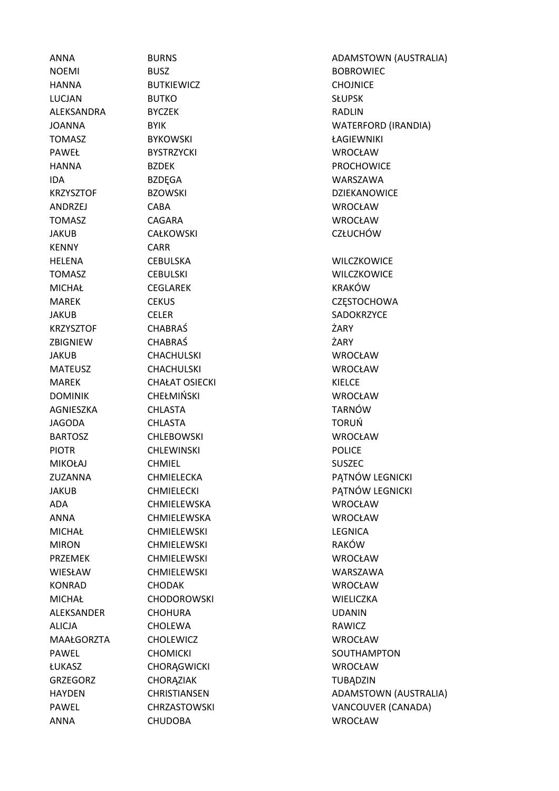KENNY CARR

NOEMI BUSZ BOBROWIEC HANNA BUTKIEWICZ CHOJNICE LUCJAN BUTKO SŁUPSK ALEKSANDRA BYCZEK RADLIN TOMASZ BYKOWSKI ŁAGIEWNIKI PAWEŁ BYSTRZYCKI WROCŁAW HANNA BZDEK PROCHOWICE IDA BZDĘGA WARSZAWA ANDRZEJ CABA WROCŁAW TOMASZ CAGARA WROCŁAW JAKUB CAŁKOWSKI CZŁUCHÓW HELENA CEBULSKA WILCZKOWICE TOMASZ CEBULSKI WILCZKOWICE MICHAŁ CEGLAREK KRAKÓW JAKUB CELER SADOKRZYCE KRZYSZTOF CHABRAŚ ŻARY ZBIGNIEW CHABRAŚ ŻARY JAKUB CHACHULSKI WROCŁAW MATEUSZ CHACHULSKI WROCŁAW MAREK CHAŁAT OSIECKI KIELCE DOMINIK CHEŁMIŃSKI WROCŁAW AGNIESZKA CHLASTA TARNÓW JAGODA CHLASTA TORUŃ BARTOSZ CHLEBOWSKI WROCŁAW PIOTR CHLEWINSKI CHEWINSKI POLICE MIKOŁAJ CHMIEL SUSZEC ADA CHMIELEWSKA WROCŁAW ANNA CHMIELEWSKA WROCŁAW MICHAŁ CHMIELEWSKI LEGNICA MIRON CHMIELEWSKI CHOROGEN RAKÓW PRZEMEK CHMIELEWSKI WROCŁAW WIESŁAW CHMIELEWSKI WARSZAWA KONRAD CHODAK WROCŁAW MICHAŁ CHODOROWSKI WIELICZKA ALEKSANDER CHOHURA UDANIN ALICJA CHOLEWA RAWICZ MAAŁGORZTA CHOLEWICZ WROCŁAW ŁUKASZ CHORĄGWICKI WROCŁAW GRZEGORZ CHORĄZIAK TUBĄDZIN

ANNA BURNS ADAMSTOWN (AUSTRALIA) JOANNA BYIK WATERFORD (IRANDIA) KRZYSZTOF BZOWSKI DZIEKANOWICE MAREK CEKUS CZĘSTOCHOWA ZUZANNA CHMIELECKA PATNÓW LEGNICKI JAKUB CHMIELECKI PĄTNÓW LEGNICKI PAWEL CHOMICKI CHOMICKI SOUTHAMPTON HAYDEN CHRISTIANSEN ADAMSTOWN (AUSTRALIA) PAWEL CHRZASTOWSKI VANCOUVER (CANADA) ANNA CHUDOBA WROCŁAW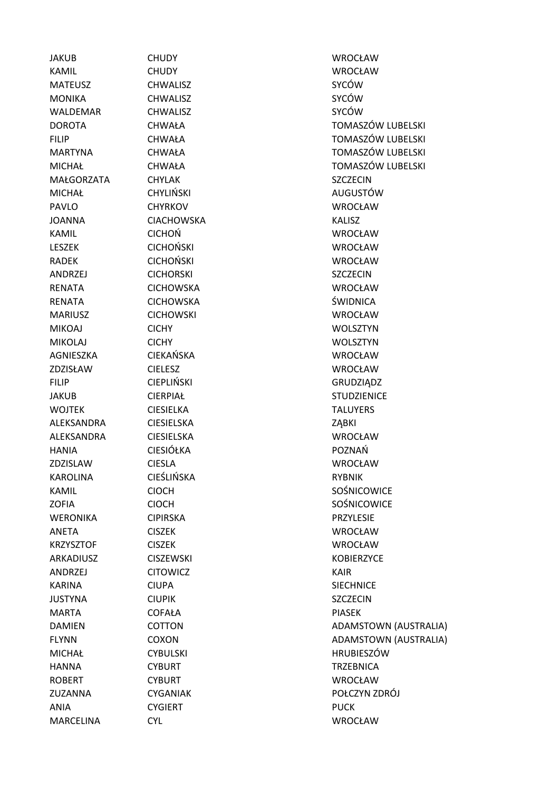JAKUB CHUDY WROCŁAW KAMIL CHUDY WROCŁAW MATEUSZ CHWALISZ SYCÓW MONIKA CHWALISZ SYCÓW WALDEMAR CHWALISZ SYCÓW MAŁGORZATA CHYLAK CHEZATA CHYLAK SZCZECIN MICHAŁ CHYLIŃSKI AUGUSTÓW PAVLO CHYRKOV WROCŁAW JOANNA CIACHOWSKA KALISZ KAMIL CICHOŃ WROCŁAW LESZEK CICHOŃSKI WROCŁAW RADEK CICHOŃSKI WROCŁAW ANDRZEJ CICHORSKI SZCZECIN RENATA CICHOWSKA WROCŁAW RENATA CICHOWSKA ŚWIDNICA MARIUSZ CICHOWSKI WROCŁAW MIKOAJ CICHY WOLSZTYN MIKOLAJ CICHY WOLSZTYN AGNIESZKA CIEKAŃSKA WROCŁAW ZDZISŁAW CIELESZ WROCŁAW FILIP CIEPLIŃSKI GRUDZIĄDZ JAKUB CIERPIAŁ STUDZIENICE WOJTEK CIESIELKA TALUYERS ALEKSANDRA CIESIELSKA ZĄBKI ALEKSANDRA CIESIELSKA WROCŁAW HANIA CIESIÓŁKA POZNAŃ ZDZISLAW CIESLA WROCŁAW KAROLINA CIEŚLIŃSKA RYBNIK KAMIL CIOCH SOŚNICOWICE ZOFIA CIOCH SOŚNICOWICE WERONIKA CIPIRSKA PRZYLESIE ANETA CISZEK WROCŁAW KRZYSZTOF CISZEK WROCŁAW ARKADIUSZ CISZEWSKI KOBIERZYCE ANDRZEJ CITOWICZ KAIR KARINA CIUPA SIECHNICE JUSTYNA CIUPIK SZCZECIN MARTA COFAŁA COFAŁA PIASEK MICHAŁ CYBULSKI CYBULSKI HRUBIESZÓW HANNA CYBURT CONSTRUCT CONSTRUCT CONSTRUCT CONSTRUCT CONSTRUCT CONSTRUCT CONSTRUCT CONSTRUCT CONSTRUCT CONSTRUCT CONSTRUCT CONSTRUCT CONSTRUCT CONSTRUCT CONSTRUCT CONSTRUCT CONSTRUCT CONSTRUCT CONSTRUCT CONSTRUCT CONSTRUCT ROBERT CYBURT WROCŁAW ANIA CYGIERT **Example 2018** MARCELINA CYL WROCŁAW

DOROTA CHWAŁA TOMASZÓW LUBELSKI FILIP CHWAŁA TOMASZÓW LUBELSKI MARTYNA CHWAŁA TOMASZÓW LUBELSKI MICHAŁ CHWAŁA TOMASZÓW LUBELSKI DAMIEN COTTON COTTON ADAMSTOWN (AUSTRALIA) FLYNN COXON ADAMSTOWN (AUSTRALIA) ZUZANNA CYGANIAK POŁCZYN ZDRÓJ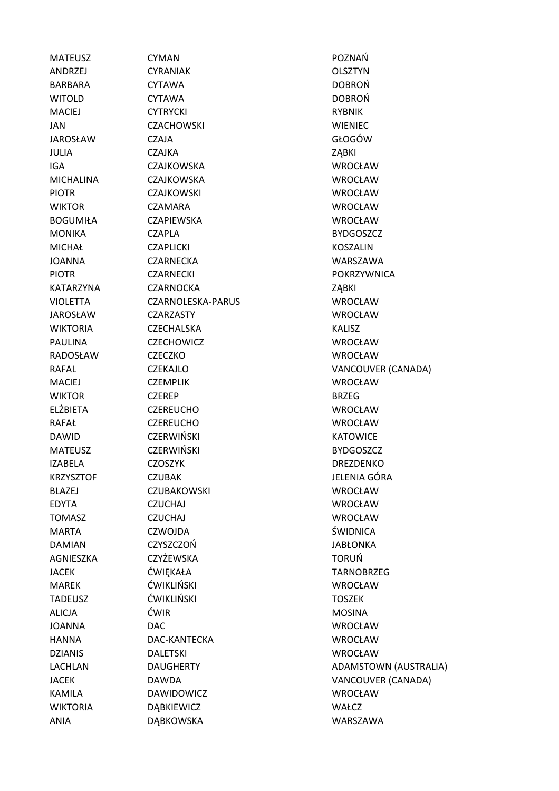MATEUSZ CYMAN POZNAŃ ANDRZEJ CYRANIAK OLSZTYN BARBARA CYTAWA DOBROŃ WITOLD CYTAWA CYTAWA DOBROŃ MACIEJ CYTRYCKI RYBNIK JAN CZACHOWSKI WIENIEC JAROSŁAW CZAJA GŁOGÓW JULIA CZAJKA ZĄBKI IGA CZAJKOWSKA WROCŁAW MICHALINA CZAJKOWSKA WROCŁAW PIOTR CZAJKOWSKI WROCŁAW WIKTOR CZAMARA WROCŁAW BOGUMIŁA CZAPIEWSKA WROCŁAW MONIKA CZAPLA BYDGOSZCZ MICHAŁ CZAPLICKI KOSZALIN JOANNA CZARNECKA WARSZAWA PIOTR CZARNECKI POKRZYWNICA KATARZYNA CZARNOCKA ZABKI VIOLETTA CZARNOLESKA-PARUS WROCŁAW JAROSŁAW CZARZASTY WROCŁAW WIKTORIA CZECHALSKA KALISZ PAULINA CZECHOWICZ WROCŁAW RADOSŁAW CZECZKO WROCŁAW MACIEJ CZEMPLIK WROCŁAW WIKTOR CZEREP BRZEG ELŻBIETA CZEREUCHO WROCŁAW RAFAŁ CZEREUCHO WROCŁAW DAWID CZERWIŃSKI KATOWICE MATEUSZ CZERWIŃSKI BYDGOSZCZ IZABELA CZOSZYK DREZDENKO KRZYSZTOF CZUBAK **INGERIA GÓRA** JELENIA GÓRA BLAZEJ CZUBAKOWSKI WROCŁAW EDYTA CZUCHAJ WROCŁAW TOMASZ CZUCHAJ WROCŁAW MARTA CZWOJDA ŚWIDNICA DAMIAN CZYSZCZOŃ JABŁONKA AGNIESZKA CZYŻEWSKA TORUŃ JACEK ĆWIĘKAŁA TARNOBRZEG MAREK ĆWIKLIŃSKI WROCŁAW TADEUSZ ĆWIKLIŃSKI TOSZEK ALICJA ĆWIR ĆWIR MOSINA JOANNA DAC WROCŁAW HANNA DAC-KANTECKA WROCŁAW DZIANIS DALETSKI WROCŁAW KAMILA DAWIDOWICZ WROCŁAW WIKTORIA DĄBKIEWICZ WIKTORIA DĄBKIEWICZ ANIA DĄBKOWSKA WARSZAWA

RAFAL CZEKAJLO VANCOUVER (CANADA) LACHLAN DAUGHERTY ADAMSTOWN (AUSTRALIA) JACEK DAWDA VANCOUVER (CANADA)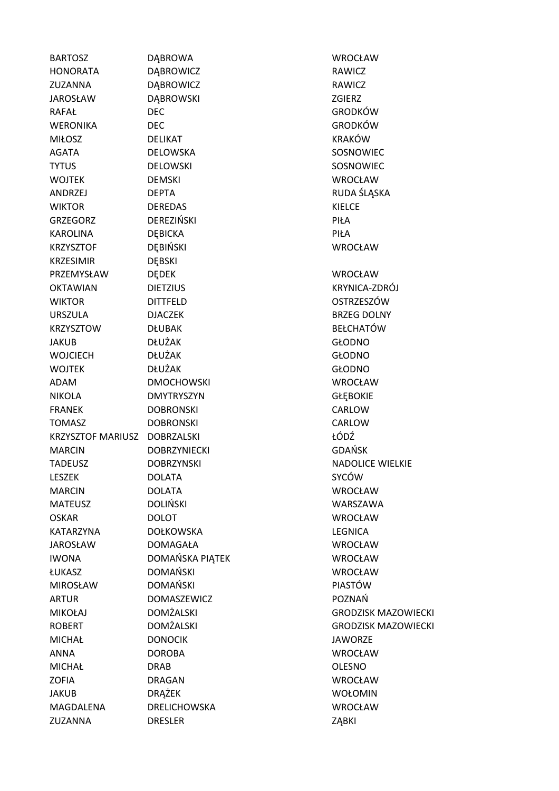| <b>BARTOSZ</b>               | DĄBROWA             | <b>WROCŁAW</b>             |
|------------------------------|---------------------|----------------------------|
| <b>HONORATA</b>              | DĄBROWICZ           | RAWICZ                     |
| ZUZANNA                      | <b>DABROWICZ</b>    | <b>RAWICZ</b>              |
| <b>JAROSŁAW</b>              | DĄBROWSKI           | <b>ZGIERZ</b>              |
| RAFAŁ                        | <b>DEC</b>          | <b>GRODKÓW</b>             |
| <b>WERONIKA</b>              | <b>DEC</b>          | <b>GRODKÓW</b>             |
| <b>MIŁOSZ</b>                | <b>DELIKAT</b>      | <b>KRAKÓW</b>              |
| <b>AGATA</b>                 | DELOWSKA            | SOSNOWIEC                  |
| <b>TYTUS</b>                 | <b>DELOWSKI</b>     | SOSNOWIEC                  |
| <b>WOJTEK</b>                | <b>DEMSKI</b>       | <b>WROCŁAW</b>             |
| ANDRZEJ                      | <b>DEPTA</b>        | RUDA ŚLĄSKA                |
| <b>WIKTOR</b>                | <b>DEREDAS</b>      | <b>KIELCE</b>              |
| <b>GRZEGORZ</b>              | DEREZIŃSKI          | PIŁA                       |
| <b>KAROLINA</b>              | <b>DEBICKA</b>      | PIŁA                       |
| <b>KRZYSZTOF</b>             | DĘBIŃSKI            | <b>WROCŁAW</b>             |
| <b>KRZESIMIR</b>             | <b>DĘBSKI</b>       |                            |
| PRZEMYSŁAW                   | <b>DEDEK</b>        | <b>WROCŁAW</b>             |
| <b>OKTAWIAN</b>              | <b>DIETZIUS</b>     | KRYNICA-ZDRÓJ              |
| <b>WIKTOR</b>                | <b>DITTFELD</b>     | OSTRZESZÓW                 |
| <b>URSZULA</b>               | <b>DJACZEK</b>      | <b>BRZEG DOLNY</b>         |
| <b>KRZYSZTOW</b>             | <b>DŁUBAK</b>       | <b>BEŁCHATÓW</b>           |
| <b>JAKUB</b>                 | <b>DŁUŻAK</b>       | <b>GŁODNO</b>              |
| <b>WOJCIECH</b>              | <b>DŁUŻAK</b>       | <b>GŁODNO</b>              |
| <b>WOJTEK</b>                | <b>DŁUŻAK</b>       | <b>GŁODNO</b>              |
| <b>ADAM</b>                  | <b>DMOCHOWSKI</b>   | <b>WROCŁAW</b>             |
| <b>NIKOLA</b>                | <b>DMYTRYSZYN</b>   | <b>GŁĘBOKIE</b>            |
| <b>FRANEK</b>                | <b>DOBRONSKI</b>    | CARLOW                     |
| <b>TOMASZ</b>                | <b>DOBRONSKI</b>    | CARLOW                     |
| KRZYSZTOF MARIUSZ DOBRZALSKI |                     | ŁÓDŹ                       |
| <b>MARCIN</b>                | <b>DOBRZYNIECKI</b> | <b>GDAŃSK</b>              |
| <b>TADEUSZ</b>               | <b>DOBRZYNSKI</b>   | <b>NADOLICE WIELKIE</b>    |
| <b>LESZEK</b>                | <b>DOLATA</b>       | SYCÓW                      |
| <b>MARCIN</b>                | <b>DOLATA</b>       | <b>WROCŁAW</b>             |
| <b>MATEUSZ</b>               | <b>DOLIŃSKI</b>     | WARSZAWA                   |
| <b>OSKAR</b>                 | <b>DOLOT</b>        | <b>WROCŁAW</b>             |
| KATARZYNA                    | <b>DOŁKOWSKA</b>    | <b>LEGNICA</b>             |
| <b>JAROSŁAW</b>              | <b>DOMAGAŁA</b>     | WROCŁAW                    |
| <b>IWONA</b>                 | DOMAŃSKA PIĄTEK     | <b>WROCŁAW</b>             |
| <b>ŁUKASZ</b>                | <b>DOMAŃSKI</b>     | <b>WROCŁAW</b>             |
| <b>MIROSŁAW</b>              | <b>DOMAŃSKI</b>     | <b>PIASTÓW</b>             |
| <b>ARTUR</b>                 | <b>DOMASZEWICZ</b>  | POZNAŃ                     |
| <b>MIKOŁAJ</b>               | <b>DOMŻALSKI</b>    | <b>GRODZISK MAZOWIECKI</b> |
| <b>ROBERT</b>                | <b>DOMŻALSKI</b>    | <b>GRODZISK MAZOWIECKI</b> |
| <b>MICHAŁ</b>                | <b>DONOCIK</b>      | <b>JAWORZE</b>             |
| <b>ANNA</b>                  | <b>DOROBA</b>       | <b>WROCŁAW</b>             |
| <b>MICHAŁ</b>                | <b>DRAB</b>         | <b>OLESNO</b>              |
| <b>ZOFIA</b>                 | <b>DRAGAN</b>       | <b>WROCŁAW</b>             |
| <b>JAKUB</b>                 | DRĄŻEK              | <b>WOŁOMIN</b>             |
| MAGDALENA                    | <b>DRELICHOWSKA</b> | <b>WROCŁAW</b>             |
| ZUZANNA                      | <b>DRESLER</b>      | ZĄBKI                      |
|                              |                     |                            |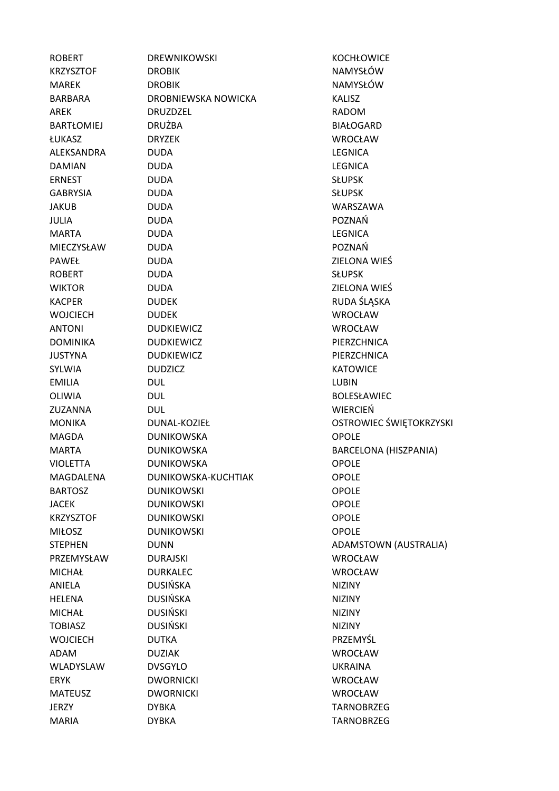| <b>ROBERT</b>     | <b>DREWNIKOWSKI</b> | <b>KOCHŁOWICE</b>       |
|-------------------|---------------------|-------------------------|
| <b>KRZYSZTOF</b>  | <b>DROBIK</b>       | NAMYSŁÓW                |
| <b>MAREK</b>      | <b>DROBIK</b>       | NAMYSŁÓW                |
| BARBARA           | DROBNIEWSKA NOWICKA | <b>KALISZ</b>           |
| <b>AREK</b>       | DRUZDZEL            | <b>RADOM</b>            |
| <b>BARTŁOMIEJ</b> | <b>DRUŻBA</b>       | <b>BIAŁOGARD</b>        |
| <b>ŁUKASZ</b>     | <b>DRYZEK</b>       | <b>WROCŁAW</b>          |
| ALEKSANDRA        | <b>DUDA</b>         | <b>LEGNICA</b>          |
| <b>DAMIAN</b>     | <b>DUDA</b>         | <b>LEGNICA</b>          |
| <b>ERNEST</b>     | <b>DUDA</b>         | <b>SŁUPSK</b>           |
| <b>GABRYSIA</b>   | <b>DUDA</b>         | <b>SŁUPSK</b>           |
| <b>JAKUB</b>      | <b>DUDA</b>         | WARSZAWA                |
| <b>JULIA</b>      | <b>DUDA</b>         | POZNAŃ                  |
| <b>MARTA</b>      | <b>DUDA</b>         | <b>LEGNICA</b>          |
| MIECZYSŁAW        | <b>DUDA</b>         | POZNAŃ                  |
| <b>PAWEŁ</b>      | <b>DUDA</b>         | ZIELONA WIEŚ            |
| <b>ROBERT</b>     | <b>DUDA</b>         | <b>SŁUPSK</b>           |
| <b>WIKTOR</b>     | <b>DUDA</b>         | ZIELONA WIEŚ            |
| <b>KACPER</b>     | <b>DUDEK</b>        | RUDA ŚLĄSKA             |
| <b>WOJCIECH</b>   | <b>DUDEK</b>        | <b>WROCŁAW</b>          |
| <b>ANTONI</b>     | <b>DUDKIEWICZ</b>   | <b>WROCŁAW</b>          |
| <b>DOMINIKA</b>   | <b>DUDKIEWICZ</b>   | PIERZCHNICA             |
| <b>JUSTYNA</b>    | <b>DUDKIEWICZ</b>   | PIERZCHNICA             |
| <b>SYLWIA</b>     | <b>DUDZICZ</b>      | <b>KATOWICE</b>         |
| <b>EMILIA</b>     | <b>DUL</b>          | <b>LUBIN</b>            |
| OLIWIA            | <b>DUL</b>          | <b>BOLESŁAWIEC</b>      |
| ZUZANNA           | <b>DUL</b>          | <b>WIERCIEŃ</b>         |
| <b>MONIKA</b>     | DUNAL-KOZIEŁ        | OSTROWIEC ŚWIĘTOKRZYSKI |
| <b>MAGDA</b>      | <b>DUNIKOWSKA</b>   | <b>OPOLE</b>            |
| <b>MARTA</b>      | <b>DUNIKOWSKA</b>   | BARCELONA (HISZPANIA)   |
| <b>VIOLETTA</b>   | <b>DUNIKOWSKA</b>   | <b>OPOLE</b>            |
| MAGDALENA         | DUNIKOWSKA-KUCHTIAK | <b>OPOLE</b>            |
| <b>BARTOSZ</b>    | <b>DUNIKOWSKI</b>   | <b>OPOLE</b>            |
| <b>JACEK</b>      | <b>DUNIKOWSKI</b>   | <b>OPOLE</b>            |
| <b>KRZYSZTOF</b>  | <b>DUNIKOWSKI</b>   | <b>OPOLE</b>            |
| <b>MIŁOSZ</b>     | <b>DUNIKOWSKI</b>   | <b>OPOLE</b>            |
| <b>STEPHEN</b>    | <b>DUNN</b>         | ADAMSTOWN (AUSTRALIA)   |
| PRZEMYSŁAW        | <b>DURAJSKI</b>     | <b>WROCŁAW</b>          |
| <b>MICHAŁ</b>     | <b>DURKALEC</b>     | <b>WROCŁAW</b>          |
| ANIELA            | <b>DUSIŃSKA</b>     | <b>NIZINY</b>           |
| <b>HELENA</b>     | <b>DUSIŃSKA</b>     | <b>NIZINY</b>           |
| <b>MICHAŁ</b>     | <b>DUSIŃSKI</b>     | <b>NIZINY</b>           |
| <b>TOBIASZ</b>    | <b>DUSIŃSKI</b>     | <b>NIZINY</b>           |
| <b>WOJCIECH</b>   | <b>DUTKA</b>        | PRZEMYŚL                |
| ADAM              | <b>DUZIAK</b>       | <b>WROCŁAW</b>          |
| WLADYSLAW         | <b>DVSGYLO</b>      | <b>UKRAINA</b>          |
| <b>ERYK</b>       | <b>DWORNICKI</b>    | <b>WROCŁAW</b>          |
| <b>MATEUSZ</b>    | <b>DWORNICKI</b>    | <b>WROCŁAW</b>          |
| <b>JERZY</b>      | <b>DYBKA</b>        | <b>TARNOBRZEG</b>       |
| <b>MARIA</b>      | <b>DYBKA</b>        | <b>TARNOBRZEG</b>       |
|                   |                     |                         |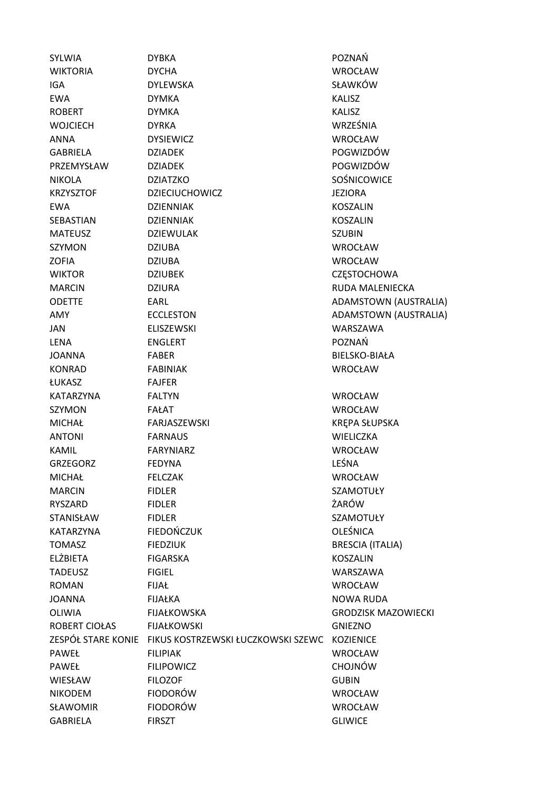SYLWIA DYBKA POZNAŃ WIKTORIA DYCHA WROCŁAW IGA DYLEWSKA SŁAWKÓW EWA DYMKA KALISZ ROBERT DYMKA KALISZ WOJCIECH DYRKA WRZEŚNIA ANNA DYSIEWICZ WROCŁAW GABRIELA DZIADEK POGWIZDÓW PRZEMYSŁAW DZIADEK POGWIZDÓW NIKOLA DZIATZKO SOŚNICOWICE KRZYSZTOF DZIECIUCHOWICZ JEZIORA EWA DZIENNIAK KOSZALIN SEBASTIAN DZIENNIAK KOSZALIN MATEUSZ DZIEWULAK SZUBIN SZYMON DZIUBA WROCŁAW ZOFIA DZIUBA WROCŁAW WIKTOR DZIUBEK CZESTOCHOWA MARCIN DZIURA RUDA MALENIECKA ODETTE EARL ADAMSTOWN (AUSTRALIA) AMY **ECCLESTON ECCLESTON ADAMSTOWN** (AUSTRALIA) JAN ELISZEWSKI WARSZAWA LENA ENGLERT POZNAŃ JOANNA FABER BIELSKO-BIAŁA KONRAD FABINIAK WROCŁAW ŁUKASZ FAJFER KATARZYNA FALTYN WROCŁAW SZYMON FAŁAT WROCŁAW MICHAŁ FARJASZEWSKI KRĘPA SŁUPSKA ANTONI FARNAUS WIELICZKA KAMIL FARYNIARZ WROCŁAW GRZEGORZ FEDYNA LEŚNA MICHAŁ FELCZAK WROCŁAW MARCIN FIDLER SZAMOTUŁY RYSZARD FIDLER ŻARÓW STANISŁAW FIDLER SZAMOTUŁY KATARZYNA FIEDOŃCZUK CHEŚNICA DO FŚNICA TOMASZ FIEDZIUK BRESCIA (ITALIA) ELŻBIETA FIGARSKA KOSZALIN TADEUSZ FIGIEL WARSZAWA ROMAN FIJAŁ WROCŁAW JOANNA FIJAŁKA NOWA RUDA OLIWIA FIJAŁKOWSKA GRODZISK MAZOWIECKI ROBERT CIOŁAS FIJAŁKOWSKI GNIEZNO ZESPÓŁ STARE KONIE FIKUS KOSTRZEWSKI ŁUCZKOWSKI SZEWC KOZIENICE PAWEŁ FILIPIAK WROCŁAW PAWEŁ FILIPOWICZ CHOJNÓW WIESŁAW FILOZOF GUBIN NIKODEM FIODORÓW WROCŁAW SŁAWOMIR FIODORÓW WROCŁAW GABRIELA FIRSZT GLIWICE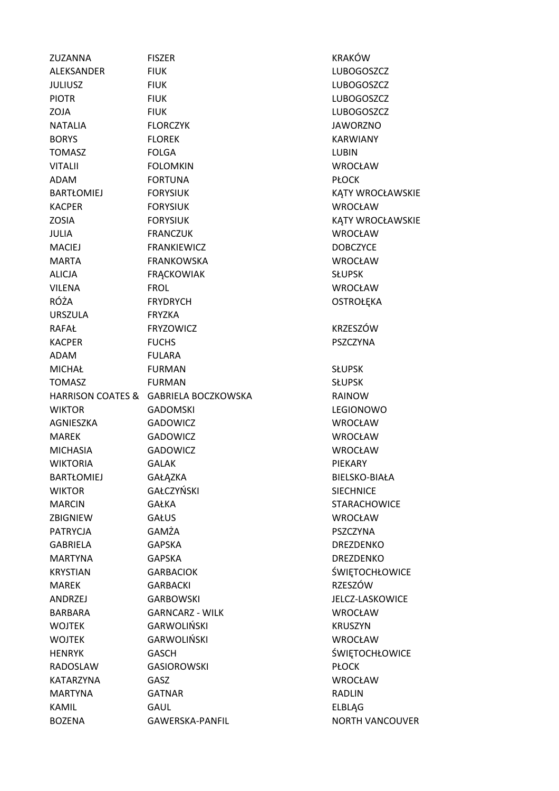| ZUZANNA           | <b>FISZER</b>                         | <b>KRAKÓ</b>   |
|-------------------|---------------------------------------|----------------|
| ALEKSANDER        | <b>FIUK</b>                           | LUBOG          |
| <b>JULIUSZ</b>    | <b>FIUK</b>                           | LUBOG          |
| <b>PIOTR</b>      | <b>FIUK</b>                           | LUBOG          |
| ZOJA              | <b>FIUK</b>                           | LUBOG          |
| NATALIA           | <b>FLORCZYK</b>                       | <b>JAWOR</b>   |
| <b>BORYS</b>      | <b>FLOREK</b>                         | <b>KARWI/</b>  |
| <b>TOMASZ</b>     | <b>FOLGA</b>                          | LUBIN          |
| <b>VITALII</b>    | <b>FOLOMKIN</b>                       | <b>WROCŁ</b>   |
| <b>ADAM</b>       | <b>FORTUNA</b>                        | <b>PŁOCK</b>   |
| BARTŁOMIEJ        | <b>FORYSIUK</b>                       | <b>KĄTY W</b>  |
| <b>KACPER</b>     | <b>FORYSIUK</b>                       | <b>WROCŁ</b>   |
| <b>ZOSIA</b>      | <b>FORYSIUK</b>                       | <b>KĄTY W</b>  |
| <b>JULIA</b>      | <b>FRANCZUK</b>                       | <b>WROCŁ</b>   |
| <b>MACIEJ</b>     | <b>FRANKIEWICZ</b>                    | DOBCZY         |
| <b>MARTA</b>      | FRANKOWSKA                            | <b>WROCŁ</b>   |
| <b>ALICJA</b>     | <b>FRĄCKOWIAK</b>                     | <b>SŁUPSK</b>  |
| <b>VILENA</b>     | <b>FROL</b>                           | <b>WROCŁ</b>   |
| RÓŻA              | <b>FRYDRYCH</b>                       | <b>OSTRO</b>   |
| <b>URSZULA</b>    | <b>FRYZKA</b>                         |                |
| <b>RAFAŁ</b>      | <b>FRYZOWICZ</b>                      | <b>KRZESZ</b>  |
| <b>KACPER</b>     | <b>FUCHS</b>                          | <b>PSZCZY</b>  |
| <b>ADAM</b>       | <b>FULARA</b>                         |                |
| <b>MICHAŁ</b>     | <b>FURMAN</b>                         | <b>SŁUPSK</b>  |
| <b>TOMASZ</b>     | <b>FURMAN</b>                         | <b>SŁUPSK</b>  |
|                   | HARRISON COATES & GABRIELA BOCZKOWSKA | <b>RAINOV</b>  |
| <b>WIKTOR</b>     | <b>GADOMSKI</b>                       | <b>LEGION</b>  |
| AGNIESZKA         | GADOWICZ                              | <b>WROCŁ</b>   |
| <b>MAREK</b>      | GADOWICZ                              | <b>WROCŁ</b>   |
| <b>MICHASIA</b>   | <b>GADOWICZ</b>                       | <b>WROCŁ</b>   |
| <b>WIKTORIA</b>   | <b>GALAK</b>                          | PIEKAR'        |
| <b>BARTŁOMIEJ</b> | GAŁĄZKA                               | <b>BIELSKO</b> |
| <b>WIKTOR</b>     | GAŁCZYŃSKI                            | <b>SIECHN</b>  |
| <b>MARCIN</b>     | GAŁKA                                 | <b>STARAC</b>  |
| ZBIGNIEW          | GAŁUS                                 | <b>WROCŁ</b>   |
| <b>PATRYCJA</b>   | GAMŻA                                 | <b>PSZCZY</b>  |
| <b>GABRIELA</b>   | <b>GAPSKA</b>                         | <b>DREZDE</b>  |
| <b>MARTYNA</b>    | <b>GAPSKA</b>                         | <b>DREZDE</b>  |
| <b>KRYSTIAN</b>   | <b>GARBACIOK</b>                      | <b>ŚWIĘTC</b>  |
| <b>MAREK</b>      | <b>GARBACKI</b>                       | <b>RZESZÓ</b>  |
| ANDRZEJ           | <b>GARBOWSKI</b>                      | JELCZ-L        |
| <b>BARBARA</b>    | <b>GARNCARZ - WILK</b>                | <b>WROCŁ</b>   |
| <b>WOJTEK</b>     | <b>GARWOLIŃSKI</b>                    | <b>KRUSZY</b>  |
| <b>WOJTEK</b>     | <b>GARWOLIŃSKI</b>                    | <b>WROCŁ</b>   |
| <b>HENRYK</b>     | <b>GASCH</b>                          | ŚWIĘTC         |
| RADOSLAW          | <b>GASIOROWSKI</b>                    | <b>PŁOCK</b>   |
| KATARZYNA         | GASZ                                  | <b>WROCŁ</b>   |
| <b>MARTYNA</b>    | <b>GATNAR</b>                         | <b>RADLIN</b>  |
| <b>KAMIL</b>      | <b>GAUL</b>                           | ELBLĄG         |
| <b>BOZENA</b>     | GAWERSKA-PANFIL                       | <b>NORTH</b>   |

KRAKÓW LUBOGOSZCZ LUBOGOSZCZ LUBOGOSZCZ LUBOGOSZCZ JAWORZNO KARWIANY WROCŁAW KĄTY WROCŁAWSKIE WROCŁAW KĄTY WROCŁAWSKIE WROCŁAW **DOBCZYCE** WROCŁAW WROCŁAW OSTROŁĘKA **KRZESZÓW** PSZCZYNA RAINOW LEGIONOWO WROCŁAW WROCŁAW WROCŁAW PIEKARY BIELSKO-BIAŁA SIECHNICE STARACHOWICE WROCŁAW PSZCZYNA DREZDENKO DREZDENKO ŚWIĘTOCHŁOWICE RZESZÓW JELCZ-LASKOWICE WROCŁAW KRUSZYN WROCŁAW ŚWIĘTOCHŁOWICE WROCŁAW ELBLĄG **NORTH VANCOUVER**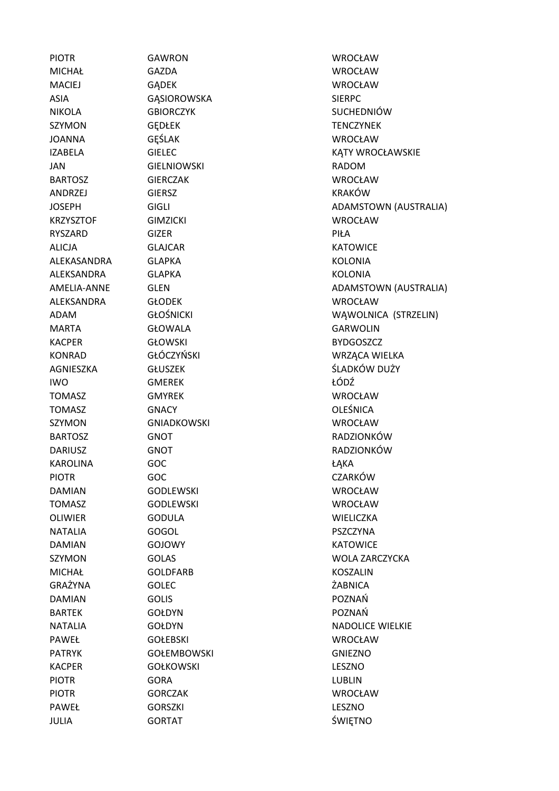PIOTR GAWRON WROCŁAW MICHAŁ GAZDA WROCŁAW MACIEJ GĄDEK WROCŁAW ASIA GASIOROWSKA SIERPC NIKOLA GBIORCZYK SUCHEDNIÓW SZYMON GEDŁEK TENCZYNEK JOANNA GĘŚLAK WROCŁAW JAN GIELNIOWSKI RADOM BARTOSZ GIERCZAK WROCŁAW ANDRZEJ GIERSZ KRAKÓW KRZYSZTOF GIMZICKI WROCŁAW RYSZARD GIZER PIŁA ALICJA GLAJCAR KATOWICE ALEKASANDRA GLAPKA KOLONIA ALEKSANDRA GLAPKA KOLONIA ALEKSANDRA GŁODEK WROCŁAW MARTA GŁOWALA GARWOLIN KACPER GŁOWSKI BYDGOSZCZ KONRAD GŁÓCZYŃSKI WARTA WRZĄCA WIELKA AGNIESZKA GŁUSZEK ŚLADKÓW DUŻY IWO GMEREK ŁÓDŹ TOMASZ GMYREK WROCŁAW TOMASZ GNACY OLEŚNICA SZYMON GNIADKOWSKI WROCŁAW BARTOSZ GNOT RADZIONKÓW DARIUSZ GNOT RADZIONKÓW KAROLINA GOC ŁĄKA PIOTR GOC GOC CZARKÓW DAMIAN GODLEWSKI WROCŁAW TOMASZ GODLEWSKI WROCŁAW OLIWIER GODULA WIELICZKA NATALIA GOGOL PSZCZYNA DAMIAN GOJOWY KATOWICE SZYMON GOLAS WOLA ZARCZYCKA MICHAŁ GOLDFARB KOSZALIN GRAŻYNA GOLEC ŻABNICA DAMIAN GOLIS POZNAŃ BARTEK GOŁDYN GOŁOWIA DOZNAŃ NATALIA GOŁDYN GOŁOWIA GOŁOWIA NADOLICE WIELKIE PAWEŁ GOŁEBSKI WROCŁAW PATRYK GOŁEMBOWSKI GOŁEMBOWSKI GNIEZNO KACPER GOŁKOWSKI LESZNO PIOTR GORA CORA LUBLIN PIOTR GORCZAK WROCŁAW PAWEŁ GORSZKI CORSZKI LESZNO JULIA GORTAT ŚWIĘTNO

IZABELA GIELEC **KATY WROCŁAWSKIE** JOSEPH GIGLI GIGLI ADAMSTOWN (AUSTRALIA) AMELIA-ANNE GLEN GLEN ADAMSTOWN (AUSTRALIA) ADAM GŁOŚNICKI WĄWOLNICA (STRZELIN)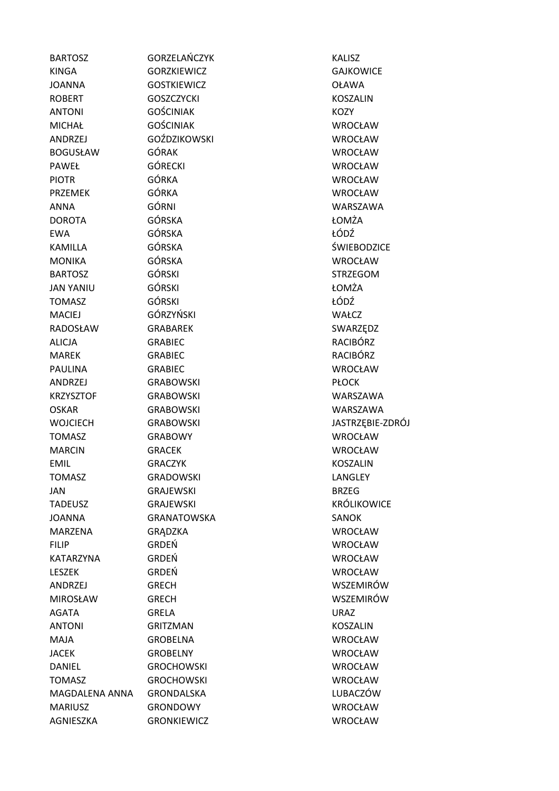| <b>BARTOSZ</b>   | GORZELAŃCZYK        | <b>KALISZ</b>      |
|------------------|---------------------|--------------------|
| <b>KINGA</b>     | <b>GORZKIEWICZ</b>  | <b>GAJKOWICE</b>   |
| <b>JOANNA</b>    | <b>GOSTKIEWICZ</b>  | <b>OŁAWA</b>       |
| <b>ROBERT</b>    | <b>GOSZCZYCKI</b>   | <b>KOSZALIN</b>    |
| <b>ANTONI</b>    | <b>GOŚCINIAK</b>    | <b>KOZY</b>        |
| <b>MICHAŁ</b>    | <b>GOŚCINIAK</b>    | <b>WROCŁAW</b>     |
| ANDRZEJ          | <b>GOŹDZIKOWSKI</b> | <b>WROCŁAW</b>     |
| <b>BOGUSŁAW</b>  | GÓRAK               | <b>WROCŁAW</b>     |
| PAWEŁ            | <b>GÓRECKI</b>      | <b>WROCŁAW</b>     |
| <b>PIOTR</b>     | GÓRKA               | <b>WROCŁAW</b>     |
| <b>PRZEMEK</b>   | GÓRKA               | WROCŁAW            |
| ANNA             | GÓRNI               | WARSZAWA           |
| <b>DOROTA</b>    | GÓRSKA              | ŁOMŻA              |
| <b>EWA</b>       | GÓRSKA              | ŁÓDŹ               |
| <b>KAMILLA</b>   | GÓRSKA              | ŚWIEBODZICE        |
| <b>MONIKA</b>    | <b>GÓRSKA</b>       | <b>WROCŁAW</b>     |
| <b>BARTOSZ</b>   | <b>GÓRSKI</b>       | <b>STRZEGOM</b>    |
| <b>JAN YANIU</b> | <b>GÓRSKI</b>       | ŁOMŻA              |
| <b>TOMASZ</b>    | <b>GÓRSKI</b>       | ŁÓDŹ               |
| <b>MACIEJ</b>    | GÓRZYŃSKI           | WAŁCZ              |
| RADOSŁAW         | <b>GRABAREK</b>     | SWARZĘDZ           |
| <b>ALICJA</b>    | <b>GRABIEC</b>      | <b>RACIBÓRZ</b>    |
| <b>MAREK</b>     | <b>GRABIEC</b>      | <b>RACIBÓRZ</b>    |
| <b>PAULINA</b>   | <b>GRABIEC</b>      | <b>WROCŁAW</b>     |
| <b>ANDRZEJ</b>   | <b>GRABOWSKI</b>    | <b>PŁOCK</b>       |
| <b>KRZYSZTOF</b> | <b>GRABOWSKI</b>    | WARSZAWA           |
| <b>OSKAR</b>     | <b>GRABOWSKI</b>    | WARSZAWA           |
| <b>WOJCIECH</b>  | <b>GRABOWSKI</b>    | JASTRZĘBIE-ZDRÓJ   |
| <b>TOMASZ</b>    | <b>GRABOWY</b>      | <b>WROCŁAW</b>     |
| <b>MARCIN</b>    | <b>GRACEK</b>       | <b>WROCŁAW</b>     |
| <b>EMIL</b>      | <b>GRACZYK</b>      | <b>KOSZALIN</b>    |
| TOMASZ           | GRADOWSKI           | LANGLEY            |
| <b>JAN</b>       | <b>GRAJEWSKI</b>    | <b>BRZEG</b>       |
| <b>TADEUSZ</b>   | <b>GRAJEWSKI</b>    | <b>KRÓLIKOWICE</b> |
| <b>JOANNA</b>    | <b>GRANATOWSKA</b>  | <b>SANOK</b>       |
| MARZENA          | <b>GRADZKA</b>      | <b>WROCŁAW</b>     |
| <b>FILIP</b>     | <b>GRDEŃ</b>        | <b>WROCŁAW</b>     |
| KATARZYNA        | GRDEŃ               | <b>WROCŁAW</b>     |
| <b>LESZEK</b>    | GRDEŃ               | <b>WROCŁAW</b>     |
| ANDRZEJ          | <b>GRECH</b>        | WSZEMIRÓW          |
| <b>MIROSŁAW</b>  | <b>GRECH</b>        | WSZEMIRÓW          |
| <b>AGATA</b>     | <b>GRELA</b>        | <b>URAZ</b>        |
| <b>ANTONI</b>    | <b>GRITZMAN</b>     | <b>KOSZALIN</b>    |
| <b>MAJA</b>      | <b>GROBELNA</b>     | <b>WROCŁAW</b>     |
| <b>JACEK</b>     | <b>GROBELNY</b>     | <b>WROCŁAW</b>     |
| <b>DANIEL</b>    | <b>GROCHOWSKI</b>   | <b>WROCŁAW</b>     |
| <b>TOMASZ</b>    | <b>GROCHOWSKI</b>   | <b>WROCŁAW</b>     |
| MAGDALENA ANNA   | <b>GRONDALSKA</b>   | LUBACZÓW           |
| <b>MARIUSZ</b>   | <b>GRONDOWY</b>     | <b>WROCŁAW</b>     |
| AGNIESZKA        | <b>GRONKIEWICZ</b>  | <b>WROCŁAW</b>     |
|                  |                     |                    |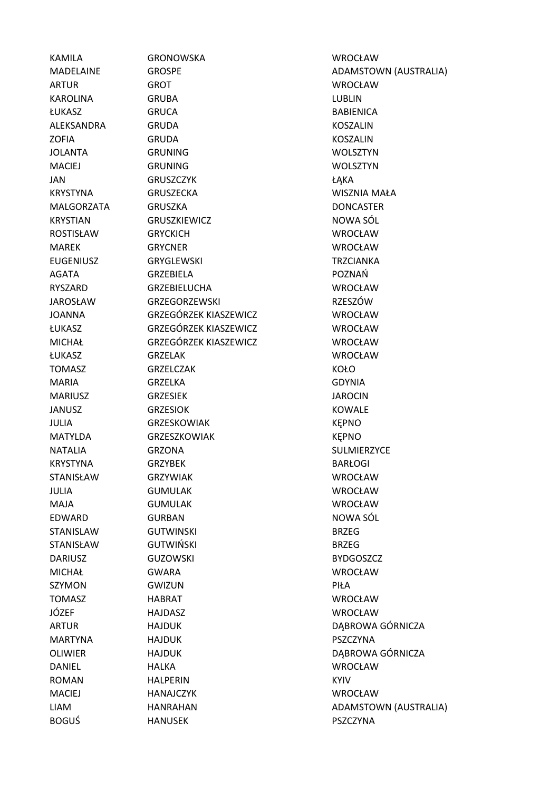KAMILA GRONOWSKA WROCŁAW ARTUR GROT WROCŁAW KAROLINA GRUBA LUBLIN ŁUKASZ GRUCA BABIENICA ALEKSANDRA GRUDA KOSZALIN ZOFIA GRUDA KOSZALIN JOLANTA GRUNING WOLSZTYN MACIEJ GRUNING WOLSZTYN JAN GRUSZCZYK ŁĄKA KRYSTYNA GRUSZECKA WISZNIA MAŁA MALGORZATA GRUSZKA DONCASTER KRYSTIAN GRUSZKIEWICZ NOWA SÓL ROSTISŁAW GRYCKICH WROCŁAW MAREK GRYCNER WROCŁAW EUGENIUSZ GRYGLEWSKI TRZCIANKA AGATA GRZEBIELA POZNAŃ RYSZARD GRZEBIELUCHA WROCŁAW JAROSŁAW GRZEGORZEWSKI RZESZÓW JOANNA GRZEGÓRZEK KIASZEWICZ WROCŁAW ŁUKASZ GRZEGÓRZEK KIASZEWICZ WROCŁAW MICHAŁ GRZEGÓRZEK KIASZEWICZ WROCŁAW ŁUKASZ GRZELAK WROCŁAW TOMASZ GRZELCZAK KOŁO MARIA GRZELKA GDYNIA MARIUSZ GRZESIEK JAROCIN JANUSZ GRZESIOK KOWALE JULIA GRZESKOWIAK KĘPNO MATYLDA GRZESZKOWIAK KĘPNO NATALIA GRZONA SULMIERZYCE KRYSTYNA GRZYBEK BARŁOGI STANISŁAW GRZYWIAK WROCŁAW WROCŁAW JULIA GUMULAK WROCŁAW MAJA GUMULAK WROCŁAW EDWARD GURBAN GURBAN NOWA SÓL STANISLAW GUTWINSKI BRZEG STANISŁAW GUTWIŃSKI BRZEG DARIUSZ GUZOWSKI BYDGOSZCZ MICHAŁ GWARA WROCŁAW SZYMON GWIZUN GWIZUN PIŁA TOMASZ HABRAT WROCŁAW JÓZEF HAJDASZ WROCŁAW MARTYNA HAJDUK PSZCZYNA DANIEL HALKA WROCŁAW ROMAN HALPERIN KYIV MACIEJ HANAJCZYK WROCŁAW

MADELAINE GROSPE GROSPE ADAMSTOWN (AUSTRALIA) ARTUR HAJDUK DĄBROWA GÓRNICZA OLIWIER HAJDUK DĄBROWA GÓRNICZA LIAM HANRAHAN HANRAHAN ADAMSTOWN (AUSTRALIA) BOGUŚ HANUSEK PSZCZYNA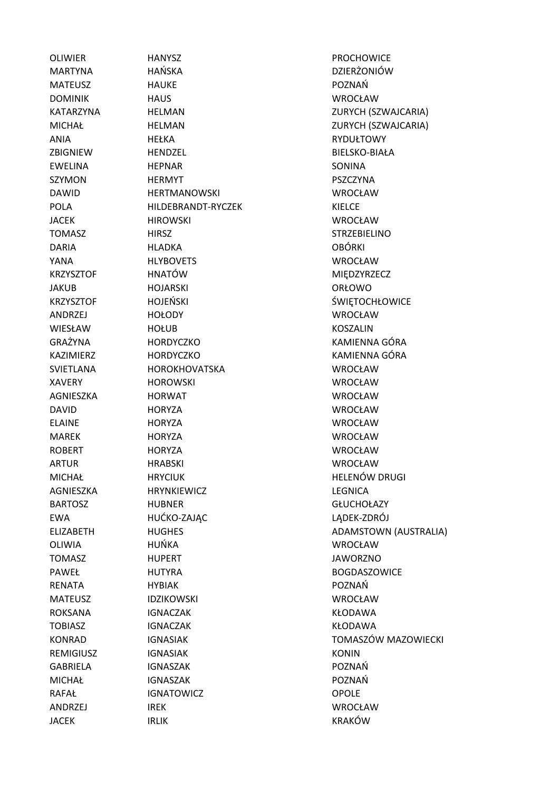JACEK IRLIK IRLIK KRAKÓW

OLIWIER **HANYSZ HANYSZ PROCHOWICE** MARTYNA HAŃSKA DZIERŻONIÓW MATEUSZ HAUKE POZNAŃ DOMINIK HAUS WROCŁAW ANIA HEŁKA RYDUŁTOWY ZBIGNIEW HENDZEL BIELSKO-BIAŁA EWELINA HEPNAR SONINA SZYMON HERMYT PSZCZYNA DAWID HERTMANOWSKI WROCŁAW POLA HILDEBRANDT-RYCZEK KIELCE JACEK HIROWSKI WROCŁAW TOMASZ HIRSZ HIRSZ STRZEBIELINO DARIA HLADKA OBÓRKI YANA HLYBOVETS WROCŁAW KRZYSZTOF HNATÓW MIĘDZYRZECZ JAKUB HOJARSKI ORŁOWO ANDRZEJ HOŁODY WROCŁAW WIESŁAW HOŁUB HOŁUB KOSZALIN SVIETLANA HOROKHOVATSKA WROCŁAW XAVERY HOROWSKI WROCŁAW AGNIESZKA HORWAT WROCŁAW DAVID HORYZA WROCŁAW ELAINE HORYZA WROCŁAW MAREK HORYZA HORYZA WROCŁAW ROBERT HORYZA WROCŁAW ARTUR HRABSKI WROCŁAW AGNIESZKA HRYNKIEWICZ LEGNICA BARTOSZ HUBNER GŁUCHOŁAZY EWA HUĆKO-ZAJĄC LĄDEK-ZDRÓJ OLIWIA HUŃKA WROCŁAW TOMASZ HUPERT JAWORZNO PAWEŁ HUTYRA BOGDASZOWICE RENATA HYBIAK POZNAŃ MATEUSZ IDZIKOWSKI WROCŁAW ROKSANA IGNACZAK KŁODAWA TOBIASZ IGNACZAK KŁODAWA REMIGIUSZ IGNASIAK **IGNASIAK** KONIN GABRIELA IGNASZAK POZNAŃ MICHAŁ IGNASZAK POZNAŃ RAFAŁ IGNATOWICZ OPOLE ANDRZEJ IREK WROCŁAW

KATARZYNA HELMAN HELMAN ZURYCH (SZWAJCARIA) MICHAŁ HELMAN ZURYCH (SZWAJCARIA) KRZYSZTOF HOJEŃSKI ŚWIĘTOCHŁOWICE GRAŻYNA HORDYCZKO KAMIENNA GÓRA KAZIMIERZ HORDYCZKO KAMIENNA GÓRA MICHAŁ HRYCIUK HELENÓW DRUGI ELIZABETH HUGHES HUGHES ADAMSTOWN (AUSTRALIA) KONRAD IGNASIAK TOMASZÓW MAZOWIECKI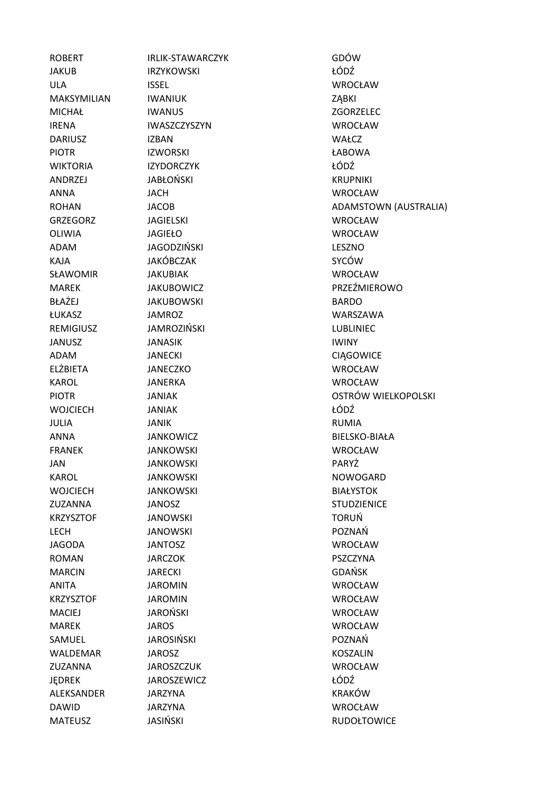ROBERT IRLIK-STAWARCZYK GDÓW JAKUB IRZYKOWSKI ŁÓDŹ ULA ISSEL WROCŁAW MAKSYMILIAN IWANIUK **WANIUK WAKSYMILIAN** MICHAŁ IWANUS ZGORZELEC IRENA IWASZCZYSZYN WROCŁAW DARIUSZ IZBAN IZBAN WAŁCZ PIOTR IZWORSKI ŁABOWA WIKTORIA IZYDORCZYK ŁÓDŹ ANDRZEJ JABŁOŃSKI KRUPNIKI ANNA JACH WROCŁAW GRZEGORZ JAGIELSKI WROCŁAW OLIWIA JAGIEŁO WROCŁAW ADAM JAGODZIŃSKI LESZNO KAJA SYCÓW JAKÓBCZAK SYCÓW SŁAWOMIR JAKUBIAK WROCŁAW BŁAŻEJ JAKUBOWSKI BARDO ŁUKASZ JAMROZ WARSZAWA REMIGIUSZ JAMROZIŃSKI LUBLINIEC JANUSZ JANASIK IWINY ADAM JANECKI CIĄGOWICE ELŻBIETA JANECZKO WROCŁAW KAROL JANERKA WROCŁAW WOICIECH IANIAK **WOJCIECH JANIAK Z** JULIA JANIK RUMIA ANNA JANKOWICZ BIELSKO-BIAŁA FRANEK JANKOWSKI WROCŁAW JAN JANKOWSKI PARYŻ KAROL JANKOWSKI NOWOGARD WOJCIECH JANKOWSKI BIAŁYSTOK ZUZANNA JANOSZ STUDZIENICE KRZYSZTOF JANOWSKI TORUŃ LECH JANOWSKI POZNAŃ JAGODA JANTOSZ WROCŁAW ROMAN JARCZOK PSZCZYNA MARCIN JARECKI GDAŃSK ANITA JAROMIN WROCŁAW KRZYSZTOF JAROMIN WROCŁAW MACIEJ JAROŃSKI WROCŁAW MAREK JAROS WROCŁAW SAMUEL JAROSIŃSKI POZNAŃ WALDEMAR JAROSZ VAN SARAST VAN KOSZALIN ZUZANNA JAROSZCZUK WROCŁAW JĘDREK JAROSZEWICZ ŁÓDŹ ALEKSANDER JARZYNA KRAKÓW DAWID JARZYNA WROCŁAW MATEUSZ JASIŃSKI RUDOŁTOWICE

ROHAN JACOB JACOB ADAMSTOWN (AUSTRALIA) MAREK JAKUBOWICZ PRZEŹMIEROWO PIOTR JANIAK OSTRÓW WIELKOPOLSKI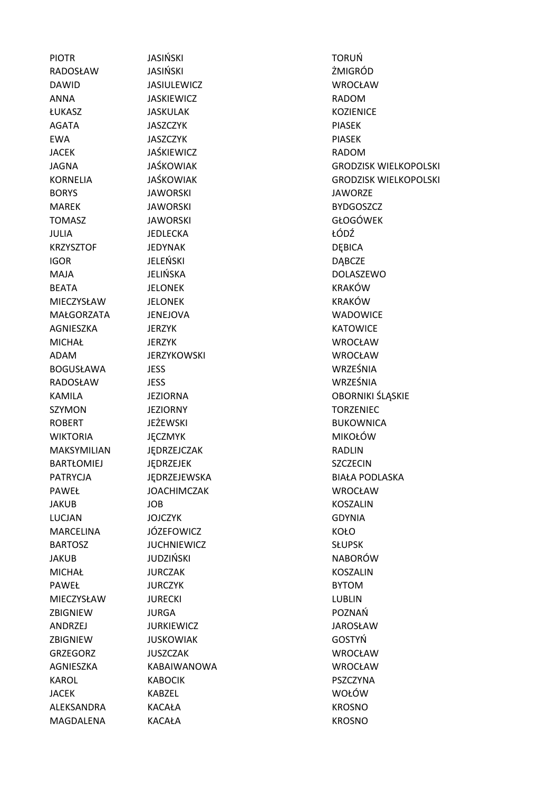PIOTR JASIŃSKI TORUŃ RADOSŁAW JASIŃSKI ŻMIGRÓD DAWID JASIULEWICZ WROCŁAW ANNA JASKIEWICZ RADOM ŁUKASZ JASKULAK KOZIENICE AGATA JASZCZYK PIASEK EWA JASZCZYK PIASEK JACEK JAŚKIEWICZ RADOM BORYS JAWORSKI JAWORZE MAREK JAWORSKI BYDGOSZCZ TOMASZ JAWORSKI GŁOGÓWEK JULIA JEDLECKA ŁÓDŹ KRZYSZTOF JEDYNAK DEBICA IGOR JELEŃSKI DĄBCZE MAJA JELIŃSKA DOLASZEWO BEATA JELONEK KRAKÓW MIECZYSŁAW JELONEK KRAKÓW MAŁGORZATA JENEJOVA WADOWICE AGNIESZKA JERZYK KATOWICE MICHAŁ JERZYK WROCŁAW ADAM JERZYKOWSKI WROCŁAW BOGUSŁAWA JESS WRZEŚNIA RADOSŁAW JESS WRZEŚNIA SZYMON JEZIORNY **WARDER TORZENIEC** ROBERT JEŻEWSKI BUKOWNICA WIKTORIA JĘCZMYK MIKOŁÓW MAKSYMILIAN JĘDRZEJCZAK RADLIN BARTŁOMIEJ JEDRZEJEK SZCZECIN PAWEŁ JOACHIMCZAK WROCŁAW JAKUB JOB KOSZALIN LUCJAN JOJCZYK GDYNIA MARCELINA JÓZEFOWICZ – KOŁO BARTOSZ JUCHNIEWICZ SŁUPSK JAKUB JUDZIŃSKI NABORÓW MICHAŁ JURCZAK KOSZALIN PAWEŁ JURCZYK **BYTOM** MIECZYSŁAW JURECKI LUBLIN ZBIGNIEW JURGA POZNAŃ ANDRZEJ JURKIEWICZ JAROSŁAW ZBIGNIEW JUSKOWIAK GOSTYŃ GRZEGORZ JUSZCZAK WROCŁAW AGNIESZKA KABAIWANOWA WROCŁAW KAROL KABOCIK PSZCZYNA JACEK KABZEL WOŁÓW ALEKSANDRA KACAŁA KROSNO MAGDALENA KACAŁA KROSNO

JAGNA JAŚKOWIAK GRODZISK WIELKOPOLSKI KORNELIA JAŚKOWIAK GRODZISK WIELKOPOLSKI KAMILA JEZIORNA OBORNIKI ŚLĄSKIE PATRYCJA JĘDRZEJEWSKA BIAŁA PODLASKA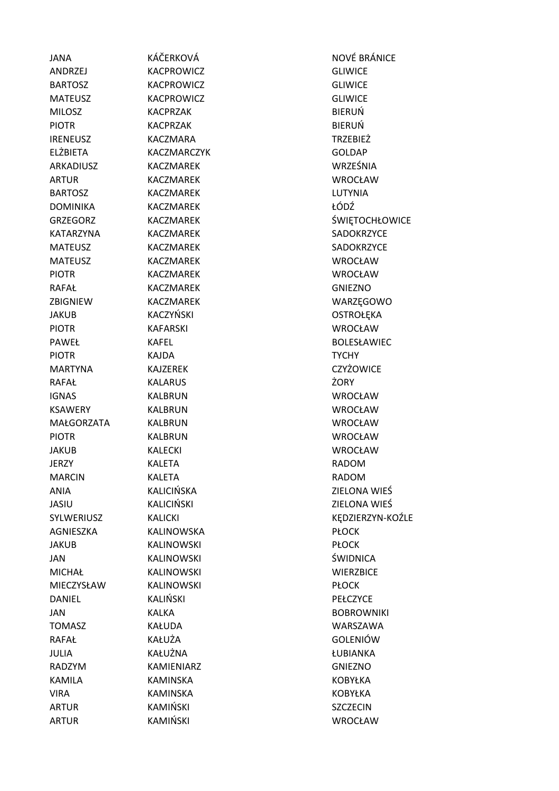| <b>JANA</b>     | KÁČERKOVÁ         | NOVÉ BF         |
|-----------------|-------------------|-----------------|
| ANDRZEJ         | KACPROWICZ        | <b>GLIWICE</b>  |
| <b>BARTOSZ</b>  | KACPROWICZ        | <b>GLIWICE</b>  |
| <b>MATEUSZ</b>  | KACPROWICZ        | <b>GLIWICE</b>  |
| <b>MILOSZ</b>   | <b>KACPRZAK</b>   | <b>BIERUŃ</b>   |
| <b>PIOTR</b>    | <b>KACPRZAK</b>   | BIERUŃ          |
| <b>IRENEUSZ</b> | KACZMARA          | TRZEBIEŻ        |
| ELŻBIETA        | KACZMARCZYK       | <b>GOLDAP</b>   |
| ARKADIUSZ       | <b>KACZMAREK</b>  | WRZEŚN          |
| <b>ARTUR</b>    | <b>KACZMAREK</b>  | WROCŁA          |
| <b>BARTOSZ</b>  | <b>KACZMAREK</b>  | LUTYNIA         |
| DOMINIKA        | KACZMAREK         | ŁÓDŹ            |
| <b>GRZEGORZ</b> | <b>KACZMAREK</b>  | <b>ŚWIĘTO</b>   |
| KATARZYNA       | <b>KACZMAREK</b>  | SADOKR:         |
| <b>MATEUSZ</b>  | <b>KACZMAREK</b>  | SADOKR:         |
| <b>MATEUSZ</b>  | <b>KACZMAREK</b>  | <b>WROCŁA</b>   |
| <b>PIOTR</b>    | <b>KACZMAREK</b>  | WROCŁA          |
| RAFAŁ           | <b>KACZMAREK</b>  | <b>GNIEZNO</b>  |
| ZBIGNIEW        | <b>KACZMAREK</b>  | WARZĘG          |
| JAKUB           | KACZYŃSKI         | <b>OSTROŁE</b>  |
| <b>PIOTR</b>    | <b>KAFARSKI</b>   | <b>WROCŁA</b>   |
| PAWEŁ           | <b>KAFEL</b>      | <b>BOLESŁA</b>  |
| <b>PIOTR</b>    | KAJDA             | <b>TYCHY</b>    |
| <b>MARTYNA</b>  | <b>KAJZEREK</b>   | <b>CZYŻOW</b>   |
| RAFAŁ           | <b>KALARUS</b>    | ŻORY            |
| <b>IGNAS</b>    | <b>KALBRUN</b>    | <b>WROCŁA</b>   |
| <b>KSAWERY</b>  | <b>KALBRUN</b>    | <b>WROCŁA</b>   |
| MAŁGORZATA      | <b>KALBRUN</b>    | WROCŁA          |
| <b>PIOTR</b>    | <b>KALBRUN</b>    | WROCŁA          |
| <b>JAKUB</b>    | <b>KALECKI</b>    | <b>WROCŁA</b>   |
| <b>JERZY</b>    | <b>KALETA</b>     | RADOM           |
| <b>MARCIN</b>   | <b>KALETA</b>     | RADOM           |
| <b>ANIA</b>     | KALICIŃSKA        | ZIELONA         |
| JASIU           | <b>KALICIŃSKI</b> | ZIELONA         |
| SYLWERIUSZ      | <b>KALICKI</b>    | <b>KEDZIER</b>  |
| AGNIESZKA       | <b>KALINOWSKA</b> | <b>PŁOCK</b>    |
| JAKUB           | <b>KALINOWSKI</b> | <b>PŁOCK</b>    |
| JAN             | <b>KALINOWSKI</b> | ŚWIDNIC         |
| <b>MICHAŁ</b>   | <b>KALINOWSKI</b> | <b>WIERZBI</b>  |
| MIECZYSŁAW      | <b>KALINOWSKI</b> | <b>PŁOCK</b>    |
| DANIEL          | KALIŃSKI          | PEŁCZYC         |
| JAN             | <b>KALKA</b>      | <b>BOBROW</b>   |
| <b>TOMASZ</b>   | KAŁUDA            | <b>WARSZA</b>   |
| RAFAŁ           | KAŁUŻA            | GOLENIĆ         |
| JULIA           | KAŁUŻNA           | ŁUBIANK         |
| RADZYM          | KAMIENIARZ        | <b>GNIEZNO</b>  |
| KAMILA          | <b>KAMINSKA</b>   | <b>KOBYŁKA</b>  |
| <b>VIRA</b>     | <b>KAMINSKA</b>   | <b>KOBYŁKA</b>  |
| ARTUR           | KAMIŃSKI          | <b>SZCZECIN</b> |
| ARTUR           | KAMIŃSKI          | <b>WROCŁA</b>   |

NOVÉ BRÁNICE **GLIWICE** TRZEBIEŻ **GOLDAP** WRZEŚNIA WROCŁAW ŚWIĘTOCHŁOWICE SADOKRZYCE SADOKRZYCE WROCŁAW WROCŁAW **GNIEZNO** WARZĘGOWO OSTROŁĘKA WROCŁAW BOLESŁAWIEC CZYŻOWICE WROCŁAW WROCŁAW WROCŁAW WROCŁAW WROCŁAW **ZIELONA WIEŚ** ZIELONA WIEŚ KĘDZIERZYN-KOŹLE ŚWIDNICA **WIERZBICE** PEŁCZYCE **BOBROWNIKI** WARSZAWA **GOLENIÓW** ŁUBIANKA **GNIEZNO** KOBYŁKA KOBYŁKA SZCZECIN WROCŁAW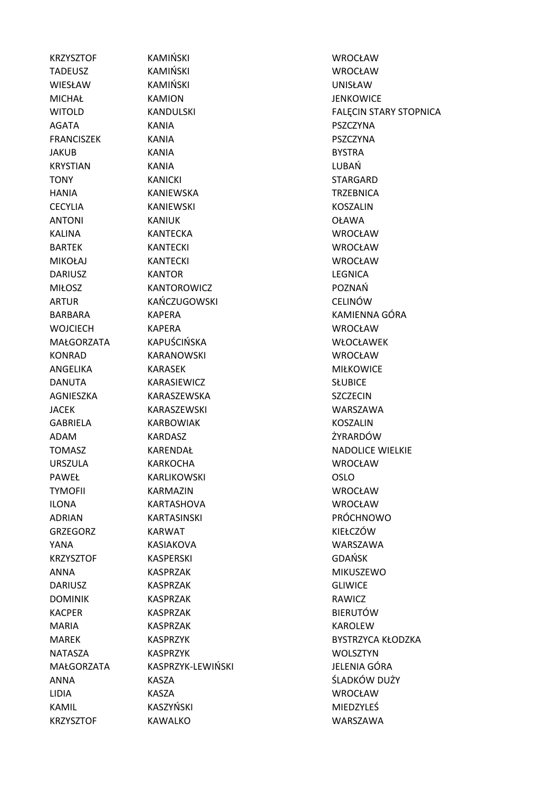KRZYSZTOF KAWALKO WARSZAWA

KRZYSZTOF KAMIŃSKI WROCŁAW TADEUSZ KAMIŃSKI WROCŁAW WIESŁAW KAMIŃSKI UNISŁAW MICHAŁ KAMION JENKOWICE AGATA KANIA PSZCZYNA FRANCISZEK KANIA PSZCZYNA JAKUB KANIA KANIA BYSTRA KRYSTIAN KANIA LUBAŃ TONY KANICKI STARGARD HANIA KANIEWSKA TRZEBNICA CECYLIA KANIEWSKI KOSZALIN ANTONI KANIUK OŁAWA KALINA KANTECKA WROCŁAW BARTEK KANTECKI WROCŁAW MIKOŁAJ KANTECKI WROCŁAW DARIUSZ KANTOR KANTOR LEGNICA MIŁOSZ KANTOROWICZ POZNAŃ ARTUR KAŃCZUGOWSKI CELINÓW WOJCIECH KAPERA WROCŁAW MAŁGORZATA KAPUŚCIŃSKA WŁOCŁAWEK KONRAD KARANOWSKI WROCŁAW ANGELIKA KARASEK MIŁKOWICE DANUTA KARASIEWICZ SŁUBICE AGNIESZKA KARASZEWSKA SZCZECIN JACEK KARASZEWSKI WARSZAWA GABRIELA KARBOWIAK KOSZALIN ADAM KARDASZ ŻYRARDÓW URSZULA KARKOCHA WROCŁAW PAWEŁ KARLIKOWSKI COSLO TYMOFII KARMAZIN WROCŁAW ILONA KARTASHOVA WROCŁAW ADRIAN KARTASINSKI PRÓCHNOWO GRZEGORZ KARWAT KIEŁCZÓW KARWAT KIEŁCZÓW YANA KASIAKOVA WARSZAWA KRZYSZTOF KASPERSKI GDAŃSK ANNA KASPRZAK MIKUSZEWO DARIUSZ KASPRZAK GLIWICE DOMINIK KASPRZAK RAWICZ KACPER KASPRZAK BIERUTÓW MARIA KASPRZAK KAROLEW NATASZA KASPRZYK WOLSZTYN MAŁGORZATA KASPRZYK-LEWIŃSKI JELENIA GÓRA LIDIA KASZA WROCŁAW KAMIL KASZYŃSKI MIEDZYLEŚ

WITOLD **KANDULSKI KANDULSKI** FALECIN STARY STOPNICA BARBARA KAPERA KAMIENNA GÓRA TOMASZ KARENDAŁ NADOLICE WIELKIE MAREK KASPRZYK KASPRZYK BYSTRZYCA KŁODZKA ANNA KASZA ŚLADKÓW DUŻY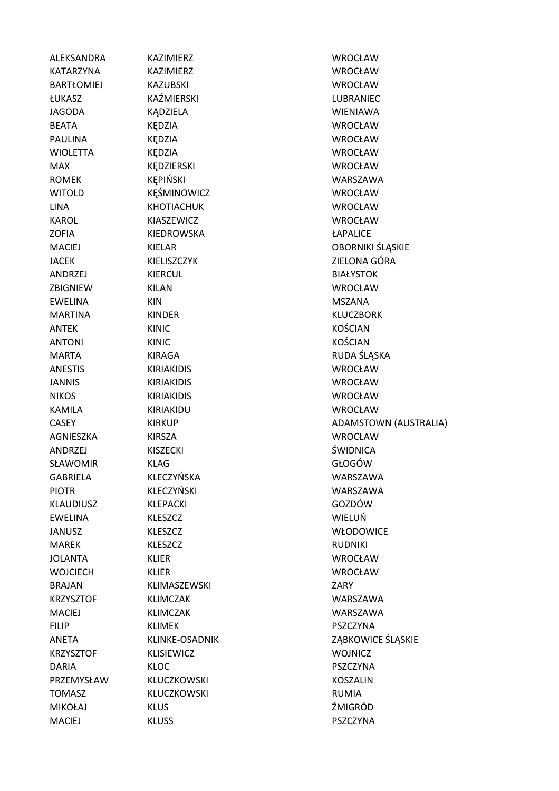| ALEKSANDRA        | KAZIMIERZ          | <b>WROCŁAW</b>        |
|-------------------|--------------------|-----------------------|
| KATARZYNA         | <b>KAZIMIERZ</b>   | <b>WROCŁAW</b>        |
| <b>BARTŁOMIEJ</b> | <b>KAZUBSKI</b>    | <b>WROCŁAW</b>        |
| ŁUKASZ            | KAŹMIERSKI         | LUBRANIEC             |
| <b>JAGODA</b>     | KĄDZIELA           | <b>WIENIAWA</b>       |
| <b>BEATA</b>      | KĘDZIA             | <b>WROCŁAW</b>        |
| <b>PAULINA</b>    | KĘDZIA             | <b>WROCŁAW</b>        |
| <b>WIOLETTA</b>   | KĘDZIA             | <b>WROCŁAW</b>        |
| <b>MAX</b>        | KĘDZIERSKI         | <b>WROCŁAW</b>        |
| <b>ROMEK</b>      | KĘPIŃSKI           | WARSZAWA              |
| <b>WITOLD</b>     | KĘŚMINOWICZ        | <b>WROCŁAW</b>        |
| <b>LINA</b>       | <b>KHOTIACHUK</b>  | <b>WROCŁAW</b>        |
| <b>KAROL</b>      | KIASZEWICZ         | <b>WROCŁAW</b>        |
| <b>ZOFIA</b>      | KIEDROWSKA         | ŁAPALICE              |
| <b>MACIEJ</b>     | KIELAR             | OBORNIKI ŚLĄSKIE      |
| <b>JACEK</b>      | KIELISZCZYK        | ZIELONA GÓRA          |
| ANDRZEJ           | KIERCUL            | <b>BIAŁYSTOK</b>      |
| ZBIGNIEW          | <b>KILAN</b>       | <b>WROCŁAW</b>        |
| <b>EWELINA</b>    | KIN                | <b>MSZANA</b>         |
| <b>MARTINA</b>    | <b>KINDER</b>      | <b>KLUCZBORK</b>      |
| <b>ANTEK</b>      | <b>KINIC</b>       | <b>KOŚCIAN</b>        |
| <b>ANTONI</b>     | <b>KINIC</b>       | <b>KOŚCIAN</b>        |
| <b>MARTA</b>      | <b>KIRAGA</b>      | RUDA ŚLĄSKA           |
| <b>ANESTIS</b>    | <b>KIRIAKIDIS</b>  | WROCŁAW               |
| <b>JANNIS</b>     | <b>KIRIAKIDIS</b>  | <b>WROCŁAW</b>        |
| <b>NIKOS</b>      | <b>KIRIAKIDIS</b>  | <b>WROCŁAW</b>        |
| <b>KAMILA</b>     | KIRIAKIDU          | <b>WROCŁAW</b>        |
| <b>CASEY</b>      | <b>KIRKUP</b>      | ADAMSTOWN (AUSTRALIA) |
| AGNIESZKA         | KIRSZA             | <b>WROCŁAW</b>        |
| <b>ANDRZEJ</b>    | <b>KISZECKI</b>    | ŚWIDNICA              |
| SŁAWOMIR          | <b>KLAG</b>        | GŁOGÓW                |
| <b>GABRIELA</b>   | KLECZYŃSKA         | WARSZAWA              |
| <b>PIOTR</b>      | KLECZYŃSKI         | WARSZAWA              |
| <b>KLAUDIUSZ</b>  | <b>KLEPACKI</b>    | GOZDÓW                |
| <b>EWELINA</b>    | <b>KLESZCZ</b>     | WIELUŃ                |
| <b>JANUSZ</b>     | <b>KLESZCZ</b>     | <b>WŁODOWICE</b>      |
| <b>MAREK</b>      | <b>KLESZCZ</b>     | <b>RUDNIKI</b>        |
| <b>JOLANTA</b>    | <b>KLIER</b>       | <b>WROCŁAW</b>        |
| <b>WOJCIECH</b>   | KLIER              | <b>WROCŁAW</b>        |
| <b>BRAJAN</b>     | KLIMASZEWSKI       | ŻARY                  |
| <b>KRZYSZTOF</b>  | <b>KLIMCZAK</b>    | WARSZAWA              |
| <b>MACIEJ</b>     | <b>KLIMCZAK</b>    | WARSZAWA              |
| <b>FILIP</b>      | <b>KLIMEK</b>      | PSZCZYNA              |
| ANETA             | KLINKE-OSADNIK     | ZĄBKOWICE ŚLĄSKIE     |
| <b>KRZYSZTOF</b>  | <b>KLISIEWICZ</b>  | <b>WOJNICZ</b>        |
| <b>DARIA</b>      | <b>KLOC</b>        | <b>PSZCZYNA</b>       |
| PRZEMYSŁAW        | <b>KLUCZKOWSKI</b> | <b>KOSZALIN</b>       |
| <b>TOMASZ</b>     | KLUCZKOWSKI        | <b>RUMIA</b>          |
| <b>MIKOŁAJ</b>    | <b>KLUS</b>        | ŻMIGRÓD               |
| <b>MACIEJ</b>     | <b>KLUSS</b>       | PSZCZYNA              |
|                   |                    |                       |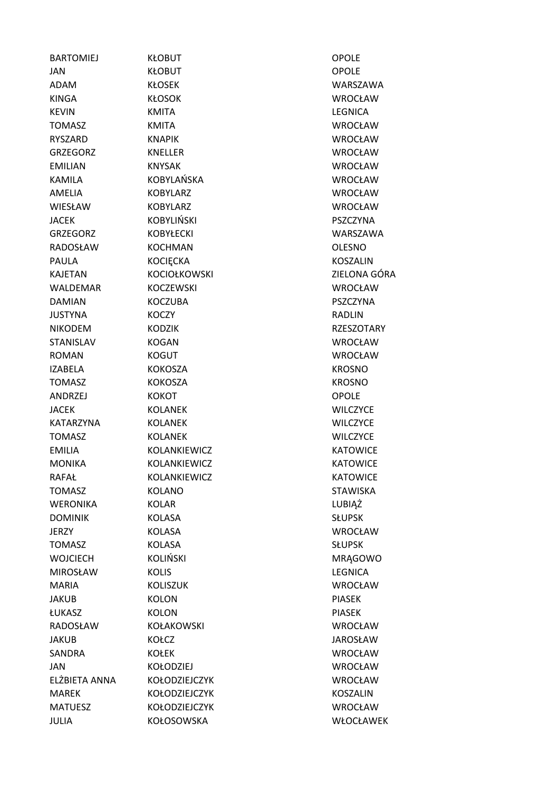| <b>BARTOMIEJ</b> | KŁOBUT              | <b>OPOLE</b>      |
|------------------|---------------------|-------------------|
| <b>JAN</b>       | <b>KŁOBUT</b>       | <b>OPOLE</b>      |
| <b>ADAM</b>      | <b>KŁOSEK</b>       | WARSZAWA          |
| <b>KINGA</b>     | <b>KŁOSOK</b>       | <b>WROCŁAW</b>    |
| <b>KEVIN</b>     | <b>KMITA</b>        | <b>LEGNICA</b>    |
| <b>TOMASZ</b>    | <b>KMITA</b>        | <b>WROCŁAW</b>    |
| <b>RYSZARD</b>   | <b>KNAPIK</b>       | <b>WROCŁAW</b>    |
| <b>GRZEGORZ</b>  | <b>KNELLER</b>      | <b>WROCŁAW</b>    |
| <b>EMILIAN</b>   | <b>KNYSAK</b>       | <b>WROCŁAW</b>    |
| <b>KAMILA</b>    | KOBYLAŃSKA          | <b>WROCŁAW</b>    |
| AMELIA           | <b>KOBYLARZ</b>     | <b>WROCŁAW</b>    |
| WIESŁAW          | <b>KOBYLARZ</b>     | <b>WROCŁAW</b>    |
| <b>JACEK</b>     | <b>KOBYLIŃSKI</b>   | <b>PSZCZYNA</b>   |
| <b>GRZEGORZ</b>  | <b>KOBYŁECKI</b>    | WARSZAWA          |
| RADOSŁAW         | <b>KOCHMAN</b>      | <b>OLESNO</b>     |
| <b>PAULA</b>     | <b>KOCIĘCKA</b>     | <b>KOSZALIN</b>   |
| <b>KAJETAN</b>   | <b>KOCIOŁKOWSKI</b> | ZIELONA GÓRA      |
| <b>WALDEMAR</b>  | <b>KOCZEWSKI</b>    | <b>WROCŁAW</b>    |
| <b>DAMIAN</b>    | <b>KOCZUBA</b>      | PSZCZYNA          |
| <b>JUSTYNA</b>   | KOCZY               | <b>RADLIN</b>     |
| <b>NIKODEM</b>   | <b>KODZIK</b>       | <b>RZESZOTARY</b> |
| <b>STANISLAV</b> | <b>KOGAN</b>        | <b>WROCŁAW</b>    |
| <b>ROMAN</b>     | <b>KOGUT</b>        | <b>WROCŁAW</b>    |
| <b>IZABELA</b>   | <b>KOKOSZA</b>      | <b>KROSNO</b>     |
| <b>TOMASZ</b>    | <b>KOKOSZA</b>      | <b>KROSNO</b>     |
| ANDRZEJ          | <b>KOKOT</b>        | <b>OPOLE</b>      |
| JACEK            | <b>KOLANEK</b>      | <b>WILCZYCE</b>   |
| KATARZYNA        | <b>KOLANEK</b>      | <b>WILCZYCE</b>   |
| <b>TOMASZ</b>    | <b>KOLANEK</b>      | <b>WILCZYCE</b>   |
| <b>EMILIA</b>    | KOLANKIEWICZ        | <b>KATOWICE</b>   |
| <b>MONIKA</b>    | KOLANKIEWICZ        | <b>KATOWICE</b>   |
| <b>RAFAŁ</b>     | KOLANKIEWICZ        | <b>KATOWICE</b>   |
| <b>TOMASZ</b>    | <b>KOLANO</b>       | <b>STAWISKA</b>   |
| <b>WERONIKA</b>  | <b>KOLAR</b>        | LUBIĄŻ            |
| <b>DOMINIK</b>   | <b>KOLASA</b>       | <b>SŁUPSK</b>     |
| <b>JERZY</b>     | <b>KOLASA</b>       | <b>WROCŁAW</b>    |
| <b>TOMASZ</b>    | <b>KOLASA</b>       | <b>SŁUPSK</b>     |
| <b>WOJCIECH</b>  | <b>KOLIŃSKI</b>     | <b>MRAGOWO</b>    |
| <b>MIROSŁAW</b>  | <b>KOLIS</b>        | <b>LEGNICA</b>    |
| <b>MARIA</b>     | <b>KOLISZUK</b>     | <b>WROCŁAW</b>    |
| <b>JAKUB</b>     | <b>KOLON</b>        | <b>PIASEK</b>     |
| ŁUKASZ           | <b>KOLON</b>        | <b>PIASEK</b>     |
| RADOSŁAW         | <b>KOŁAKOWSKI</b>   | WROCŁAW           |
| <b>JAKUB</b>     | KOŁCZ               | <b>JAROSŁAW</b>   |
| SANDRA           | <b>KOŁEK</b>        | <b>WROCŁAW</b>    |
| <b>JAN</b>       | <b>KOŁODZIEJ</b>    | <b>WROCŁAW</b>    |
| ELŻBIETA ANNA    | KOŁODZIEJCZYK       | <b>WROCŁAW</b>    |
| <b>MAREK</b>     | KOŁODZIEJCZYK       | <b>KOSZALIN</b>   |
| <b>MATUESZ</b>   | KOŁODZIEJCZYK       | <b>WROCŁAW</b>    |
| <b>JULIA</b>     | KOŁOSOWSKA          | WŁOCŁAWEK         |
|                  |                     |                   |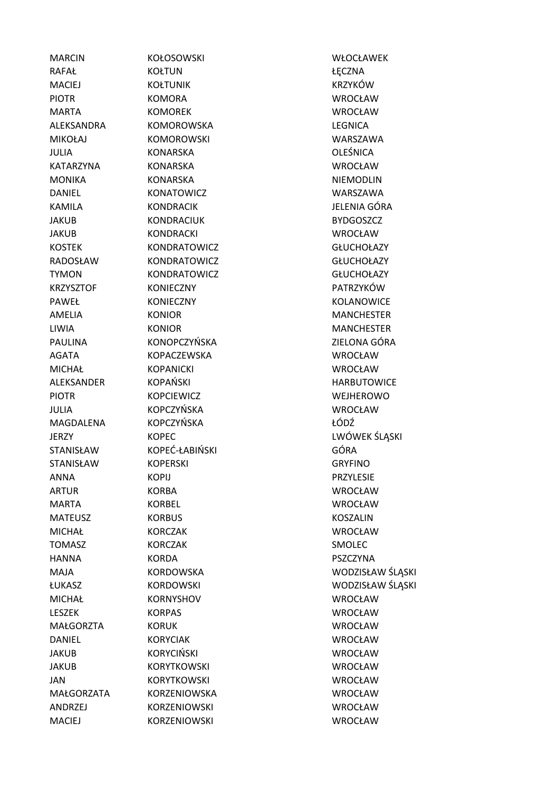MACIEJ KORZENIOWSKI WROCŁAW

RAFAŁ KOŁTUN **KOŁTUN KOŁTUN KOŁTUN KOŁTUN KOŁT**UN MACIEJ KOŁTUNIK KRZYKÓW PIOTR KOMORA WROCŁAW MARTA KOMOREK WROCŁAW ALEKSANDRA KOMOROWSKA LEGNICA MIKOŁAJ KOMOROWSKI WARSZAWA JULIA KONARSKA OLEŚNICA KATARZYNA KONARSKA WROCŁAW MONIKA KONARSKA NIEMODLIN DANIEL KONATOWICZ WARSZAWA KAMILA KONDRACIK JELENIA GÓRA JAKUB KONDRACIUK BYDGOSZCZ JAKUB KONDRACKI WROCŁAW KOSTEK KONDRATOWICZ GŁUCHOŁAZY RADOSŁAW KONDRATOWICZ GŁUCHOŁAZY TYMON KONDRATOWICZ GŁUCHOŁAZY KRZYSZTOF KONIECZNY PATRZYKÓW PAWEŁ KONIECZNY KOLANOWICE AMELIA KONIOR MANCHESTER LIWIA KONIOR MANCHESTER PAULINA KONOPCZYŃSKA ZIELONA GÓRA AGATA KOPACZEWSKA WROCŁAW MICHAŁ KOPANICKI WROCŁAW ALEKSANDER KOPAŃSKI HARBUTOWICE PIOTR **KOPCIEWICZ WEJHEROWO** JULIA KOPCZYŃSKA WROCŁAW MAGDALENA KOPCZYŃSKA ŁÓDŹ STANISŁAW KOPEĆ-ŁABIŃSKI GÓRA STANISŁAW KOPERSKI GRYFINO ANNA KOPIJ PRZYLESIE ARTUR KORBA WROCŁAW MARTA KORBEL WROCŁAW MATEUSZ KORBUS KOSZALIN MICHAŁ KORCZAK WROCŁAW TOMASZ KORCZAK SMOLEC HANNA KORDA PSZCZYNA MICHAŁ KORNYSHOV WROCŁAW LESZEK KORPAS WROCŁAW MAŁGORZTA KORUK WROCŁAW DANIEL KORYCIAK WROCŁAW JAKUB KORYCIŃSKI WROCŁAW JAKUB KORYTKOWSKI WROCŁAW JAN KORYTKOWSKI WROCŁAW MAŁGORZATA KORZENIOWSKA WROCŁAW ANDRZEJ KORZENIOWSKI WROCŁAW

MARCIN KOŁOSOWSKI WŁOCŁAWEK JERZY KOPEC KOPEC LWÓWEK ŚLĄSKI MAJA KORDOWSKA WODZISŁAW ŚLĄSKI ŁUKASZ KORDOWSKI WODZISŁAW ŚLĄSKI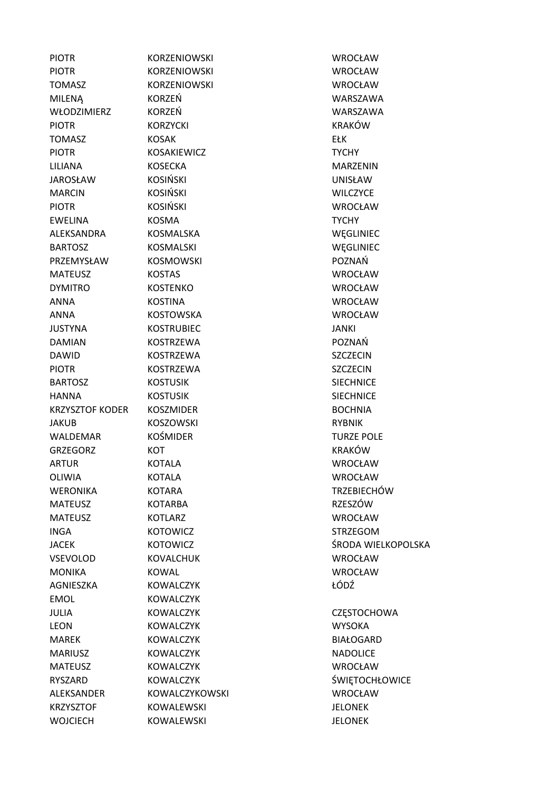| <b>PIOTR</b>           | <b>KORZENIOWSKI</b> | <b>WROCŁAW</b>        |
|------------------------|---------------------|-----------------------|
| <b>PIOTR</b>           | <b>KORZENIOWSKI</b> | <b>WROCŁAW</b>        |
| <b>TOMASZ</b>          | <b>KORZENIOWSKI</b> | <b>WROCŁAW</b>        |
| <b>MILENA</b>          | KORZEŃ              | WARSZAWA              |
| WŁODZIMIERZ            | <b>KORZEŃ</b>       | WARSZAWA              |
| <b>PIOTR</b>           | <b>KORZYCKI</b>     | <b>KRAKÓW</b>         |
| <b>TOMASZ</b>          | <b>KOSAK</b>        | <b>EŁK</b>            |
| <b>PIOTR</b>           | <b>KOSAKIEWICZ</b>  | <b>TYCHY</b>          |
| LILIANA                | <b>KOSECKA</b>      | <b>MARZENIN</b>       |
| <b>JAROSŁAW</b>        | <b>KOSIŃSKI</b>     | <b>UNISŁAW</b>        |
| <b>MARCIN</b>          | <b>KOSIŃSKI</b>     | <b>WILCZYCE</b>       |
| <b>PIOTR</b>           | <b>KOSIŃSKI</b>     | <b>WROCŁAW</b>        |
| <b>EWELINA</b>         | <b>KOSMA</b>        | <b>TYCHY</b>          |
| ALEKSANDRA             | KOSMALSKA           | WEGLINIEC             |
| <b>BARTOSZ</b>         | KOSMALSKI           | WEGLINIEC             |
| PRZEMYSŁAW             | <b>KOSMOWSKI</b>    | POZNAŃ                |
| <b>MATEUSZ</b>         | <b>KOSTAS</b>       | <b>WROCŁAW</b>        |
| <b>DYMITRO</b>         | <b>KOSTENKO</b>     | <b>WROCŁAW</b>        |
| <b>ANNA</b>            | <b>KOSTINA</b>      | <b>WROCŁAW</b>        |
| <b>ANNA</b>            | <b>KOSTOWSKA</b>    | <b>WROCŁAW</b>        |
| <b>JUSTYNA</b>         | <b>KOSTRUBIEC</b>   | JANKI                 |
| <b>DAMIAN</b>          | <b>KOSTRZEWA</b>    | POZNAŃ                |
| <b>DAWID</b>           | <b>KOSTRZEWA</b>    | <b>SZCZECIN</b>       |
| <b>PIOTR</b>           | <b>KOSTRZEWA</b>    | <b>SZCZECIN</b>       |
| <b>BARTOSZ</b>         | <b>KOSTUSIK</b>     | <b>SIECHNICE</b>      |
| <b>HANNA</b>           | <b>KOSTUSIK</b>     | <b>SIECHNICE</b>      |
| <b>KRZYSZTOF KODER</b> | <b>KOSZMIDER</b>    | <b>BOCHNIA</b>        |
| <b>JAKUB</b>           | <b>KOSZOWSKI</b>    | <b>RYBNIK</b>         |
| WALDEMAR               | <b>KOŚMIDER</b>     | <b>TURZE POLE</b>     |
| <b>GRZEGORZ</b>        | KOT                 | <b>KRAKÓW</b>         |
| <b>ARTUR</b>           | <b>KOTALA</b>       | <b>WROCŁAW</b>        |
| OLIWIA                 | <b>KOTALA</b>       | <b>WROCŁAW</b>        |
| <b>WERONIKA</b>        | <b>KOTARA</b>       | <b>TRZEBIECHÓW</b>    |
| <b>MATEUSZ</b>         | <b>KOTARBA</b>      | RZESZÓW               |
| <b>MATEUSZ</b>         | <b>KOTLARZ</b>      | <b>WROCŁAW</b>        |
| <b>INGA</b>            | <b>KOTOWICZ</b>     | <b>STRZEGOM</b>       |
| <b>JACEK</b>           | <b>KOTOWICZ</b>     | ŚRODA WIELKOPOLSKA    |
| VSEVOLOD               | <b>KOVALCHUK</b>    | <b>WROCŁAW</b>        |
| <b>MONIKA</b>          | <b>KOWAL</b>        | <b>WROCŁAW</b>        |
| AGNIESZKA              | <b>KOWALCZYK</b>    | ŁÓDŹ                  |
| <b>EMOL</b>            | <b>KOWALCZYK</b>    |                       |
| <b>JULIA</b>           | <b>KOWALCZYK</b>    | <b>CZĘSTOCHOWA</b>    |
| <b>LEON</b>            | <b>KOWALCZYK</b>    | <b>WYSOKA</b>         |
| <b>MAREK</b>           | <b>KOWALCZYK</b>    | <b>BIAŁOGARD</b>      |
| <b>MARIUSZ</b>         | <b>KOWALCZYK</b>    | <b>NADOLICE</b>       |
| <b>MATEUSZ</b>         | <b>KOWALCZYK</b>    | <b>WROCŁAW</b>        |
| RYSZARD                | <b>KOWALCZYK</b>    | <b>ŚWIĘTOCHŁOWICE</b> |
| ALEKSANDER             | KOWALCZYKOWSKI      | <b>WROCŁAW</b>        |
| <b>KRZYSZTOF</b>       | <b>KOWALEWSKI</b>   | <b>JELONEK</b>        |
| <b>WOJCIECH</b>        | KOWALEWSKI          | <b>JELONEK</b>        |
|                        |                     |                       |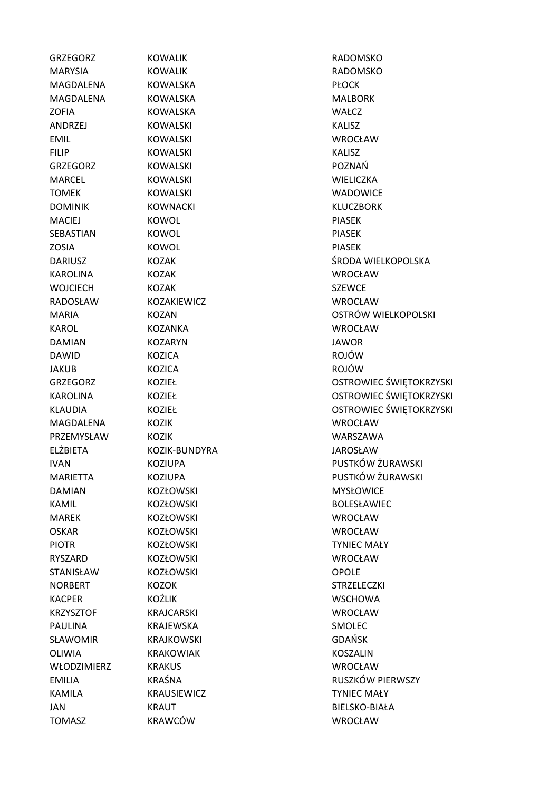GRZEGORZ KOWALIK RADOMSKO MARYSIA KOWALIK RADOMSKO MAGDALENA KOWALSKA PŁOCK MAGDALENA KOWALSKA MAGDALENA KOWALSKA ZOFIA KOWALSKA WAŁCZ ANDRZEJ KOWALSKI KALISZ EMIL KOWALSKI WROCŁAW FILIP KOWALSKI KALISZ GRZEGORZ KOWALSKI POZNAŃ MARCEL KOWALSKI WIELICZKA TOMEK KOWALSKI KOWALSKI KOWALSKI KOWALSKI KOWALSKI KOWALSKI KOWALSKI KOWALSKI KOWALSKI KOWALSKI KOWALSKI KOWAL DOMINIK KOWNACKI KULOZBORK MACIEJ KOWOL KOWOL PIASEK SEBASTIAN KOWOL PIASEK ZOSIA KOWOL KOWOL KOWOL PIASEK KAROLINA KOZAK WROCŁAW WOJCIECH KOZAK SZEWCE RADOSŁAW KOZAKIEWICZ WROCŁAW KAROL KOZANKA WROCŁAW DAMIAN KOZARYN JAWOR DAWID KOZICA ROJÓW JAKUB KOZICA ROJÓW MAGDALENA KOZIK WROCŁAW PRZEMYSŁAW KOZIK WARSZAWA ELŻBIETA KOZIK-BUNDYRA JAROSŁAW DAMIAN KOZŁOWSKI MYSŁOWICE KAMIL BOLESŁAWIEC KOZŁOWSKI BOLESŁAWIEC MAREK KOZŁOWSKI WROCŁAW OSKAR KOZŁOWSKI WROCŁAW PIOTR **KOZŁOWSKI KOZŁOWSKI KOŻŁOWSKI KOZŁOWSKI** KOZŁOWSKI KOZŁOWSKI KOŁOW KOŁOW KOŁOW KOŁOW KOŁOW KOŁOW KOŁOW KO RYSZARD KOZŁOWSKI WROCŁAW STANISŁAW KOZŁOWSKI OPOLE NORBERT KOZOK STRZELECZKI KACPER KOŹLIK WSCHOWA KRZYSZTOF KRAJCARSKI WROCŁAW PAULINA KRAJEWSKA SMOLEC SŁAWOMIR KRAJKOWSKI GDAŃSK OLIWIA KRAKOWIAK KOSZALIN WŁODZIMIERZ KRAKUS WROCŁAW KAMILA KRAUSIEWICZ TYNIEC MAŁY JAN KRAUT BIELSKO-BIAŁA TOMASZ KRAWCÓW WROCŁAW

DARIUSZ KOZAK ŚRODA WIELKOPOLSKA MARIA KOZAN OSTRÓW WIELKOPOLSKI GRZEGORZ KOZIEŁ OSTROWIEC ŚWIĘTOKRZYSKI KAROLINA KOZIEŁ COMERCYSKI KORZYSKI KAROLINA KOZIEŁ COSTROWIEC ŚWIĘTOKRZYSKI KLAUDIA KOZIEŁ KOŻIE KOŻY KOŻY KOŻYSKI KOŁOKOWIEC ŚWIĘTOKRZYSKI IVAN KOZIUPA PUSTKÓW ŻURAWSKI MARIETTA KOZIUPA PUSTKÓW ŻURAWSKI EMILIA KRAŚNA RUSZKÓW PIERWSZY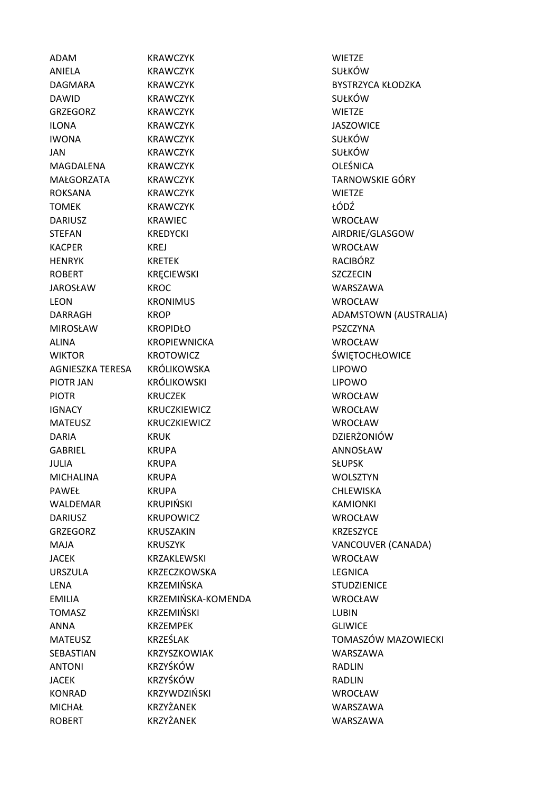ADAM KRAWCZYK WIETZE ANIELA KRAWCZYK SUŁKÓW DAGMARA KRAWCZYK BYSTRZYCA KŁODZKA DAWID KRAWCZYK SUŁKÓW GRZEGORZ KRAWCZYK WIETZE ILONA KRAWCZYK JASZOWICE IWONA KRAWCZYK SUŁKÓW JAN KRAWCZYK SUŁKÓW MAGDALENA KRAWCZYK OLEŚNICA MAŁGORZATA KRAWCZYK TARNOWSKIE GÓRY ROKSANA KRAWCZYK WIETZE TOMEK KRAWCZYK ŁÓDŹ DARIUSZ KRAWIEC WROCŁAW STEFAN KREDYCKI AIRDRIE/GLASGOW KACPER KREJ WROCŁAW HENRYK KRETEK RACIBÓRZ ROBERT KRECIEWSKI SZCZECIN JAROSŁAW KROC WARSZAWA LEON KRONIMUS WROCŁAW DARRAGH KROP KROP ADAMSTOWN (AUSTRALIA) MIROSŁAW KROPIDŁO PSZCZYNA ALINA KROPIEWNICKA WROCŁAW WIKTOR KROTOWICZ SWIETOCHŁOWICE AGNIESZKA TERESA KRÓLIKOWSKA LIPOWO PIOTR JAN KRÓLIKOWSKI LIPOWO PIOTR KRUCZEK WROCŁAW IGNACY KRUCZKIEWICZ WROCŁAW MATEUSZ KRUCZKIEWICZ WROCŁAW DARIA KRUK KRUK DZIERŻONIÓW GABRIEL KRUPA ANNOSŁAW JULIA KRUPA SŁUPSK MICHALINA KRUPA WOLSZTYN PAWEŁ KRUPA CHLEWISKA WALDEMAR KRUPIŃSKI KAMIONKI DARIUSZ KRUPOWICZ WROCŁAW GRZEGORZ KRUSZAKIN KRZESZYCE MAJA KRUSZYK VANCOUVER (CANADA) JACEK KRZAKLEWSKI WROCŁAW URSZULA KRZECZKOWSKA LEGNICA LENA KRZEMIŃSKA STUDZIENICE EMILIA KRZEMIŃSKA-KOMENDA WROCŁAW TOMASZ KRZEMIŃSKI LUBIN ANNA KRZEMPEK GLIWICE MATEUSZ KRZEŚLAK TOMASZÓW MAZOWIECKI SEBASTIAN KRZYSZKOWIAK WARSZAWA ANTONI KRZYŚKÓW RADLIN JACEK KRZYŚKÓW RADLIN KONRAD KRZYWDZIŃSKI WROCŁAW KONRAD KRZYWDZIŃSKI WROCŁAW MICHAŁ KRZYŻANEK WARSZAWA ROBERT KRZYŻANEK WARSZAWA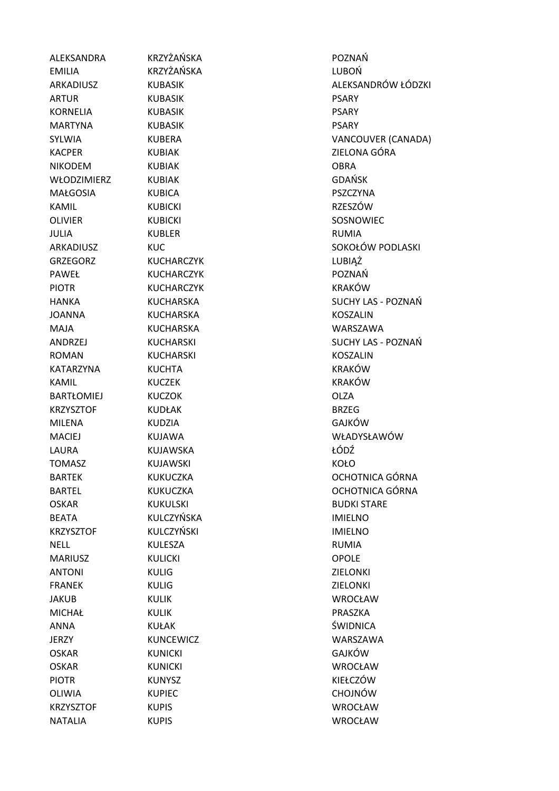ALEKSANDRA KRZYŻAŃSKA POZNAŃ EMILIA KRZYŻAŃSKA LUBOŃ ARTUR KUBASIK PSARY KORNELIA KUBASIK PSARY MARTYNA KUBASIK PSARY KACPER KUBIAK ZIELONA GÓRA NIKODEM KUBIAK OBRA WŁODZIMIERZ KUBIAK GDAŃSK MAŁGOSIA KUBICA PSZCZYNA KAMIL KUBICKI RZESZÓW OLIVIER KUBICKI SOSNOWIEC JULIA KUBLER RUMIA GRZEGORZ KUCHARCZYK LUBIĄŻ PAWEŁ KUCHARCZYK POZNAŃ PIOTR KUCHARCZYK KRAKÓW JOANNA KUCHARSKA KOSZALIN MAJA KUCHARSKA WARSZAWA ROMAN KUCHARSKI KOSZALIN KATARZYNA KUCHTA KONSTANA KRAKÓW KAMIL KUCZEK KRAKÓW BARTŁOMIEJ KUCZOK OLZA KRZYSZTOF KUDŁAK BRZEG MILENA KUDZIA GAJKÓW MACIEJ KUJAWA WŁADYSŁAWÓW LAURA KUJAWSKA ŁÓDŹ TOMASZ KUJAWSKI KOŁO OSKAR KUKULSKI BUDKI STARE BEATA KULCZYŃSKA IMIELNO KRZYSZTOF KULCZYŃSKI IMIELNO NELL KULESZA RUMIA MARIUSZ KULICKI OPOLE ANTONI KULIG ZIELONKI FRANEK KULIG ZIELONKI JAKUB KULIK WROCŁAW MICHAŁ KULIK PRASZKA ANNA KUŁAK ŚWIDNICA JERZY KUNCEWICZ WARSZAWA OSKAR KUNICKI GAJKÓW OSKAR KUNICKI WROCŁAW PIOTR KUNYSZ KIEŁCZÓW OLIWIA KUPIEC CHOJNÓW KRZYSZTOF KUPIS WROCŁAW NATALIA KUPIS WROCŁAW

ARKADIUSZ KUBASIK ALEKSANDRÓW ŁÓDZKI SYLWIA KUBERA VANCOUVER (CANADA) ARKADIUSZ KUC SOKOŁÓW PODLASKI HANKA KUCHARSKA SUCHY LAS - POZNAŃ ANDRZEJ KUCHARSKI SUCHY LAS - POZNAŃ BARTEK KUKUCZKA OCHOTNICA GÓRNA BARTEL KUKUCZKA OCHOTNICA GÓRNA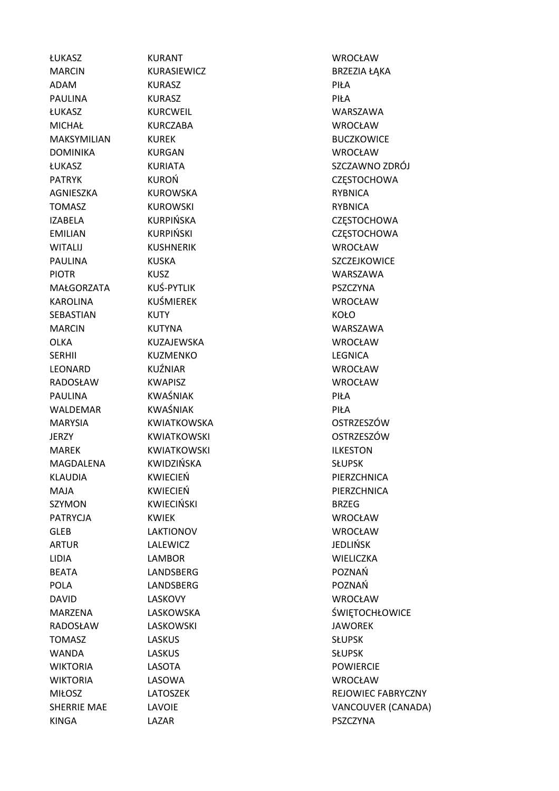MARCIN KURASIEWICZ BRZEZIA ŁAKA ADAM KURASZ PIŁA PAULINA KURASZ PIŁA ŁUKASZ KURCWEIL WARSZAWA MICHAŁ KURCZABA WROCŁAW MAKSYMILIAN KUREK BUCZKOWICE DOMINIKA KURGAN WROCŁAW PATRYK KUROŃ CZĘSTOCHOWA AGNIESZKA KUROWSKA RYBNICA TOMASZ KUROWSKI RYBNICA IZABELA KURPIŃSKA CZĘSTOCHOWA EMILIAN KURPIŃSKI CZĘSTOCHOWA WITALIJ KUSHNERIK WROCŁAW PAULINA KUSKA KUSKA SZCZEJKOWICE PIOTR KUSZ WARSZAWA MAŁGORZATA KUŚ-PYTLIK PSZCZYNA KAROLINA KUŚMIEREK WROCŁAW SEBASTIAN KUTY KOŁO MARCIN KUTYNA WARSZAWA OLKA KUZAJEWSKA WROCŁAW SERHII KUZMENKO LEGNICA LEONARD KUŹNIAR WROCŁAW RADOSŁAW KWAPISZ WROCŁAW PAULINA KWAŚNIAK PAULINA PIŁA WALDEMAR KWAŚNIAK PIŁA MARYSIA KWIATKOWSKA OSTRZESZÓW JERZY KWIATKOWSKI OSTRZESZÓW MAREK KWIATKOWSKI ILKESTON MAGDALENA KWIDZIŃSKA SŁUPSK KLAUDIA KWIECIEŃ PIERZCHNICA MAJA KWIECIEŃ PIERZCHNICA SZYMON KWIECIŃSKI BRZEG PATRYCJA KWIEK WROCŁAW GLEB LAKTIONOV WROCŁAW ARTUR LALEWICZ JEDLIŃSK LIDIA LAMBOR WIELICZKA BEATA LANDSBERG POZNAŃ POLA LANDSBERG POZNAŃ DAVID LASKOVY WROCŁAW RADOSŁAW LASKOWSKI ZARADOSŁAW LASKOWSKI TOMASZ LASKUS LASKUS SŁUPSK WANDA LASKUS LASKUS SŁUPSK WIKTORIA LASOTA POWIERCIE WIKTORIA LASOWA WROCŁAW KINGA LAZAR PSZCZYNA

ŁUKASZ KURANT WROCŁAW

ŁUKASZ KURIATA SZCZAWNO ZDRÓJ MARZENA LASKOWSKA SWIETOCHŁOWICE MIŁOSZ LATOSZEK REJOWIEC FABRYCZNY SHERRIE MAE LAVOIE **LANDIE EN ENGLISHER VANCOUVER (CANADA)**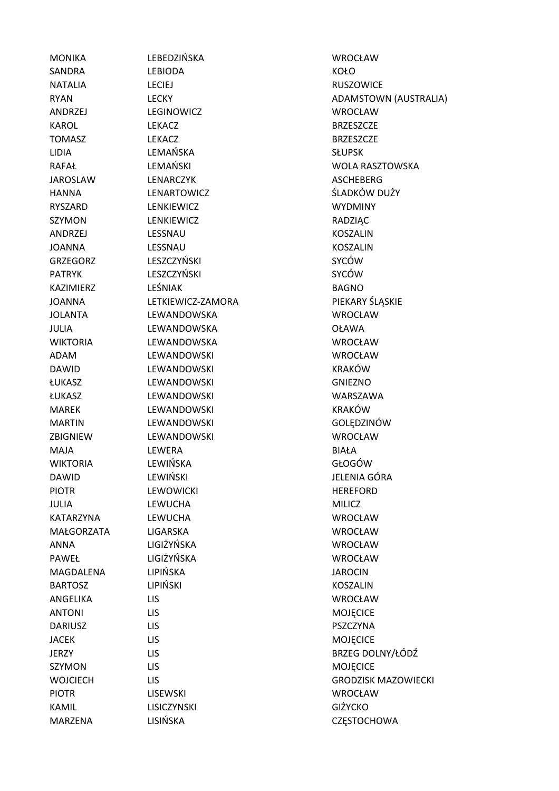MONIKA LEBEDZIŃSKA WROCŁAW

SANDRA LEBIODA KOŁO NATALIA LECIEJ RUSZOWICE ANDRZEJ LEGINOWICZ WROCŁAW KAROL LEKACZ BRZESZCZE TOMASZ LEKACZ BRZESZCZE LIDIA LEMAŃSKA SŁUPSK JAROSLAW LENARCZYK ASCHEBERG HANNA LENARTOWICZ ŚLADKÓW DUŻY RYSZARD LENKIEWICZ WYDMINY SZYMON LENKIEWICZ RADZIĄC ANDRZEJ LESSNAU KOSZALIN JOANNA LESSNAU KOSZALIN GRZEGORZ LESZCZYŃSKI SYCÓW PATRYK LESZCZYŃSKI SYCÓW KAZIMIERZ LEŚNIAK BAGNO JOANNA LETKIEWICZ-ZAMORA PIEKARY ŚLĄSKIE JOLANTA LEWANDOWSKA WROCŁAW JULIA LEWANDOWSKA OŁAWA WIKTORIA LEWANDOWSKA WROCŁAW ADAM LEWANDOWSKI WROCŁAW DAWID LEWANDOWSKI KRAKÓW ŁUKASZ LEWANDOWSKI GNIEZNO ŁUKASZ LEWANDOWSKI WARSZAWA MAREK LEWANDOWSKI KRAKÓW MARTIN LEWANDOWSKI GOLĘDZINÓW ZBIGNIEW LEWANDOWSKI WROCŁAW MAJA LEWERA BIAŁA WIKTORIA LEWIŃSKA CHOGÓW DAWID LEWIŃSKI LEWING DAWID JELENIA GÓRA PIOTR LEWOWICKI LEWOWICKI HEREFORD JULIA LEWUCHA MILICZ KATARZYNA LEWUCHA WROCŁAW MAŁGORZATA LIGARSKA WROCŁAW ANNA LIGIŻYŃSKA WROCŁAW PAWEŁ LIGIŻYŃSKA WROCŁAW MAGDALENA LIPIŃSKA ZAROCINA ZAROCIN BARTOSZ LIPIŃSKI KOSZALIN ANGELIKA LIS WROCŁAW ANTONI LIS LIS MOJECICE DARIUSZ LIS PSZCZYNA JACEK LIS MOJĘCICE SZYMON LIS LIS MOJECICE PIOTR LISEWSKI WROCŁAW KAMIL LISICZYNSKI GIŻYCKO

RYAN LECKY LECKY ADAMSTOWN (AUSTRALIA) RAFAŁ LEMAŃSKI WOLA RASZTOWSKA JERZY LIS BRZEG DOLNY/ŁÓDŹ WOJCIECH LIS GRODZISK MAZOWIECKI MARZENA LISIŃSKA CZĘSTOCHOWA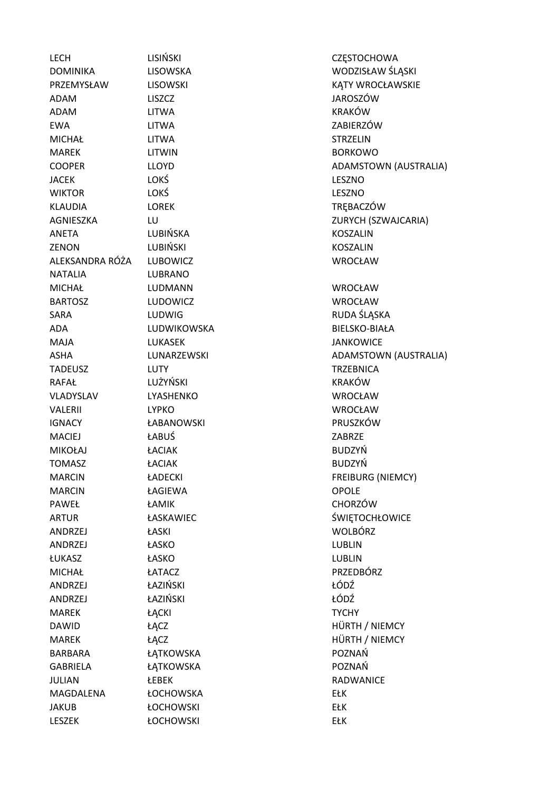LECH LISIŃSKI CZESTOCHOWA DOMINIKA LISOWSKA LISOWSKA WODZISŁAW ŚLĄSKI PRZEMYSŁAW LISOWSKI KATY WROCŁAWSKIE ADAM LISZCZ JAROSZÓW ADAM LITWA KRAKÓW EWA LITWA ZABIERZÓW MICHAŁ LITWA STRZELIN MAREK LITWIN BORKOWO COOPER LLOYD LUOYD ADAMSTOWN (AUSTRALIA) JACEK LOKŚ LESZNO WIKTOR LOKŚ LESZNO KLAUDIA LOREK TRĘBACZÓW AGNIESZKA LU LU ZURYCH (SZWAJCARIA) ANETA LUBIŃSKA KOSZALIN ZENON LUBIŃSKI KOSZALIN ALEKSANDRA RÓŻA LUBOWICZ WROCŁAW NATALIA LUBRANO MICHAŁ LUDMANN WROCŁAW BARTOSZ LUDOWICZ WROCŁAW SARA LUDWIG RUDA ŚLĄSKA ADA LUDWIKOWSKA BIELSKO-BIAŁA MAJA LUKASEK JANKOWICE ASHA LUNARZEWSKI ADAMSTOWN (AUSTRALIA) TADEUSZ LUTY TRZEBNICA RAFAŁ LUŻYŃSKI KRAKÓW VLADYSLAV LYASHENKO WROCŁAW VALERII LYPKO WROCŁAW IGNACY ŁABANOWSKI PRUSZKÓW MACIEJ ŁABUŚ ZABRZE MIKOŁAJ ŁACIAK BUDZYŃ TOMASZ ŁACIAK BUDZYŃ MARCIN **LADECKI FREIBURG (NIEMCY)** MARCIN ŁAGIEWA OPOLE PAWEŁ ŁAMIK CHORZÓW ARTUR ŁASKAWIEC ŚWIĘTOCHŁOWICE ANDRZEJ ŁASKI WOLBÓRZ ANDRZEJ ŁASKO LUBLIN ŁUKASZ ŁASKO LUBLIN MICHAŁ ŁATACZ PRZEDBÓRZ ANDRZEJ ŁAZIŃSKI ŁÓDŹ ANDRZEJ ŁAZIŃSKI ŁÓDŹ MAREK ŁĄCKI *L*amborg († 1915) DAWID ŁĄCZ tam za zamienia za zamienia za zamienia za zamienia za zamienia za zamienia za zamienia za zamienia MAREK ŁĄCZ ŁĄCZ HÜRTH / NIEMCY BARBARA ŁĄTKOWSKA POZNAŃ GABRIELA ŁATKOWSKA POZNAŃ JULIAN ŁEBEK RADWANICE MAGDALENA ŁOCHOWSKA EŁK JAKUB ŁOCHOWSKI EŁK LESZEK ŁOCHOWSKI EŁK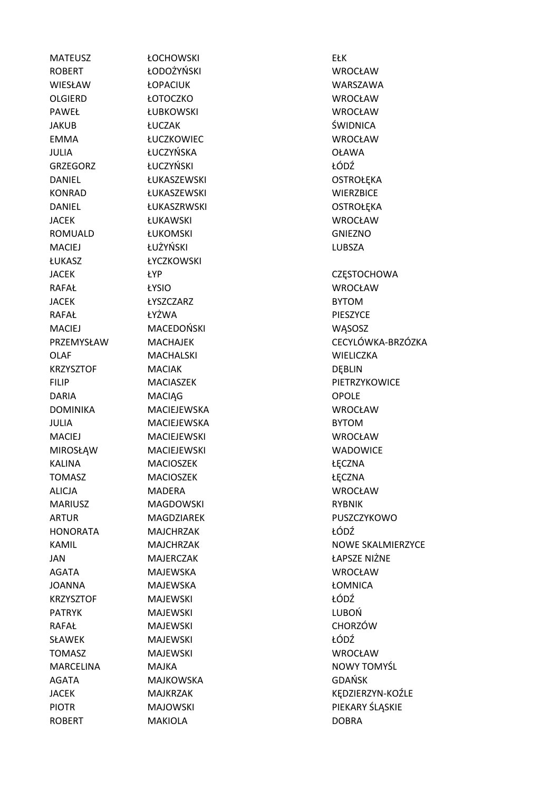ROBERT ŁODOŻYŃSKI WROCŁAW WIESŁAW ŁOPACIUK WARSZAWA OLGIERD ŁOTOCZKO WROCŁAW PAWEŁ ŁUBKOWSKI WROCŁAW JAKUB ŁUCZAK ŚWIDNICA EMMA ŁUCZKOWIEC WROCŁAW JULIA ŁUCZYŃSKA OŁAWA GRZEGORZ ŁUCZYŃSKI ŁÓDŹ DANIEL ŁUKASZEWSKI CZYSTROŁĘKA Z POSTROŁĘKA KONRAD ŁUKASZEWSKI WIERZBICE DANIEL ŁUKASZRWSKI OSTROŁĘKA JACEK ŁUKAWSKI WROCŁAW ROMUALD ŁUKOMSKI GNIEZNO MACIEJ ŁUŻYŃSKI LUBSZA ŁUKASZ ŁYCZKOWSKI RAFAŁ ŁYSIO WROCŁAW JACEK ŁYSZCZARZ BYTOM RAFAŁ ŁYŻWA PIESZYCE MACIEJ MACEDOŃSKI WĄSOSZ OLAF MACHALSKI WIELICZKA KRZYSZTOF MACIAK DEBLIN DARIA MACIAG MACIAG OPOLE DOMINIKA MACIEJEWSKA WROCŁAW JULIA MACIEJEWSKA BYTOM MACIEJ MACIEJEWSKI WROCŁAW MIROSŁĄW MACIEJEWSKI WADOWICE KALINA MACIOSZEK ŁECZNA TOMASZ MACIOSZEK **ARACIOSZEK WACIOSZEK NA** ALICJA MADERA WROCŁAW MARIUSZ MAGDOWSKI RYBNIK HONORATA MAJCHRZAK ŁÓDŹ JAN MAJERCZAK ŁAPSZE NIŻNE AGATA MAJEWSKA WROCŁAW JOANNA MAJEWSKA ŁOMNICA KRZYSZTOF MAJEWSKI Z KODŹ PATRYK MAJEWSKI CHEMICZNY LUBOŃ RAFAŁ MAJEWSKI CHORZÓW SŁAWEK MAJEWSKI + 1. NORTOWY NAJEWSKI + 1. NORTOWY NAJEWSKI + 1. NORTOWY NAJEWSKI + 1. NORTOWY NAJEWSKI + 1. NO TOMASZ MAJEWSKI WROCŁAW AGATA MAJKOWSKA GDAŃSK ROBERT MAKIOLA DOBRA

MATEUSZ ŁOCHOWSKI EŁK

JACEK **ŁYP CZESTOCHOWA** PRZEMYSŁAW MACHAJEK CECYLÓWKA-BRZÓZKA FILIP MACIASZEK PIETRZYKOWICE ARTUR MAGDZIAREK PUSZCZYKOWO KAMIL MAJCHRZAK NOWE SKALMIERZYCE MARCELINA MAJKA NOWY TOMYŚL JACEK MAJKRZAK KĘDZIERZYN-KOŹLE PIOTR MAJOWSKI PIEKARY ŚLĄSKIE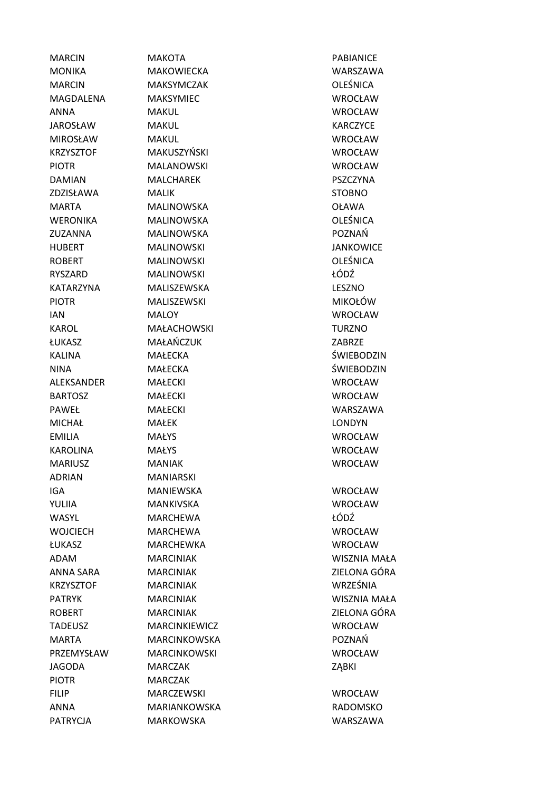| <b>MARCIN</b>    | <b>MAKOTA</b>       | <b>PABIANICE</b>    |
|------------------|---------------------|---------------------|
| <b>MONIKA</b>    | <b>MAKOWIECKA</b>   | <b>WARSZAWA</b>     |
| <b>MARCIN</b>    | <b>MAKSYMCZAK</b>   | <b>OLEŚNICA</b>     |
| MAGDALENA        | <b>MAKSYMIEC</b>    | WROCŁAW             |
| <b>ANNA</b>      | <b>MAKUL</b>        | <b>WROCŁAW</b>      |
| <b>JAROSŁAW</b>  | <b>MAKUL</b>        | <b>KARCZYCE</b>     |
| <b>MIROSŁAW</b>  | <b>MAKUL</b>        | <b>WROCŁAW</b>      |
| <b>KRZYSZTOF</b> | MAKUSZYŃSKI         | <b>WROCŁAW</b>      |
| <b>PIOTR</b>     | <b>MALANOWSKI</b>   | WROCŁAW             |
| <b>DAMIAN</b>    | <b>MALCHAREK</b>    | PSZCZYNA            |
| ZDZISŁAWA        | <b>MALIK</b>        | <b>STOBNO</b>       |
| <b>MARTA</b>     | <b>MALINOWSKA</b>   | <b>OŁAWA</b>        |
| <b>WERONIKA</b>  | <b>MALINOWSKA</b>   | <b>OLEŚNICA</b>     |
| ZUZANNA          | <b>MALINOWSKA</b>   | POZNAŃ              |
| <b>HUBERT</b>    | <b>MALINOWSKI</b>   | <b>JANKOWICE</b>    |
| <b>ROBERT</b>    | <b>MALINOWSKI</b>   | <b>OLEŚNICA</b>     |
| <b>RYSZARD</b>   | <b>MALINOWSKI</b>   | ŁÓDŹ                |
| <b>KATARZYNA</b> | MALISZEWSKA         | LESZNO              |
| <b>PIOTR</b>     | MALISZEWSKI         | <b>MIKOŁÓW</b>      |
| <b>IAN</b>       | <b>MALOY</b>        | <b>WROCŁAW</b>      |
| <b>KAROL</b>     | <b>MAŁACHOWSKI</b>  | <b>TURZNO</b>       |
| ŁUKASZ           | MAŁAŃCZUK           | <b>ZABRZE</b>       |
| <b>KALINA</b>    | <b>MAŁECKA</b>      | ŚWIEBODZIN          |
| <b>NINA</b>      | <b>MAŁECKA</b>      | ŚWIEBODZIN          |
| ALEKSANDER       | <b>MAŁECKI</b>      | <b>WROCŁAW</b>      |
| <b>BARTOSZ</b>   | <b>MAŁECKI</b>      | <b>WROCŁAW</b>      |
| PAWEŁ            | <b>MAŁECKI</b>      | <b>WARSZAWA</b>     |
| <b>MICHAŁ</b>    | <b>MAŁEK</b>        | <b>LONDYN</b>       |
| <b>EMILIA</b>    | <b>MAŁYS</b>        | <b>WROCŁAW</b>      |
| <b>KAROLINA</b>  | <b>MAŁYS</b>        | <b>WROCŁAW</b>      |
| <b>MARIUSZ</b>   | <b>MANIAK</b>       | <b>WROCŁAW</b>      |
| <b>ADRIAN</b>    | MANIARSKI           |                     |
| <b>IGA</b>       | <b>MANIEWSKA</b>    | <b>WROCŁAW</b>      |
| YULIIA           | <b>MANKIVSKA</b>    | <b>WROCŁAW</b>      |
| <b>WASYL</b>     | <b>MARCHEWA</b>     | ŁÓDŹ                |
| <b>WOJCIECH</b>  | <b>MARCHEWA</b>     | <b>WROCŁAW</b>      |
| ŁUKASZ           | <b>MARCHEWKA</b>    | <b>WROCŁAW</b>      |
| ADAM             | <b>MARCINIAK</b>    | <b>WISZNIA MAŁA</b> |
| ANNA SARA        | <b>MARCINIAK</b>    | ZIELONA GÓRA        |
| <b>KRZYSZTOF</b> | <b>MARCINIAK</b>    | WRZEŚNIA            |
| <b>PATRYK</b>    | <b>MARCINIAK</b>    | <b>WISZNIA MAŁA</b> |
| <b>ROBERT</b>    | <b>MARCINIAK</b>    | ZIELONA GÓRA        |
| <b>TADEUSZ</b>   | MARCINKIEWICZ       | <b>WROCŁAW</b>      |
| <b>MARTA</b>     | <b>MARCINKOWSKA</b> | POZNAŃ              |
| PRZEMYSŁAW       | <b>MARCINKOWSKI</b> | <b>WROCŁAW</b>      |
| <b>JAGODA</b>    | <b>MARCZAK</b>      | ZĄBKI               |
| <b>PIOTR</b>     | <b>MARCZAK</b>      |                     |
| <b>FILIP</b>     | <b>MARCZEWSKI</b>   | <b>WROCŁAW</b>      |
| <b>ANNA</b>      | MARIANKOWSKA        | <b>RADOMSKO</b>     |
| <b>PATRYCJA</b>  | <b>MARKOWSKA</b>    | WARSZAWA            |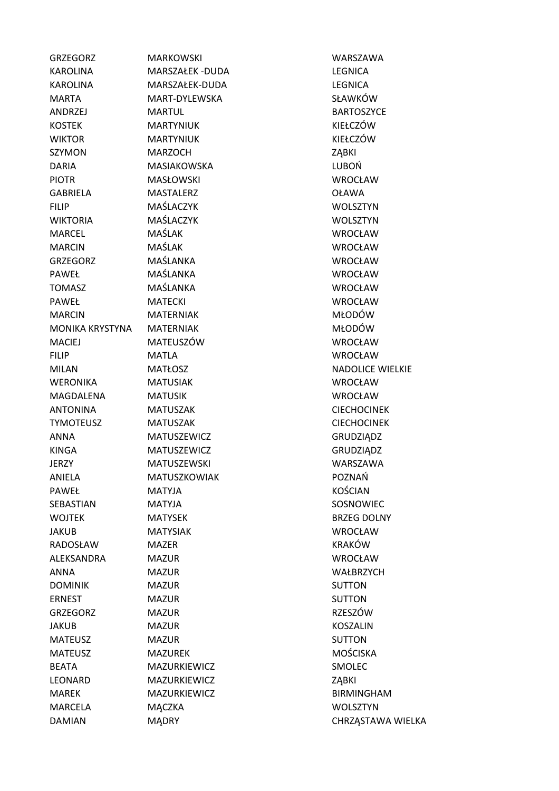| <b>GRZEGORZ</b>        | <b>MARKOWSKI</b>   | WARSZAWA                |
|------------------------|--------------------|-------------------------|
| <b>KAROLINA</b>        | MARSZAŁEK -DUDA    | <b>LEGNICA</b>          |
| <b>KAROLINA</b>        | MARSZAŁEK-DUDA     | <b>LEGNICA</b>          |
| <b>MARTA</b>           | MART-DYLEWSKA      | SŁAWKÓW                 |
| ANDRZEJ                | <b>MARTUL</b>      | <b>BARTOSZYCE</b>       |
| <b>KOSTEK</b>          | <b>MARTYNIUK</b>   | KIEŁCZÓW                |
| <b>WIKTOR</b>          | <b>MARTYNIUK</b>   | KIEŁCZÓW                |
| <b>SZYMON</b>          | <b>MARZOCH</b>     | ZĄBKI                   |
| <b>DARIA</b>           | <b>MASIAKOWSKA</b> | LUBOŃ                   |
| <b>PIOTR</b>           | <b>MASŁOWSKI</b>   | WROCŁAW                 |
| <b>GABRIELA</b>        | <b>MASTALERZ</b>   | <b>OŁAWA</b>            |
| <b>FILIP</b>           | MAŚLACZYK          | <b>WOLSZTYN</b>         |
| <b>WIKTORIA</b>        | MAŚLACZYK          | WOLSZTYN                |
| <b>MARCEL</b>          | MAŚLAK             | WROCŁAW                 |
| <b>MARCIN</b>          | MAŚLAK             | WROCŁAW                 |
| <b>GRZEGORZ</b>        | MAŚLANKA           | WROCŁAW                 |
| PAWEŁ                  | MAŚLANKA           | WROCŁAW                 |
| <b>TOMASZ</b>          | MAŚLANKA           | <b>WROCŁAW</b>          |
| PAWEŁ                  | <b>MATECKI</b>     | WROCŁAW                 |
| <b>MARCIN</b>          | <b>MATERNIAK</b>   | <b>MŁODÓW</b>           |
| <b>MONIKA KRYSTYNA</b> | <b>MATERNIAK</b>   | MŁODÓW                  |
| <b>MACIEJ</b>          | MATEUSZÓW          | <b>WROCŁAW</b>          |
| <b>FILIP</b>           | <b>MATLA</b>       | <b>WROCŁAW</b>          |
| <b>MILAN</b>           | <b>MATŁOSZ</b>     | <b>NADOLICE WIELKIE</b> |
| <b>WERONIKA</b>        | <b>MATUSIAK</b>    | WROCŁAW                 |
| MAGDALENA              | <b>MATUSIK</b>     | WROCŁAW                 |
| <b>ANTONINA</b>        | <b>MATUSZAK</b>    | <b>CIECHOCINEK</b>      |
| <b>TYMOTEUSZ</b>       | <b>MATUSZAK</b>    | <b>CIECHOCINEK</b>      |
| ANNA                   | MATUSZEWICZ        | GRUDZIĄDZ               |
| <b>KINGA</b>           | MATUSZEWICZ        | GRUDZIĄDZ               |
| JERZY                  | <b>MATUSZEWSKI</b> | WARSZAWA                |
| ANIELA                 | MATUSZKOWIAK       | POZNAŃ                  |
| PAWEŁ                  | <b>MATYJA</b>      | <b>KOŚCIAN</b>          |
| SEBASTIAN              | <b>MATYJA</b>      | SOSNOWIEC               |
| <b>WOJTEK</b>          | <b>MATYSEK</b>     | <b>BRZEG DOLNY</b>      |
| JAKUB                  | <b>MATYSIAK</b>    | WROCŁAW                 |
| RADOSŁAW               | <b>MAZER</b>       | <b>KRAKÓW</b>           |
| ALEKSANDRA             | <b>MAZUR</b>       | <b>WROCŁAW</b>          |
| ANNA                   | <b>MAZUR</b>       | WAŁBRZYCH               |
| <b>DOMINIK</b>         | <b>MAZUR</b>       | <b>SUTTON</b>           |
| <b>ERNEST</b>          | <b>MAZUR</b>       | <b>SUTTON</b>           |
| <b>GRZEGORZ</b>        | <b>MAZUR</b>       | RZESZÓW                 |
| <b>JAKUB</b>           | <b>MAZUR</b>       | <b>KOSZALIN</b>         |
| <b>MATEUSZ</b>         | <b>MAZUR</b>       | <b>SUTTON</b>           |
| <b>MATEUSZ</b>         | <b>MAZUREK</b>     | MOŚCISKA                |
| <b>BEATA</b>           | MAZURKIEWICZ       | SMOLEC                  |
| <b>LEONARD</b>         | MAZURKIEWICZ       | ZĄBKI                   |
| <b>MAREK</b>           | MAZURKIEWICZ       | <b>BIRMINGHAM</b>       |
| MARCELA                | MĄCZKA             | <b>WOLSZTYN</b>         |
| <b>DAMIAN</b>          | MĄDRY              | CHRZĄSTAWA WIELKA       |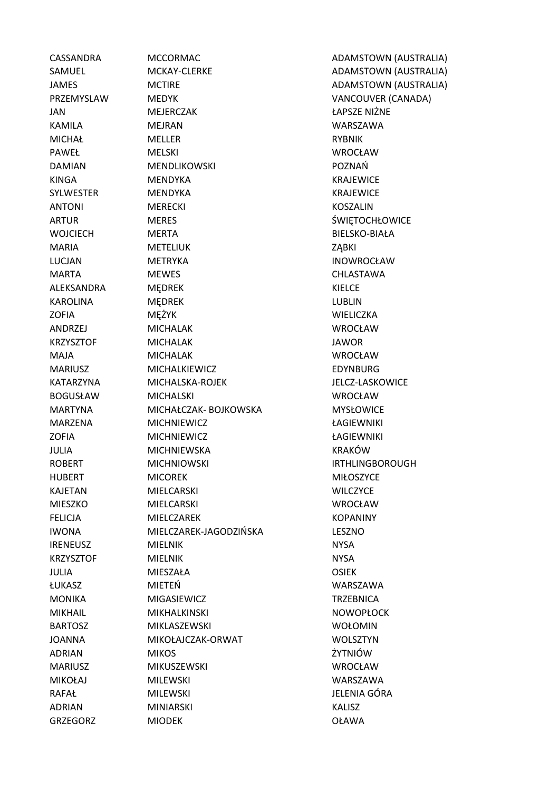GRZEGORZ MIODEK OŁAWA

CASSANDRA MCCORMAC ADAMSTOWN (AUSTRALIA) SAMUEL **MCKAY-CLERKE ADAMSTOWN (AUSTRALIA**) JAMES MCTIRE ADAMSTOWN (AUSTRALIA) PRZEMYSLAW MEDYK VANCOUVER (CANADA) JAN MEJERCZAK ŁAPSZE NIŻNE KAMILA MEJRAN WARSZAWA MICHAŁ MELLER **MELLER** RYBNIK PAWEŁ MELSKI WROCŁAW DAMIAN MENDLIKOWSKI POZNAŃ KINGA MENDYKA KRAJEWICE SYLWESTER MENDYKA KRAJEWICE ANTONI MERECKI KOSZALIN ARTUR MERES ŚWIĘTOCHŁOWICE WOJCIECH MERTA BIELSKO-BIAŁA MARIA METELIUK ZABKI LUCJAN METRYKA INOWROCŁAW MARTA MEWES CHLASTAWA ALEKSANDRA MĘDREK KIELCE KAROLINA MĘDREK LUBLIN ZOFIA MĘŻYK WIELICZKA ANDRZEJ MICHALAK WROCŁAW KRZYSZTOF MICHALAK JAWOR MAJA MICHALAK WROCŁAW MARIUSZ MICHALKIEWICZ EDYNBURG KATARZYNA MICHALSKA-ROJEK JELCZ-LASKOWICE BOGUSŁAW MICHALSKI WROCŁAW MARTYNA MICHAŁCZAK- BOJKOWSKA MYSŁOWICE MARZENA MICHNIEWICZ ŁAGIEWNIKI ZOFIA MICHNIEWICZ ŁAGIEWNIKI JULIA MICHNIEWSKA KRAKÓW ROBERT MICHNIOWSKI IN BRITHLINGBOROUGH HUBERT MICOREK MIŁOSZYCE KAJETAN MIELCARSKI WILCZYCE MIESZKO MIELCARSKI WROCŁAW FELICJA MIELCZAREK KOPANINY IWONA MIELCZAREK-JAGODZIŃSKA LESZNO IRENEUSZ MIELNIK NYSA KRZYSZTOF MIELNIK NYSA NYSA JULIA MIESZAŁA OSIEK ŁUKASZ MIETEŃ WARSZAWA MONIKA MIGASIEWICZ TRZEBNICA MIKHAIL MIKHALKINSKI NOWOPŁOCK BARTOSZ MIKLASZEWSKI WOŁOMIN JOANNA MIKOŁAJCZAK-ORWAT WOLSZTYN ADRIAN MIKOS ŻYTNIÓW MARIUSZ MIKUSZEWSKI WROCŁAW MIKOŁAJ MILEWSKI WARSZAWA RAFAŁ MILEWSKI JELENIA GÓRA ADRIAN MINIARSKI KALISZ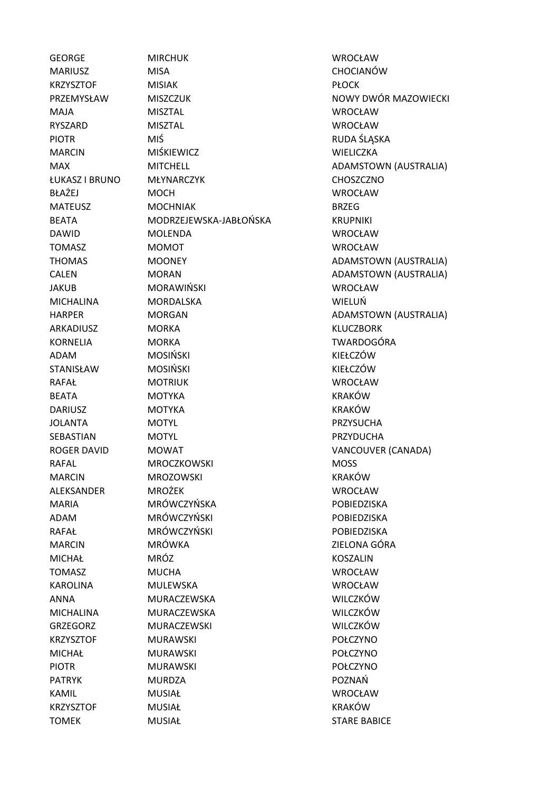TOMEK MUSIAŁ MUSIAŁ STARE BABICE

GEORGE MIRCHUK WROCŁAW MARIUSZ MISA CHOCIANÓW KRZYSZTOF MISIAK PŁOCK MAJA MISZTAL WROCŁAW RYSZARD MISZTAL WROCŁAW PIOTR MIŚ MIŚ RUDA ŚLĄSKA MARCIN MIŚKIEWICZ WIELICZKA ŁUKASZ I BRUNO MŁYNARCZYK CHOSZCZNO BŁAŻEJ MOCH WROCŁAW MATELISZ MOCHNIAK BRZEG BEATA MODRZEJEWSKA-JABŁOŃSKA KRUPNIKI DAWID MOLENDA WROCŁAW TOMASZ MOMOT WROCŁAW JAKUB MORAWIŃSKI WROCŁAW MICHALINA MORDALSKA WIELUŃ ARKADIUSZ MORKA KLUCZBORK KORNELIA MORKA TWARDOGÓRA ADAM MOSIŃSKI KIEŁCZÓW STANISŁAW MOSIŃSKI KIEŁCZÓW RAFAŁ MOTRIUK WROCŁAW BEATA MOTYKA KRAKÓW DARIUSZ MOTYKA KRAKÓW JOLANTA MOTYL PRZYSUCHA SEBASTIAN MOTYL MOTYL PRZYDUCHA ROGER DAVID MOWAT VANCOUVER (CANADA) RAFAL MROCZKOWSKI MOSS MARCIN MROZOWSKI KRAKÓW ALEKSANDER MROŻEK WROCŁAW MARIA MRÓWCZYŃSKA POBIEDZISKA ADAM MRÓWCZYŃSKI POBIEDZISKA RAFAŁ MRÓWCZYŃSKI POBIEDZISKA MARCIN MRÓWKA ZIELONA GÓRA MICHAŁ MRÓZ KOSZALIN TOMASZ MUCHA WROCŁAW KAROLINA MULEWSKA WROCŁAW ANNA MURACZEWSKA WILCZKÓW MICHALINA MURACZEWSKA WILCZKÓW GRZEGORZ MURACZEWSKI WILCZKÓW KRZYSZTOF MURAWSKI POŁCZYNO MICHAŁ MURAWSKI POŁCZYNO PIOTR MURAWSKI POŁCZYNO PATRYK MURDZA POZNAŃ KAMIL MUSIAŁ WROCŁAW KRZYSZTOF MUSIAŁ KRAKÓW

PRZEMYSŁAW MISZCZUK NOWY DWÓR MAZOWIECKI MAX MITCHELL MITCHELL ADAMSTOWN (AUSTRALIA) THOMAS MOONEY MOONEY ADAMSTOWN (AUSTRALIA) CALEN MORAN MORAN ADAMSTOWN (AUSTRALIA) HARPER MORGAN MORGAN ADAMSTOWN (AUSTRALIA)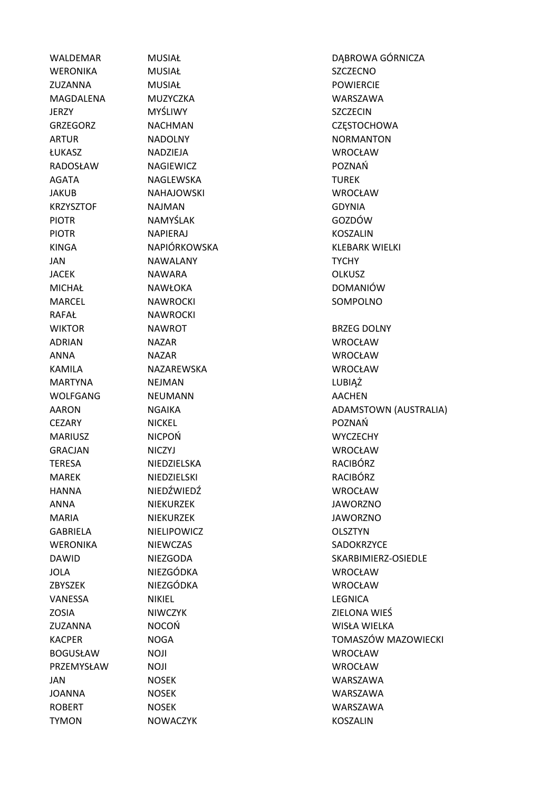RAFAŁ NAWROCKI TYMON NOWACZYK KOSZALIN

WERONIKA MUSIAŁ SZCZECNO ZUZANNA MUSIAŁ POWIERCIE MAGDALENA MUZYCZKA WARSZAWA JERZY MYŚLIWY SZCZECIN ARTUR NADOLNY NADOLNY NORMANTON ŁUKASZ NADZIEJA WROCŁAW RADOSŁAW NAGIEWICZ POZNAŃ AGATA NAGLEWSKA NAGREWSKA TUREK JAKUB NAHAJOWSKI WROCŁAW KRZYSZTOF NAJMAN GDYNIA PIOTR NAMYŚLAK GOZDÓW PIOTR NAPIERAJ KOSZALIN JAN NAWALANY TYCHY JACEK NAWARA OLKUSZ MICHAŁ NAWŁOKA DOMANIÓW MARCEL NAWROCKI SOMPOLNO WIKTOR **NAWROT BRZEG DOLNY** ADRIAN NAZAR WROCŁAW ANNA NAZAR WROCŁAW KAMILA NAZAREWSKA WROCŁAW MARTYNA NEJMAN LUBIĄŻ WOLFGANG NEUMANN AACHEN CEZARY NICKEL POZNAŃ MARIUSZ NICPOŃ WYCZECHY GRACJAN NICZYJ WROCŁAW TERESA NIEDZIELSKA RACIBÓRZ MAREK NIEDZIELSKI RACIBÓRZ HANNA NIEDŹWIEDŹ WROCŁAW ANNA NIEKURZEK HAWORZNO MARIA NIEKURZEK JAWORZNO GABRIELA NIELIPOWICZ OLSZTYN WERONIKA NIEWCZAS SADOKRZYCE JOLA NIEZGÓDKA WROCŁAW ZBYSZEK NIEZGÓDKA WROCŁAW VANESSA NIKIEL DESINICA ZOSIA NIWCZYK ZIELONA WIEŚ ZUZANNA NOCOŃ WISŁA WIELKA BOGUSŁAW NOJI WROCŁAW PRZEMYSŁAW NOJI WROCŁAW JAN NOSEK WARSZAWA JOANNA NOSEK WARSZAWA ROBERT NOSEK WARSZAWA

WALDEMAR MUSIAŁ DABROWA GÓRNICZA GRZEGORZ NACHMAN CZĘSTOCHOWA KINGA NAPIÓRKOWSKA KLEBARK WIELKI AARON NGAIKA ADAMSTOWN (AUSTRALIA) DAWID NIEZGODA SKARBIMIERZ-OSIEDLE KACPER NOGA TOMASZÓW MAZOWIECKI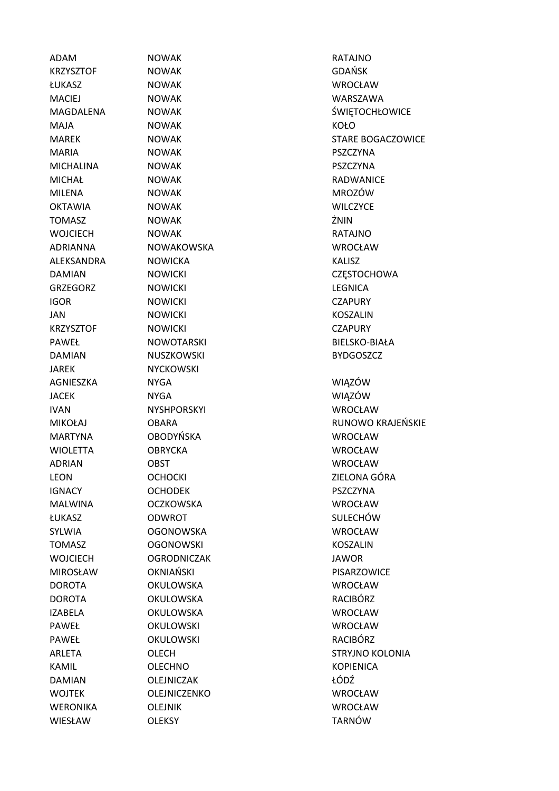KRZYSZTOF NOWAK GDAŃSK ŁUKASZ NOWAK WROCŁAW MACIEJ NOWAK WARSZAWA MAJA NOWAK KOŁO MARIA NOWAK PSZCZYNA MICHALINA NOWAK PSZCZYNA MICHAŁ NOWAK RADWANICE MILENA NOWAK MROZÓW OKTAWIA NOWAK WILCZYCE TOMASZ NOWAK ŻNIN WOJCIECH NOWAK RATAJNO ADRIANNA NOWAKOWSKA WROCŁAW ALEKSANDRA NOWICKA KALISZ GRZEGORZ NOWICKI LEGNICA IGOR NOWICKI CZAPURY JAN NOWICKI KOSZALIN KRZYSZTOF NOWICKI CZAPURY DAMIAN NUSZKOWSKI BYDGOSZCZ JAREK NYCKOWSKI AGNIESZKA NYGA WIĄZÓW JACEK NYGA WIĄZÓW IVAN NYSHPORSKYI WROCŁAW MARTYNA OBODYŃSKA WROCŁAW WIOLETTA OBRYCKA WROCŁAW ADRIAN OBST WROCŁAW IGNACY OCHODEK PSZCZYNA MALWINA OCZKOWSKA WROCŁAW ŁUKASZ ODWROT SULECHÓW SYLWIA OGONOWSKA WROCŁAW TOMASZ OGONOWSKI KOSZALIN WOJCIECH OGRODNICZAK JAWOR MIROSŁAW OKNIAŃSKI PISARZOWICE DOROTA OKULOWSKA WROCŁAW DOROTA OKULOWSKA RACIBÓRZ IZABELA OKULOWSKA WROCŁAW PAWEŁ OKULOWSKI WROCŁAW PAWEŁ OKULOWSKI RACIBÓRZ KAMIL OLECHNO NAMIL OLECHNO DAMIAN OLEJNICZAK ŁÓDŹ WOJTEK OLEJNICZENKO WROCŁAW WERONIKA OLEJNIK WROCŁAW WIESŁAW OLEKSY TARNÓW

ADAM NOWAK RATAJNO MAGDALENA NOWAK ŚWIĘTOCHŁOWICE MAREK NOWAK NOWA NOWAR STARE BOGACZOWICE DAMIAN NOWICKI NOWICKI CZESTOCHOWA PAWEŁ NOWOTARSKI BIELSKO-BIAŁA MIKOŁAJ OBARA RUNOWO KRAJEŃSKIE LEON OCHOCKI ZIELONA GÓRA ARLETA OLECH COLONIA OLECH STRYJNO KOLONIA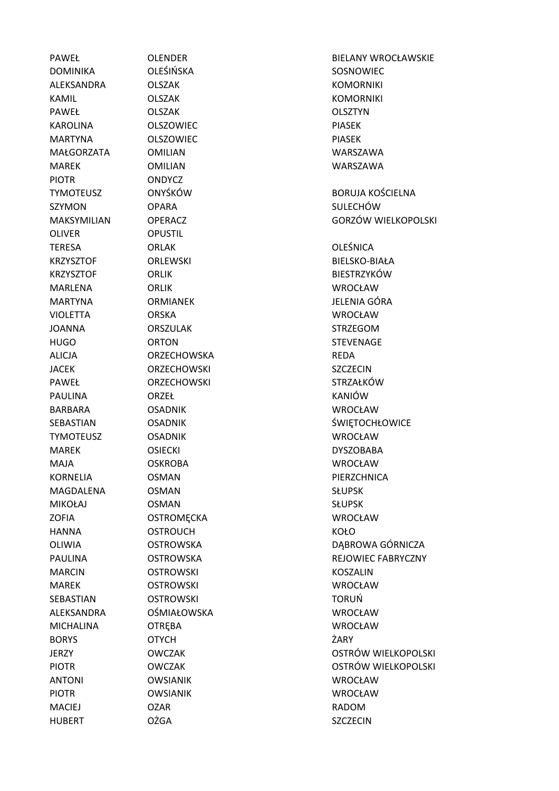DOMINIKA OLEŚIŃSKA SOSNOWIEC ALEKSANDRA OLSZAK KOMORNIKI KAMIL OLSZAK KOMORNIKI PAWEŁ OLSZAK OLSZTYN KAROLINA OLSZOWIEC PIASEK MARTYNA OLSZOWIEC PIASEK MAŁGORZATA OMILIAN WARSZAWA MAREK OMILIAN WARSZAWA PIOTR ONDYCZ SZYMON OPARA **SZYMON** SULECHÓW OLIVER OPUSTIL TERESA ORLAK OLEŚNICA MARLENA ORLIK WROCŁAW VIOLETTA ORSKA WROCŁAW JOANNA ORSZULAK STRZEGOM HUGO ORTON STEVENAGE ALICJA ORZECHOWSKA REDA JACEK ORZECHOWSKI SZCZECIN PAWEŁ ORZECHOWSKI STRZAŁKÓW PAULINA ORZEŁ KANIÓW BARBARA OSADNIK WROCŁAW TYMOTEUSZ OSADNIK WROCŁAW MAREK OSIECKI DYSZOBABA MAJA OSKROBA WROCŁAW KORNELIA OSMAN PIERZCHNICA MAGDALENA OSMAN SŁUPSK MIKOŁAJ OSMAN SŁUPSK ZOFIA OSTROMĘCKA WROCŁAW HANNA OSTROUCH KOŁO MARCIN OSTROWSKI KOSZALIN MAREK OSTROWSKI WROCŁAW SEBASTIAN OSTROWSKI TORUŃ ALEKSANDRA OŚMIAŁOWSKA WROCŁAW MICHALINA OTRĘBA WROCŁAW BORYS OTYCH ŻARY ANTONI OWSIANIK WROCŁAW PIOTR OWSIANIK WROCŁAW MACIEJ OZAR OZAR RADOM HUBERT OŻGA SZCZECIN

PAWEŁ OLENDER BIELANY WROCŁAWSKIE TYMOTEUSZ ONYŚKÓW BORUJA KOŚCIELNA MAKSYMILIAN OPERACZ GORZÓW WIELKOPOLSKI KRZYSZTOF ORLEWSKI BIELSKO-BIAŁA KRZYSZTOF ORLIK BIESTRZYKÓW MARTYNA ORMIANEK JELENIA GÓRA SEBASTIAN OSADNIK SEBASTIAN OSADNIK SEBASTIAN SEBASTIAN OSADNIK OLIWIA OSTROWSKA DABROWA GÓRNICZA PAULINA OSTROWSKA REJOWIEC FABRYCZNY JERZY OWCZAK OSTRÓW WIELKOPOLSKI PIOTR OWCZAK OSTRÓW WIELKOPOLSKI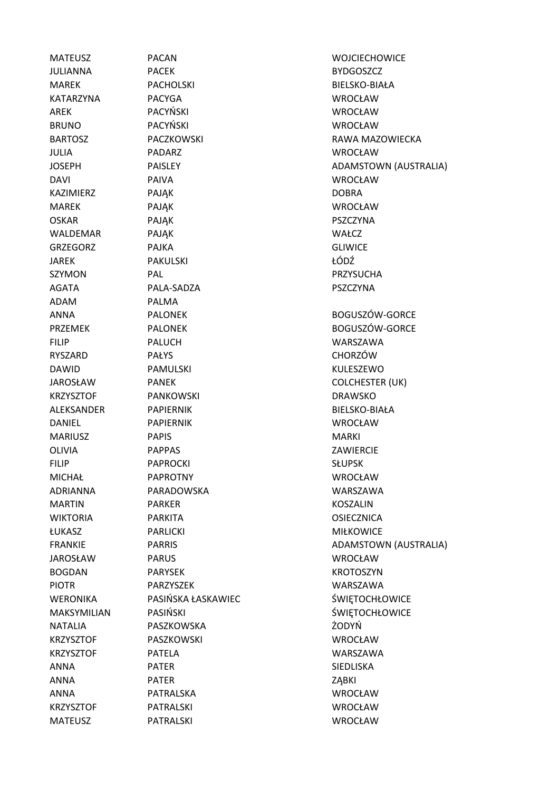ADAM PALMA

MATEUSZ PACAN WOJCIECHOWICE JULIANNA PACEK BYDGOSZCZ MAREK PACHOLSKI BIELSKO-BIAŁA KATARZYNA PACYGA WROCŁAW AREK PACYŃSKI WROCŁAW BRUNO PACYŃSKI WROCŁAW JULIA PADARZ WROCŁAW DAVI PAIVA WROCŁAW KAZIMIERZ PAJĄK PAJĄK DOBRA MAREK PAJĄK WROCŁAW OSKAR PAJĄK PSZCZYNA WALDEMAR PAJĄK WAŁCZ GRZEGORZ PAJKA GLIWICE JAREK PAKULSKI ŁÓDŹ SZYMON PAL PAL PRZYSUCHA AGATA PALA-SADZA PSZCZYNA ANNA PALONEK BOGUSZÓW-GORCE PRZEMEK PALONEK BOGUSZÓW-GORCE FILIP PALUCH WARSZAWA RYSZARD PAŁYS CHORZÓW DAWID PAMULSKI KULESZEWO JAROSŁAW PANEK COLCHESTER (UK) KRZYSZTOF PANKOWSKI DRAWSKO ALEKSANDER PAPIERNIK BIELSKO-BIAŁA DANIEL PAPIERNIK WROCŁAW MARIUSZ PAPIS PAPIS MARKI OLIVIA PAPPAS ZAWIERCIE FILIP PAPROCKI SŁUPSK MICHAŁ PAPROTNY WROCŁAW ADRIANNA PARADOWSKA WARSZAWA MARTIN PARKER KOSZALIN WIKTORIA PARKITA OSIECZNICA ŁUKASZ PARLICKI MIŁKOWICE JAROSŁAW PARUS WROCŁAW BOGDAN PARYSEK KROTOSZYN PIOTR PARZYSZEK WARSZAWA WERONIKA PASIŃSKA ŁASKAWIEC SWIETOCHŁOWICE MAKSYMILIAN PASIŃSKI START SWIETOCHŁOWICE NATALIA PASZKOWSKA ŻODYŃ KRZYSZTOF PASZKOWSKI WROCŁAW KRZYSZTOF PATELA WARSZAWA ANNA PATER SIEDLISKA ANNA PATER ZĄBKI ANNA PATRALSKA WROCŁAW KRZYSZTOF PATRALSKI WROCŁAW

BARTOSZ PACZKOWSKI RAWA MAZOWIECKA JOSEPH PAISLEY PAISLEY ADAMSTOWN (AUSTRALIA) FRANKIE PARRIS PARRIS PARRIS ADAMSTOWN (AUSTRALIA) MATEUSZ PATRALSKI WROCŁAW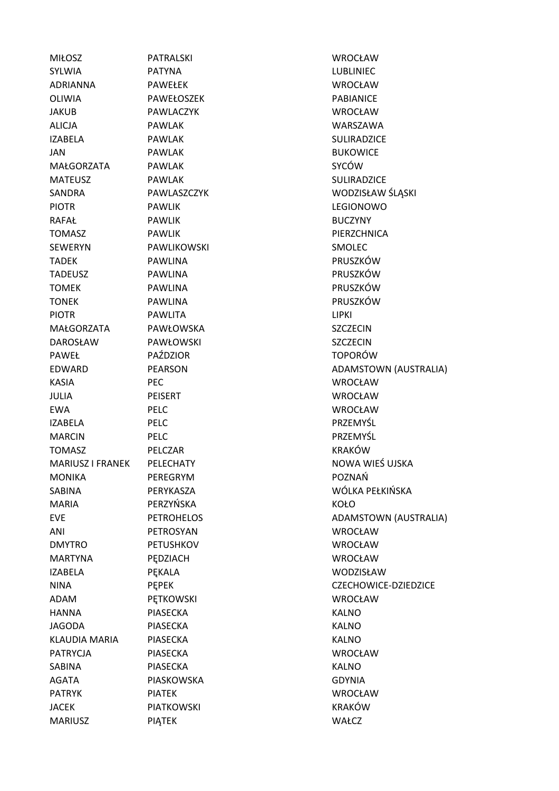| <b>MIŁOSZ</b>        | <b>PATRALSKI</b>  | WROCŁAW          |
|----------------------|-------------------|------------------|
| <b>SYLWIA</b>        | <b>PATYNA</b>     | <b>LUBLINIEC</b> |
| <b>ADRIANNA</b>      | <b>PAWEŁEK</b>    | <b>WROCŁAW</b>   |
| OLIWIA               | PAWEŁOSZEK        | PABIANICE        |
| <b>JAKUB</b>         | PAWLACZYK         | <b>WROCŁAW</b>   |
| <b>ALICJA</b>        | <b>PAWLAK</b>     | <b>WARSZAW</b>   |
| <b>IZABELA</b>       | <b>PAWLAK</b>     | SULIRADZIC       |
| JAN                  | <b>PAWLAK</b>     | <b>BUKOWICE</b>  |
| MAŁGORZATA           | PAWLAK            | SYCÓW            |
| <b>MATEUSZ</b>       | PAWLAK            | SULIRADZIC       |
| SANDRA               | PAWLASZCZYK       | <b>WODZISŁA\</b> |
| <b>PIOTR</b>         | <b>PAWLIK</b>     | LEGIONOW         |
| <b>RAFAŁ</b>         | <b>PAWLIK</b>     | <b>BUCZYNY</b>   |
| <b>TOMASZ</b>        | <b>PAWLIK</b>     | PIERZCHNIC       |
| <b>SEWERYN</b>       | PAWLIKOWSKI       | SMOLEC           |
| <b>TADEK</b>         | <b>PAWLINA</b>    | PRUSZKÓW         |
| <b>TADEUSZ</b>       | PAWLINA           | PRUSZKÓW         |
| <b>TOMEK</b>         | <b>PAWLINA</b>    | PRUSZKÓW         |
| <b>TONEK</b>         | <b>PAWLINA</b>    | PRUSZKÓW         |
| <b>PIOTR</b>         | <b>PAWLITA</b>    | <b>LIPKI</b>     |
| MAŁGORZATA           | PAWŁOWSKA         | SZCZECIN         |
| <b>DAROSŁAW</b>      | PAWŁOWSKI         | SZCZECIN         |
| <b>PAWEŁ</b>         | PAŹDZIOR          | <b>TOPORÓW</b>   |
| <b>EDWARD</b>        | <b>PEARSON</b>    | <b>ADAMSTOV</b>  |
| <b>KASIA</b>         | PEC.              | <b>WROCŁAW</b>   |
| <b>JULIA</b>         | <b>PEISERT</b>    | <b>WROCŁAW</b>   |
| <b>EWA</b>           | <b>PELC</b>       | WROCŁAW          |
| <b>IZABELA</b>       | <b>PELC</b>       | PRZEMYŚL         |
| <b>MARCIN</b>        | PELC              | PRZEMYŚL         |
| <b>TOMASZ</b>        | PELCZAR           | KRAKÓW           |
| MARIUSZ I FRANEK     | PELECHATY         | <b>NOWA WIE</b>  |
| <b>MONIKA</b>        | PEREGRYM          | POZNAŃ           |
| <b>SABINA</b>        | PERYKASZA         | WÓLKA PEŁ        |
| <b>MARIA</b>         | PERZYŃSKA         | KOŁO             |
| <b>EVE</b>           | <b>PETROHELOS</b> | ADAMSTOV         |
| ANI                  | PETROSYAN         | <b>WROCŁAW</b>   |
| <b>DMYTRO</b>        | <b>PETUSHKOV</b>  | <b>WROCŁAW</b>   |
| <b>MARTYNA</b>       | PĘDZIACH          | <b>WROCŁAW</b>   |
| <b>IZABELA</b>       | PEKALA            | <b>WODZISŁA\</b> |
| <b>NINA</b>          | <b>PEPEK</b>      | <b>CZECHOWI</b>  |
| ADAM                 | <b>PETKOWSKI</b>  | <b>WROCŁAW</b>   |
| <b>HANNA</b>         | <b>PIASECKA</b>   | <b>KALNO</b>     |
| <b>JAGODA</b>        | <b>PIASECKA</b>   | <b>KALNO</b>     |
| <b>KLAUDIA MARIA</b> | <b>PIASECKA</b>   | KALNO            |
| <b>PATRYCJA</b>      | <b>PIASECKA</b>   | <b>WROCŁAW</b>   |
| SABINA               | <b>PIASECKA</b>   | <b>KALNO</b>     |
| <b>AGATA</b>         | PIASKOWSKA        | <b>GDYNIA</b>    |
| <b>PATRYK</b>        | <b>PIATEK</b>     | <b>WROCŁAW</b>   |
| <b>JACEK</b>         | <b>PIATKOWSKI</b> | <b>KRAKÓW</b>    |
| <b>MARIUSZ</b>       | PIĄTEK            | WAŁCZ            |

LUBLINIEC. **WROCŁAW** PABIANICE WROCŁAW WARSZAWA SULIRADZICE **BUKOWICE** SULIRADZICE WODZISŁAW ŚLĄSKI LEGIONOWO **BUCZYNY** PIERZCHNICA SMOLEC PRUSZKÓW PRUSZKÓW PRUSZKÓW PRUSZKÓW SZCZECIN **SZCZECIN TOPORÓW** ADAMSTOWN (AUSTRALIA) WROCŁAW WROCŁAW **WROCŁAW** PRZEMYŚL PRZEMYŚL KRAKÓW NOWA WIEŚ UJSKA POZNAŃ WÓLKA PEŁKIŃSKA ADAMSTOWN (AUSTRALIA) **WROCŁAW** WROCŁAW WROCŁAW WODZISŁAW CZECHOWICE-DZIEDZICE WROCŁAW WROCŁAW WROCŁAW KRAKÓW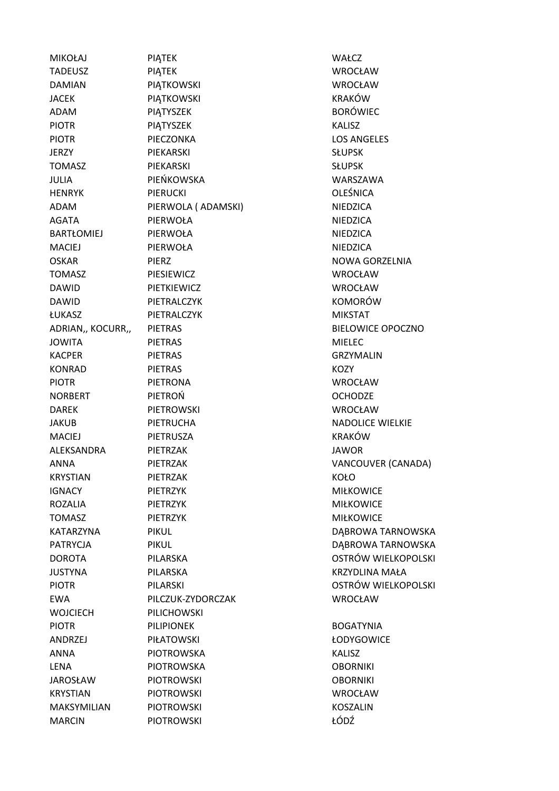| <b>MIKOŁAJ</b>            | PIĄTEK              | WAŁCZ              |
|---------------------------|---------------------|--------------------|
| <b>TADEUSZ</b>            | PIĄTEK              | WROCŁ              |
| <b>DAMIAN</b>             | PIATKOWSKI          | <b>WROCŁ</b>       |
| <b>JACEK</b>              | PIĄTKOWSKI          | <b>KRAKÓ</b>       |
| ADAM                      | PIĄTYSZEK           | <b>BORÓW</b>       |
| <b>PIOTR</b>              | PIATYSZEK           | KALISZ             |
| <b>PIOTR</b>              | PIECZONKA           | LOS AN             |
| <b>JERZY</b>              | PIEKARSKI           | <b>SŁUPSK</b>      |
| <b>TOMASZ</b>             | PIEKARSKI           | <b>SŁUPSK</b>      |
| <b>JULIA</b>              | PIEŃKOWSKA          | <b>WARSZ</b>       |
| <b>HENRYK</b>             | <b>PIERUCKI</b>     | <b>OLEŚNI</b>      |
| ADAM                      | PIERWOLA ( ADAMSKI) | <b>NIEDZIC</b>     |
| <b>AGATA</b>              | PIERWOŁA            | <b>NIEDZIC</b>     |
| BARTŁOMIEJ                | PIERWOŁA            | <b>NIEDZIC</b>     |
| <b>MACIEJ</b>             | PIERWOŁA            | <b>NIEDZIC</b>     |
| <b>OSKAR</b>              | <b>PIERZ</b>        | <b>NOWA</b>        |
| TOMASZ                    | PIESIEWICZ          | <b>WROCŁ</b>       |
| <b>DAWID</b>              | PIETKIEWICZ         | <b>WROCŁ</b>       |
| <b>DAWID</b>              | PIETRALCZYK         | <b>KOMOF</b>       |
| ŁUKASZ                    | PIETRALCZYK         | <b>MIKSTA</b>      |
| ADRIAN,, KOCURR,, PIETRAS |                     | <b>BIELOW</b>      |
| <b>JOWITA</b>             | <b>PIETRAS</b>      | <b>MIELEC</b>      |
| <b>KACPER</b>             | <b>PIETRAS</b>      | <b>GRZYM</b>       |
| <b>KONRAD</b>             | <b>PIETRAS</b>      | KOZY               |
| <b>PIOTR</b>              | <b>PIETRONA</b>     | <b>WROCŁ</b>       |
| <b>NORBERT</b>            | PIETROŃ             | <b>OCHOD</b>       |
| <b>DAREK</b>              | PIETROWSKI          | <b>WROCŁ</b>       |
| <b>JAKUB</b>              | PIETRUCHA           | <b>NADOL</b>       |
| <b>MACIEJ</b>             | PIETRUSZA           | <b>KRAKÓ</b>       |
| ALEKSANDRA                | PIETRZAK            | <b>JAWOR</b>       |
| ANNA                      | <b>PIETRZAK</b>     | VANCO              |
| <b>KRYSTIAN</b>           | PIETRZAK            | KOŁO               |
| <b>IGNACY</b>             | <b>PIETRZYK</b>     | <b>MIŁKO\</b>      |
| <b>ROZALIA</b>            | <b>PIETRZYK</b>     | <b>MIŁKO\</b>      |
| <b>TOMASZ</b>             | <b>PIETRZYK</b>     | <b>MIŁKO\</b>      |
| KATARZYNA                 | <b>PIKUL</b>        | DĄBRO'             |
| <b>PATRYCJA</b>           | <b>PIKUL</b>        | DABRO <sup>®</sup> |
| <b>DOROTA</b>             | PILARSKA            | <b>OSTRÓ</b>       |
| <b>JUSTYNA</b>            | PILARSKA            | <b>KRZYDL</b>      |
| <b>PIOTR</b>              | <b>PILARSKI</b>     | <b>OSTRÓ</b>       |
| <b>EWA</b>                | PILCZUK-ZYDORCZAK   | <b>WROCŁ</b>       |
| <b>WOJCIECH</b>           | PILICHOWSKI         |                    |
| <b>PIOTR</b>              | <b>PILIPIONEK</b>   | <b>BOGAT</b>       |
| ANDRZEJ                   | <b>PIŁATOWSKI</b>   | ŁODYG              |
| <b>ANNA</b>               | <b>PIOTROWSKA</b>   | KALISZ             |
| <b>LENA</b>               | <b>PIOTROWSKA</b>   | <b>OBORN</b>       |
| <b>JAROSŁAW</b>           | <b>PIOTROWSKI</b>   | <b>OBORN</b>       |
| <b>KRYSTIAN</b>           | <b>PIOTROWSKI</b>   | <b>WROCŁ</b>       |
| <b>MAKSYMILIAN</b>        | <b>PIOTROWSKI</b>   | KOSZAL             |
| <b>MARCIN</b>             | <b>PIOTROWSKI</b>   | ŁÓDŹ               |
|                           |                     |                    |

WROCŁAW WROCŁAW KRAKÓW **BORÓWIEC** LOS ANGELES WARSZAWA **OLEŚNICA NIEDZICA** NIEDZICA NIEDZICA **NIEDZICA NOWA GORZELNIA** WROCŁAW WROCŁAW KOMORÓW **MIKSTAT BIELOWICE OPOCZNO GRZYMALIN WROCŁAW** OCHODZE WROCŁAW NADOLICE WIELKIE KRAKÓW VANCOUVER (CANADA) **MIŁKOWICE MIŁKOWICE** MIŁKOWICE DĄBROWA TARNOWSKA DĄBROWA TARNOWSKA OSTRÓW WIELKOPOLSKI KRZYDLINA MAŁA OSTRÓW WIELKOPOLSKI WROCŁAW **BOGATYNIA** ŁODYGOWICE **OBORNIKI OBORNIKI** WROCŁAW KOSZALIN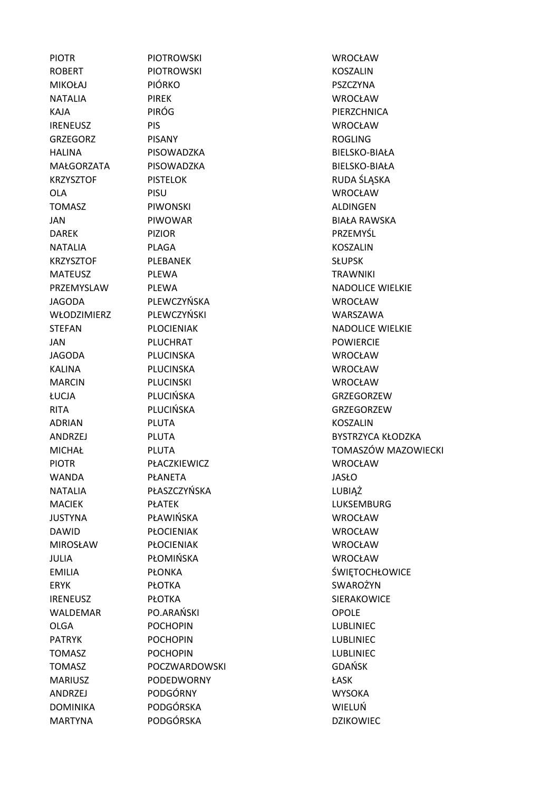ROBERT PIOTROWSKI PIOTROWSKI KOSZALIN MIKOŁAJ PIÓRKO PSZCZYNA NATALIA PIREK WROCŁAW KAJA PIRÓG PIRÓG PIERZCHNICA IRENEUSZ PIS WROCŁAW GRZEGORZ PISANY PISANY ROGLING HALINA PISOWADZKA BIELSKO-BIAŁA MAŁGORZATA PISOWADZKA BIELSKO-BIAŁA KRZYSZTOF PISTELOK PISTELOK RUDA ŚLĄSKA OLA PISU WROCŁAW TOMASZ PIWONSKI PIWONSKI ALDINGEN JAN PIWOWAR BIAŁA RAWSKA DAREK PIZIOR PRZEMYŚL NATALIA PLAGA KOSZALIN KRZYSZTOF PLEBANEK SŁUPSK JAGODA PLEWCZYŃSKA WROCŁAW WŁODZIMIERZ PLEWCZYŃSKI WARSZAWA JAN PLUCHRAT POWIERCIE JAGODA PLUCINSKA WROCŁAW KALINA PLUCINSKA WROCŁAW MARCIN PLUCINSKI WROCŁAW ŁUCJA PLUCIŃSKA GRZEGORZEW RITA PILICIŃSKA GRZEGORZEW ADRIAN PLUTA KOSZALIN PIOTR PŁACZKIEWICZ WROCŁAW WANDA PŁANETA JASŁO NATALIA PŁASZCZYŃSKA Z PRZYKORZY PŁASZCZYŃSKA Z PRZYKORZY PRZYKORZY MACIEK PŁATEK PŁATEK LUKSEMBURG JUSTYNA PŁAWIŃSKA WROCŁAW DAWID PŁOCIENIAK WROCŁAW MIROSŁAW PŁOCIENIAK WROCŁAW JULIA PŁOMIŃSKA WROCŁAW ERYK PŁOTKA SWAROŻYN IRENEUSZ PŁOTKA SIERAKOWICE WALDEMAR PO.ARAŃSKI CPOLE OLGA POCHOPIN LUBLINIEC PATRYK POCHOPIN LUBLINIEC TOMASZ POCHOPIN LUBLINIEC TOMASZ POCZWARDOWSKI GDAŃSK MARIUSZ PODEDWORNY ŁASK ANDRZEJ PODGÓRNY WYSOKA DOMINIKA PODGÓRSKA WIELUŃ MARTYNA PODGÓRSKA DZIKOWIEC

PIOTR PIOTROWSKI WROCŁAW MATEUSZ PLEWA TRAWNIKI

PRZEMYSLAW PLEWA NADOLICE WIELKIE STEFAN PLOCIENIAK NADOLICE WIELKIE ANDRZEJ PLUTA PLUTA BYSTRZYCA KŁODZKA MICHAŁ PLUTA TOMASZÓW MAZOWIECKI EMILIA PŁONKA ŚWIĘTOCHŁOWICE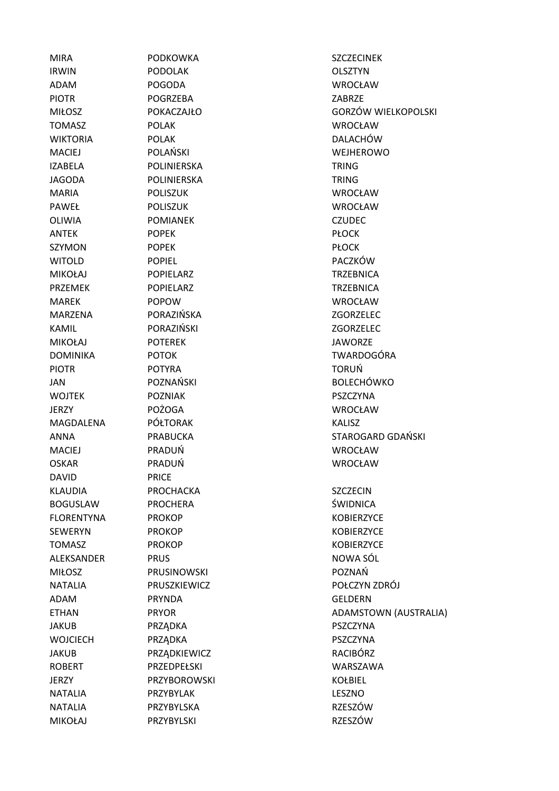MIRA PODKOWKA SZCZECINEK IRWIN PODOLAK OLSZTYN ADAM POGODA WROCŁAW PIOTR POGRZEBA ZABRZE MIŁOSZ POKACZAJŁO GORZÓW WIELKOPOLSKI TOMASZ POLAK WROCŁAW WIKTORIA POLAK POLAK DALACHÓW MACIEJ POLAŃSKI WEJHEROWO IZABELA POLINIERSKA TRING JAGODA POLINIERSKA TRING MARIA POLISZUK WROCŁAW PAWEŁ POLISZUK WROCŁAW OLIWIA POMIANEK CZUDEC ANTEK POPEK PŁOCK SZYMON POPEK POPEK PŁOCK WITOLD POPIEL PACZKÓW MIKOŁAJ POPIELARZ TRZEBNICA PRZEMEK POPIELARZ TRZEBNICA MAREK POPOW WROCŁAW MARZENA PORAZIŃSKA ZGORZELEC KAMIL PORAZIŃSKI ZGORZELEC MIKOŁAJ POTEREK JAWORZE DOMINIKA POTOK TWARDOGÓRA PIOTR POTYRA TORUŃ JAN POZNAŃSKI BOLECHÓWKO WOJTEK POZNIAK POZNIAK PSZCZYNA JERZY POŻOGA WROCŁAW MAGDALENA PÓŁTORAK KALISZ ANNA PRABUCKA STAROGARD GDAŃSKI MACIEJ PRADUŃ WROCŁAW OSKAR PRADUŃ WROCŁAW DAVID PRICE KLAUDIA PROCHACKA SZCZECIN BOGUSLAW PROCHERA ŚWIDNICA FLORENTYNA PROKOP KOBIERZYCE SEWERYN PROKOP NEWSLEET WAARD ENGINEERZYCE TOMASZ PROKOP PROKOP KOBIERZYCE ALEKSANDER PRUS NOWA SÓL MIŁOSZ PRUSINOWSKI POZNAŃ NATALIA PRUSZKIEWICZ POŁCZYN ZDRÓJ ADAM PRYNDA GELDERN ETHAN PRYOR PRYOR ADAMSTOWN (AUSTRALIA) JAKUB PRZĄDKA PSZCZYNA WOJCIECH PRZĄDKA PSZCZYNA JAKUB PRZĄDKIEWICZ RACIBÓRZ ROBERT PRZEDPEŁSKI WARSZAWA JERZY PRZYBOROWSKI KOŁBIEL NATALIA PRZYBYLAK LESZNO NATALIA PRZYBYLSKA PRZYBYLSKA RZESZÓW MIKOŁAJ PRZYBYLSKI PRZYBYLSKI PRZESZÓW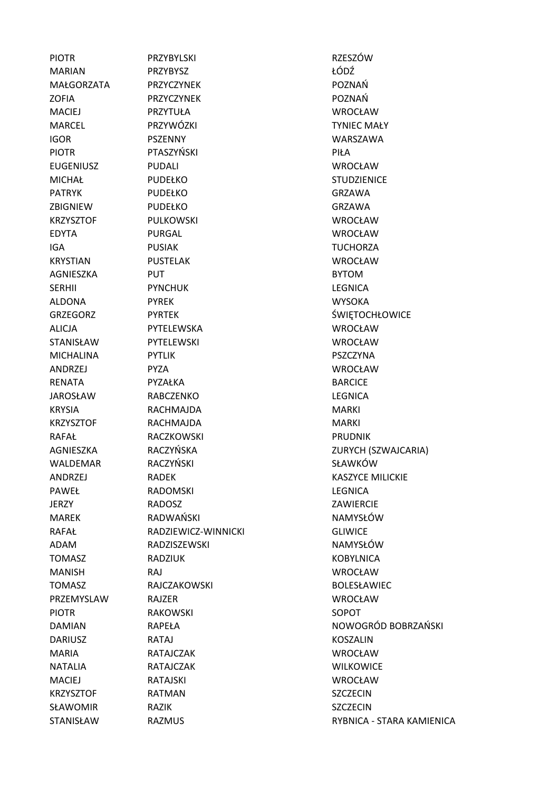PIOTR PRZYBYLSKI PRODUCH PRZYBYLSKI POTR MARIAN PRZYBYSZ ŁÓDŹ MAŁGORZATA PRZYCZYNEK POZNAŃ ZOFIA PRZYCZYNEK POZNAŃ MACIEJ PRZYTUŁA WROCŁAW MARCEL PRZYWÓZKI TYNIEC MAŁY IGOR PSZENNY WARSZAWA PIOTR PTASZYŃSKI PIOTR PIŁA EUGENIUSZ PUDALI WROCŁAW MICHAŁ PUDEŁKO STUDZIENICE PATRYK PUDEŁKO GRZAWA ZBIGNIEW PUDEŁKO GRZAWA KRZYSZTOF PULKOWSKI WROCŁAW EDYTA PURGAL WROCŁAW IGA PUSIAK TUCHORZA KRYSTIAN PUSTELAK WROCŁAW AGNIESZKA PUT BYTOM SERHII PYNCHUK LEGNICA ALDONA PYREK WYSOKA GRZEGORZ PYRTEK ŚWIĘTOCHŁOWICE ALICJA PYTELEWSKA WROCŁAW STANISŁAW PYTELEWSKI WROCŁAW MICHALINA PYTLIK PSZCZYNA ANDRZEJ PYZA WROCŁAW RENATA PYZAŁKA PYZAŁKA BARCICE JAROSŁAW RABCZENKO LEGNICA KRYSIA RACHMAJDA MARKI KRZYSZTOF RACHMAJDA MARKI RAFAŁ RACZKOWSKI PRUDNIK WALDEMAR RACZYŃSKI SŁAWKÓW ANDRZEJ RADEK KASZYCE MILICKIE PAWEŁ RADOMSKI LEGNICA JERZY RADOSZ ZAWIERCIE MAREK RADWAŃSKI NAMYSŁÓW RAFAŁ RADZIEWICZ-WINNICKI GLIWICE ADAM RADZISZEWSKI NAMYSŁÓW TOMASZ RADZIUK KOBYLNICA MANISH RAJ WROCŁAW TOMASZ RAJCZAKOWSKI BOLESŁAWIEC PRZEMYSLAW RAJZER WROCŁAW PIOTR RAKOWSKI SOPOT DARIUSZ RATAJ KOSZALIN MARIA RATAJCZAK WROCŁAW NATALIA RATAJCZAK WILKOWICE MACIEJ RATAJSKI WROCŁAW KRZYSZTOF RATMAN SZCZECIN SŁAWOMIR RAZIK SZCZECIN

AGNIESZKA RACZYŃSKA ZURYCH (SZWAJCARIA) DAMIAN RAPEŁA RAPEŁA NOWOGRÓD BOBRZAŃSKI STANISŁAW RAZMUS RYBNICA - STARA KAMIENICA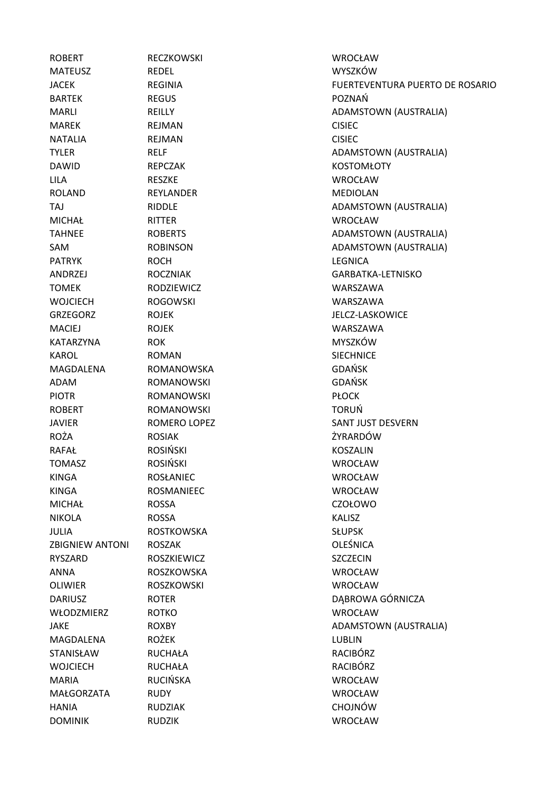ROBERT RECZKOWSKI ROBERT WROCŁAW MATEUSZ REDEL WYSZKÓW BARTEK REGUS REGUS POZNAŃ MAREK REJMAN REJMAN CISIEC NATALIA REJMAN CISIEC DAWID REPCZAK KOSTOMŁOTY LILA RESZKE WROCŁAW ROLAND REYLANDER MEDIOLAN MICHAŁ RITTER WROCŁAW PATRYK ROCH ROCH LEGNICA ANDRZEJ ROCZNIAK GARBATKA-LETNISKO TOMEK RODZIEWICZ WARSZAWA WOJCIECH ROGOWSKI WARSZAWA GRZEGORZ ROJEK JELCZ-LASKOWICE MACIEJ ROJEK WARSZAWA KATARZYNA ROK RÓW MYSZKÓW KAROL **ROMAN** ROMAN SIECHNICE MAGDALENA ROMANOWSKA GDAŃSK ADAM ROMANOWSKI GDAŃSK PIOTR **ROMANOWSKI** PLOCK ROBERT ROMANOWSKI TORUŃ JAVIER ROMERO LOPEZ SANT JUST DESVERN ROŻA ROSIAK ŻYRARDÓW RAFAŁ ROSIŃSKI KOSZALIN TOMASZ ROSIŃSKI WROCŁAW KINGA ROSŁANIEC WROCŁAW KINGA ROSMANIEEC WROCŁAW MICHAŁ ROSSA CZOŁOWO NIKOLA ROSSA KALISZ JULIA ROSTKOWSKA SŁUPSK ZBIGNIEW ANTONI ROSZAK **OLEŚNICA** RYSZARD ROSZKIEWICZ SZCZECIN ANNA ROSZKOWSKA WROCŁAW OLIWIER ROSZKOWSKI WROCŁAW DARIUSZ ROTER DĄBROWA GÓRNICZA WŁODZMIERZ ROTKO WROCŁAW MAGDALENA ROŻEK LUBLIN STANISŁAW RUCHAŁA RACIBÓRZ WOJCIECH RUCHAŁA RACIBÓRZ MARIA RUCIŃSKA WROCŁAW MAŁGORZATA RUDY WROCŁAW HANIA RUDZIAK CHOJNÓW DOMINIK RUDZIK WROCŁAW

JACEK REGINIA FUERTEVENTURA PUERTO DE ROSARIO MARLI REILLY REILLY REILLY ADAMSTOWN (AUSTRALIA) TYLER RELF RELF ADAMSTOWN (AUSTRALIA) TAJ RIDDLE RIDDLE ADAMSTOWN (AUSTRALIA) TAHNEE ROBERTS ADAMSTOWN (AUSTRALIA) SAM ROBINSON ROBINSON ADAMSTOWN (AUSTRALIA) JAKE ROXBY ROXBY ADAMSTOWN (AUSTRALIA)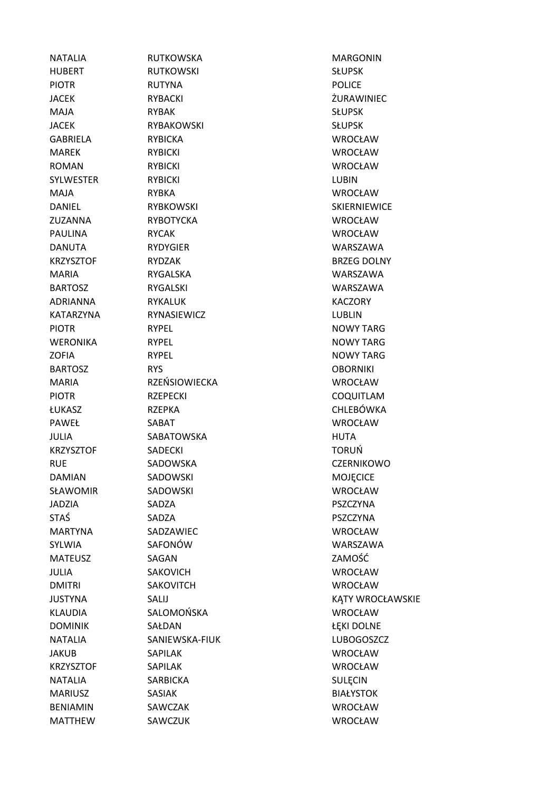HUBERT RUTKOWSKI SŁUPSK PIOTR **RUTYNA** RUTYNA **POLICE** JACEK RYBACKI ŻURAWINIEC MAJA RYBAK SŁUPSK JACEK RYBAKOWSKI SŁUPSK GABRIELA RYBICKA WROCŁAW MAREK RYBICKI WROCŁAW ROMAN RYBICKI ROMAN RYBICKI WROCŁAW SYLWESTER RYBICKI NAMES AND RYBICKI NAMES AND RYBICKI MAJA RYBKA WROCŁAW DANIEL RYBKOWSKI SKIERNIEWICE ZUZANNA RYBOTYCKA WROCŁAW PAULINA RYCAK WROCŁAW DANUTA RYDYGIER WARSZAWA KRZYSZTOF RYDZAK BRZEG DOLNY MARIA RYGALSKA WARSZAWA BARTOSZ RYGALSKI WARSZAWA ADRIANNA RYKALUK KACZORY KATARZYNA RYNASIEWICZ LUBLIN PIOTR **RYPEL** RYPEL **RYPEL RYPEL RYPEL RYPEL RYPEL** WERONIKA RYPEL RYPEL RYPEL NOWY TARG ZOFIA RYPEL NOWY TARG BARTOSZ RYS OBORNIKI MARIA RZEŃSIOWIECKA WROCŁAW PIOTR **RZEPECKI RZEPECKI COOUITLAM** ŁUKASZ RZEPKA CHLEBÓWKA PAWEŁ SABAT WROCŁAW JULIA SABATOWSKA HUTA KRZYSZTOF SADECKI TORUŃ RUE SADOWSKA CZERNIKOWO DAMIAN SADOWSKI SADOWSKI MOJĘCICE SŁAWOMIR SADOWSKI WROCŁAW JADZIA SADZA PSZCZYNA STAŚ SADZA PSZCZYNA MARTYNA SADZAWIEC WROCŁAW SYLWIA SAFONÓW WARSZAWA MATEUSZ SAGAN ZAMOŚĆ JULIA SAKOVICH WROCŁAW DMITRI SAKOVITCH WROCŁAW KLAUDIA SALOMOŃSKA WROCŁAW DOMINIK SAŁDAN **SALDAN** ŁĘKI DOLNE NATALIA SANIEWSKA-FIUK LUBOGOSZCZ JAKUB SAPILAK WROCŁAW KRZYSZTOF SAPILAK WROCŁAW NATALIA SARBICKA SULECIN MARIUSZ SASIAK BIAŁYSTOK BENIAMIN SAWCZAK WROCŁAW MATTHEW SAWCZUK WROCŁAW

NATALIA RUTKOWSKA MARGONIN JUSTYNA SALIJ SALIJ KATY WROCŁAWSKIE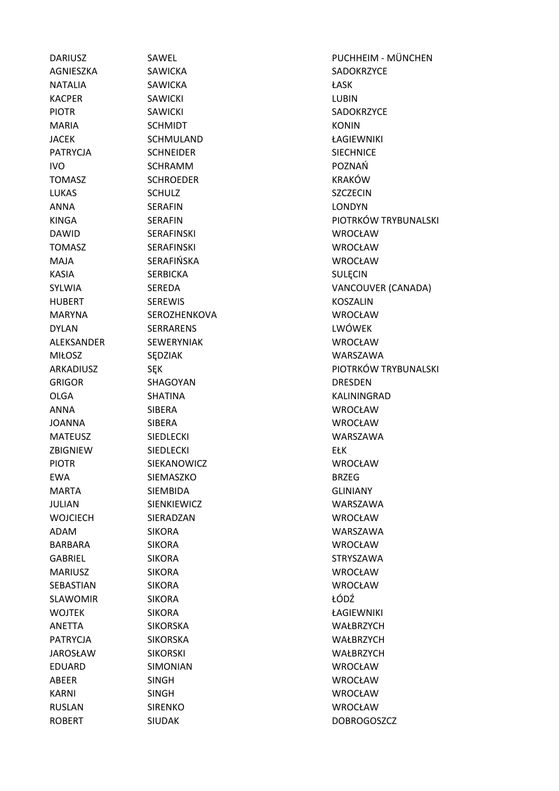AGNIESZKA SAWICKA SADOKRZYCE NATALIA SAWICKA ŁASK KACPER SAWICKI SAWICKI LUBIN PIOTR SAWICKI SADOKRZYCE MARIA SCHMIDT SCHMIDT KONIN JACEK SCHMULAND ŁAGIEWNIKI PATRYCJA SCHNEIDER SIECHNICE IVO SCHRAMM POZNAŃ TOMASZ SCHROEDER KRAKÓW LUKAS SCHULZ SCHULZ SZCZECIN ANNA SERAFIN LONDYN DAWID SERAFINSKI WROCŁAW TOMASZ SERAFINSKI WROCŁAW MAJA SERAFIŃSKA WROCŁAW KASIA SERBICKA SULECIN HUBERT SEREWIS KOSZALIN MARYNA SEROZHENKOVA WROCŁAW DYLAN SERRARENS LWÓWEK ALEKSANDER SEWERYNIAK WROCŁAW MIŁOSZ SĘDZIAK WARSZAWA GRIGOR SHAGOYAN DRESDEN OLGA SHATINA KALININGRAD ANNA SIBERA WROCŁAW JOANNA SIBERA WROCŁAW MATEUSZ SIEDLECKI SIEDLECKI WARSZAWA ZBIGNIEW SIEDLECKI EŁK PIOTR SIEKANOWICZ WROCŁAW EWA SIEMASZKO BRZEG MARTA SIEMBIDA GLINIANY JULIAN SIENKIEWICZ WARSZAWA WOJCIECH SIERADZAN WROCŁAW ADAM SIKORA WARSZAWA BARBARA SIKORA WROCŁAW GABRIEL SIKORA STRYSZAWA MARIUSZ SIKORA WROCŁAW SEBASTIAN SIKORA WROCŁAW SLAWOMIR SIKORA *L*ÓDŹ WOJTEK SIKORA ŁAGIEWNIKI ANETTA SIKORSKA WAŁBRZYCH PATRYCJA SIKORSKA WAŁBRZYCH JAROSŁAW SIKORSKI WAŁBRZYCH EDUARD SIMONIAN WROCŁAW ABEER SINGH WROCŁAW KARNI SINGH WROCŁAW RUSLAN SIRENKO WROCŁAW ROBERT SIUDAK SIUDA SIUDA SIUDA NEWSLET DOBROGOSZCZ

DARIUSZ SAWEL PUCHHEIM - MÜNCHEN KINGA SERAFIN SERAFIN PIOTRKÓW TRYBUNALSKI SYLWIA SEREDA SEREDA VANCOUVER (CANADA) ARKADIUSZ SEK SEK PIOTRKÓW TRYBUNALSKI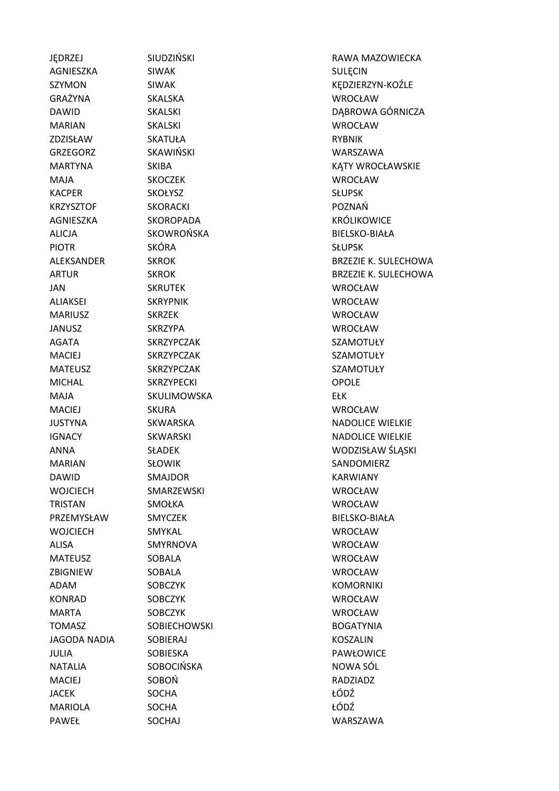AGNIESZKA SIWAK SIWA SULECIN GRAŻYNA SKALSKA WROCŁAW MARIAN SKALSKI WROCŁAW ZDZISŁAW SKATUŁA RYBNIK GRZEGORZ SKAWIŃSKI WARSZAWA MAJA SKOCZEK WROCŁAW KACPER SKOŁYSZ SKOŁYSZ SŁUPSK KRZYSZTOF SKORACKI POZNAŃ AGNIESZKA SKOROPADA KRÓLIKOWICE ALICJA SKOWROŃSKA BIELSKO-BIAŁA PIOTR SKÓRA SKÓRA SŁUPSK JAN SKRUTEK WROCŁAW ALIAKSEI SKRYPNIK WROCŁAW MARIUSZ SKRZEK WROCŁAW JANUSZ SKRZYPA WROCŁAW AGATA SKRZYPCZAK SZAMOTUŁY MACIEJ SKRZYPCZAK SZAMOTUŁY MATEUSZ SKRZYPCZAK SZAMOTUŁY MICHAL SKRZYPECKI OPOLE MAJA SKULIMOWSKA EŁK MACIEJ SKURA WROCŁAW MARIAN SŁOWIK SANDOMIERZ DAWID SMAJDOR KARWIANY WOJCIECH SMARZEWSKI WROCŁAW TRISTAN SMOŁKA WROCŁAW PRZEMYSŁAW SMYCZEK BIELSKO-BIAŁA WOJCIECH SMYKAL WROCŁAW ALISA SMYRNOVA WROCŁAW MATEUSZ SOBALA WROCŁAW ZBIGNIEW SOBALA WROCŁAW ADAM SOBCZYK KOMORNIKI KONRAD SOBCZYK WROCŁAW MARTA SOBCZYK WROCŁAW TOMASZ SOBIECHOWSKI BOGATYNIA JAGODA NADIA SOBIERAJ KOSZALIN JULIA SOBIESKA PAWŁOWICE NATALIA SOBOCIŃSKA NOWA SÓL MACIEJ SOBOŃ RADZIADZ JACEK SOCHA ŁÓDŹ MARIOLA SOCHA +ÓDŹ PAWEŁ SOCHAJ WARSZAWA

JEDRZEJ SIUDZIŃSKI SIEDRZEJ RAWA MAZOWIECKA SZYMON SIWAK SIWAK SIWAK KEDZIERZYN-KOŹLE DAWID SKALSKI SKALSKI DABROWA GÓRNICZA MARTYNA SKIBA SKIBA KĄTY WROCŁAWSKIE ALEKSANDER SKROK SKROK BRZEZIE K. SULECHOWA ARTUR SKROK SKROK BRZEZIE K. SULECHOWA JUSTYNA SKWARSKA NADOLICE WIELKIE IGNACY SKWARSKI NADOLICE WIELKIE ANNA SŁADEK WODZISŁAW ŚLĄSKI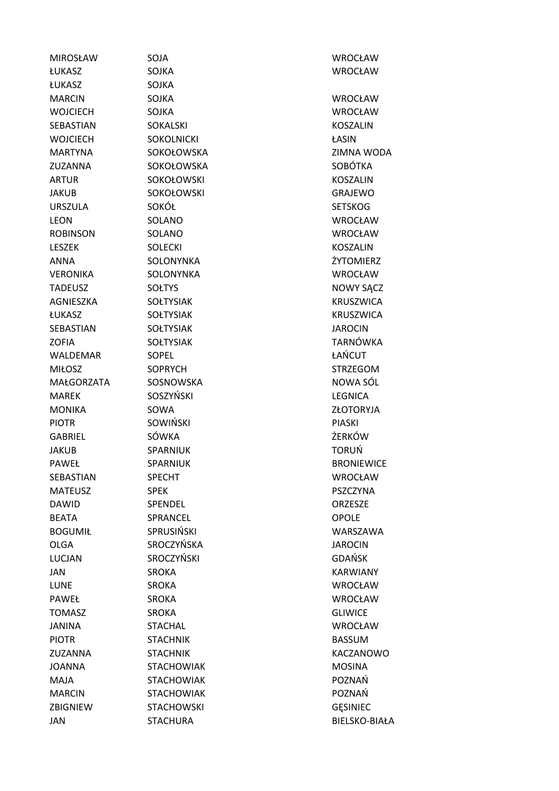| <b>MIROSŁAW</b>   | SOJA              | WROCŁAW              |
|-------------------|-------------------|----------------------|
| <b>ŁUKASZ</b>     | <b>SOJKA</b>      | <b>WROCŁAW</b>       |
| ŁUKASZ            | <b>SOJKA</b>      |                      |
| <b>MARCIN</b>     | <b>SOJKA</b>      | <b>WROCŁAW</b>       |
| <b>WOJCIECH</b>   | <b>SOJKA</b>      | <b>WROCŁAW</b>       |
| SEBASTIAN         | <b>SOKALSKI</b>   | <b>KOSZALIN</b>      |
| <b>WOJCIECH</b>   | <b>SOKOLNICKI</b> | ŁASIN                |
| <b>MARTYNA</b>    | SOKOŁOWSKA        | ZIMNA WODA           |
| <b>ZUZANNA</b>    | SOKOŁOWSKA        | <b>SOBÓTKA</b>       |
| <b>ARTUR</b>      | SOKOŁOWSKI        | <b>KOSZALIN</b>      |
| <b>JAKUB</b>      | SOKOŁOWSKI        | GRAJEWO              |
| <b>URSZULA</b>    | SOKÓŁ             | <b>SETSKOG</b>       |
| <b>LEON</b>       | SOLANO            | <b>WROCŁAW</b>       |
| <b>ROBINSON</b>   | SOLANO            | <b>WROCŁAW</b>       |
| <b>LESZEK</b>     | <b>SOLECKI</b>    | <b>KOSZALIN</b>      |
| <b>ANNA</b>       | SOLONYNKA         | ŻYTOMIERZ            |
| <b>VERONIKA</b>   | SOLONYNKA         | <b>WROCŁAW</b>       |
| <b>TADEUSZ</b>    | <b>SOŁTYS</b>     | <b>NOWY SACZ</b>     |
| AGNIESZKA         | <b>SOŁTYSIAK</b>  | <b>KRUSZWICA</b>     |
| <b>ŁUKASZ</b>     | <b>SOŁTYSIAK</b>  | <b>KRUSZWICA</b>     |
| SEBASTIAN         | <b>SOŁTYSIAK</b>  | <b>JAROCIN</b>       |
| <b>ZOFIA</b>      | <b>SOŁTYSIAK</b>  | <b>TARNÓWKA</b>      |
| WALDEMAR          | <b>SOPEL</b>      | ŁAŃCUT               |
| <b>MIŁOSZ</b>     | <b>SOPRYCH</b>    | <b>STRZEGOM</b>      |
| <b>MAŁGORZATA</b> | SOSNOWSKA         | NOWA SÓL             |
| <b>MAREK</b>      | <b>SOSZYŃSKI</b>  | <b>LEGNICA</b>       |
| <b>MONIKA</b>     | SOWA              | ZŁOTORYJA            |
| <b>PIOTR</b>      | <b>SOWIŃSKI</b>   | <b>PIASKI</b>        |
| <b>GABRIEL</b>    | SÓWKA             | ŻERKÓW               |
| <b>JAKUB</b>      | SPARNIUK          | <b>TORUŃ</b>         |
| PAWEŁ             | <b>SPARNIUK</b>   | <b>BRONIEWICE</b>    |
| SEBASTIAN         | SPECHT            | WROCŁAW              |
| <b>MATEUSZ</b>    | <b>SPEK</b>       | <b>PSZCZYNA</b>      |
| <b>DAWID</b>      | SPENDEL           | <b>ORZESZE</b>       |
| <b>BEATA</b>      | SPRANCEL          | <b>OPOLE</b>         |
| <b>BOGUMIŁ</b>    | SPRUSIŃSKI        | WARSZAWA             |
| <b>OLGA</b>       | SROCZYŃSKA        | <b>JAROCIN</b>       |
| <b>LUCJAN</b>     | SROCZYŃSKI        | <b>GDAŃSK</b>        |
| JAN               | <b>SROKA</b>      | <b>KARWIANY</b>      |
| <b>LUNE</b>       | <b>SROKA</b>      | <b>WROCŁAW</b>       |
| <b>PAWEŁ</b>      | <b>SROKA</b>      | <b>WROCŁAW</b>       |
| <b>TOMASZ</b>     | <b>SROKA</b>      | <b>GLIWICE</b>       |
| <b>JANINA</b>     | <b>STACHAL</b>    | <b>WROCŁAW</b>       |
| <b>PIOTR</b>      | <b>STACHNIK</b>   | <b>BASSUM</b>        |
| ZUZANNA           | <b>STACHNIK</b>   | KACZANOWO            |
| <b>JOANNA</b>     | <b>STACHOWIAK</b> | <b>MOSINA</b>        |
| MAJA              | <b>STACHOWIAK</b> | POZNAŃ               |
| <b>MARCIN</b>     | <b>STACHOWIAK</b> | POZNAŃ               |
| ZBIGNIEW          | <b>STACHOWSKI</b> | <b>GESINIEC</b>      |
| JAN               | <b>STACHURA</b>   | <b>BIELSKO-BIAŁA</b> |
|                   |                   |                      |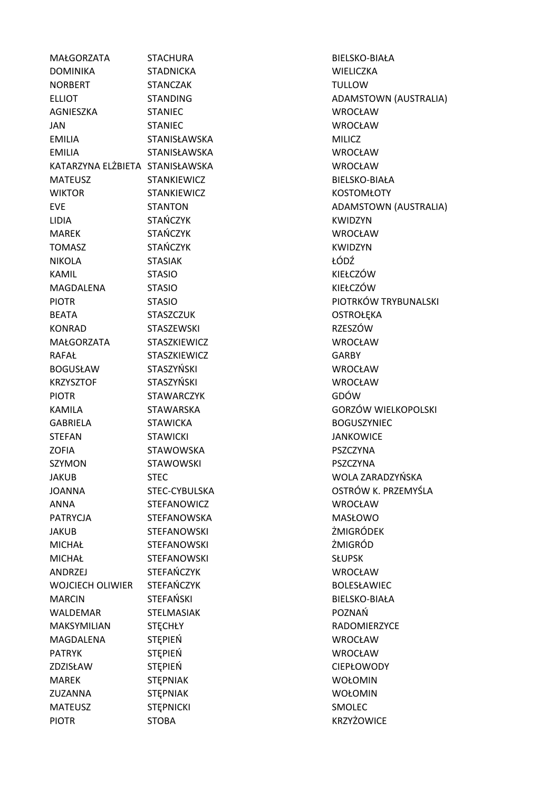MAŁGORZATA STACHURA BIELSKO-BIAŁA DOMINIKA STADNICKA WIELICZKA NORBERT STANCZAK TULLOW ELLIOT STANDING STANDING ADAMSTOWN (AUSTRALIA) AGNIESZKA STANIEC WROCŁAW JAN STANIEC WROCŁAW EMILIA STANISŁAWSKA MILICZ EMILIA STANISŁAWSKA WROCŁAW KATARZYNA ELŻBIETA STANISŁAWSKA WROCŁAW MATEUSZ STANKIEWICZ BIELSKO-BIAŁA WIKTOR STANKIEWICZ KOSTOMŁOTY EVE STANTON STANTON ADAMSTOWN (AUSTRALIA) LIDIA STAŃCZYK KWIDZYN MAREK STAŃCZYK WROCŁAW TOMASZ STAŃCZYK KWIDZYN NIKOLA STASIAK ŁÓDŹ KAMIL STASIO KIEŁCZÓW MAGDALENA STASIO KIEŁCZÓW PIOTR STASIO PIOTRKÓW TRYBUNALSKI BEATA STASZCZUK OSTROŁEKA KONRAD STASZEWSKI START STASZEWSKI STASZÓW MAŁGORZATA STASZKIEWICZ WROCŁAW RAFAŁ STASZKIEWICZ GARBY BOGUSŁAW STASZYŃSKI WROCŁAW KRZYSZTOF STASZYŃSKI WROCŁAW PIOTR STAWARCZYK GDÓW KAMILA STAWARSKA GORZÓW WIELKOPOLSKI GABRIELA STAWICKA BOGUSZYNIEC STEFAN STAWICKI STAWICKI JANKOWICE ZOFIA STAWOWSKA PSZCZYNA SZYMON STAWOWSKI PSZCZYNA JAKUB STEC WOLA ZARADZYŃSKA JOANNA STEC-CYBULSKA OSTRÓW K. PRZEMYŚLA ANNA STEFANOWICZ WROCŁAW PATRYCJA STEFANOWSKA MASŁOWO JAKUB STEFANOWSKI ŻMIGRÓDEK MICHAŁ STEFANOWSKI ŻMIGRÓD MICHAŁ STEFANOWSKI SŁUPSK ANDRZEJ STEFAŃCZYK WROCŁAW WOJCIECH OLIWIER STEFAŃCZYK **BOLESŁAWIEC** MARCIN STEFAŃSKI BIELSKO-BIAŁA WALDEMAR STELMASIAK POZNAŃ MAKSYMILIAN STĘCHŁY RADOMIERZYCE MAGDALENA STĘPIEŃ WROCŁAW PATRYK STĘPIEŃ STEPIEŃ WROCŁAW ZDZISŁAW STEPIEŃ CIEPŁOWODY MAREK STĘPNIAK WOŁOMIN ZUZANNA STĘPNIAK WOŁOMIN MATEUSZ STEPNICKI STEPNICKI SMOLEC PIOTR STOBA STOBA KRZYŻOWICE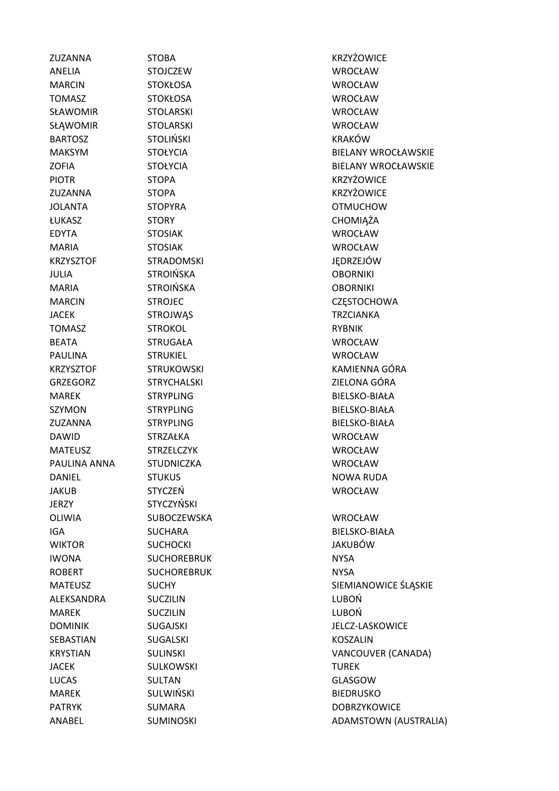ANELIA STOJCZEW WROCŁAW MARCIN STOKŁOSA WROCŁAW TOMASZ STOKŁOSA WROCŁAW SŁAWOMIR STOLARSKI WROCŁAW SŁĄWOMIR STOLARSKI WROCŁAW BARTOSZ STOLIŃSKI KRAKÓW PIOTR STOPA STOPA KRZYŻOWICE ZUZANNA STOPA KRZYŻOWICE JOLANTA STOPYRA OTMUCHOW ŁUKASZ STORY CHOMIĄŻA EDYTA STOSIAK WROCŁAW MARIA STOSIAK WROCŁAW KRZYSZTOF STRADOMSKI JĘDRZEJÓW JULIA STROIŃSKA OBORNIKI MARIA STROIŃSKA OBORNIKI JACEK STROJWĄS TRZCIANKA TOMASZ STROKOL STROKOL RYBNIK BEATA STRUGAŁA WROCŁAW PAULINA STRUKIEL WROCŁAW MAREK STRYPLING BIELSKO-BIAŁA SZYMON STRYPLING BIELSKO-BIAŁA ZUZANNA STRYPLING BIELSKO-BIAŁA DAWID STRZAŁKA WROCŁAW MATEUSZ STRZELCZYK WROCŁAW PAULINA ANNA STUDNICZKA WROCŁAW DANIEL STUKUS STUKUS STUKUS NOWA RUDA JAKUB STYCZEŃ WROCŁAW JERZY STYCZYŃSKI OLIWIA SUBOCZEWSKA WROCŁAW IGA SUCHARA BIELSKO-BIAŁA WIKTOR SUCHOCKI JAKUBÓW IWONA SUCHOREBRUK NYSA ROBERT SUCHOREBRUK NYSA ALEKSANDRA SUCZILIN LUBOŃ MAREK SUCZILIN SUMMAREK LUBOŃ SEBASTIAN SUGALSKI KOSZALIN JACEK SULKOWSKI TUREK LUCAS SULTAN GLASGOW MAREK SULWIŃSKI BIEDRUSKO

ZUZANNA STOBA KRZYŻOWICE MAKSYM STOŁYCIA STOŁYCIA BIELANY WROCŁAWSKIE ZOFIA STOŁYCIA BIELANY WROCŁAWSKIE MARCIN STROJEC STROJEC STROJECTES STROJECTES STROJECTES STROJECTES STROJECTES STROJECTES STROJECTES STROJECTES KRZYSZTOF STRUKOWSKI STRUKOWSKI KAMIENNA GÓRA GRZEGORZ STRYCHALSKI ZIELONA GÓRA MATEUSZ SUCHY SUCHY SIEMIANOWICE ŚLĄSKIE DOMINIK SUGAJSKI SUGAJSKI SUGAJ SUGAJ SA SARA SUGAJ SUGAJ SA SARA JELCZ-LASKOWICE KRYSTIAN SULINSKI VANCOUVER (CANADA) PATRYK SUMARA SUMARA DOBRZYKOWICE ANABEL SUMINOSKI ADAMSTOWN (AUSTRALIA)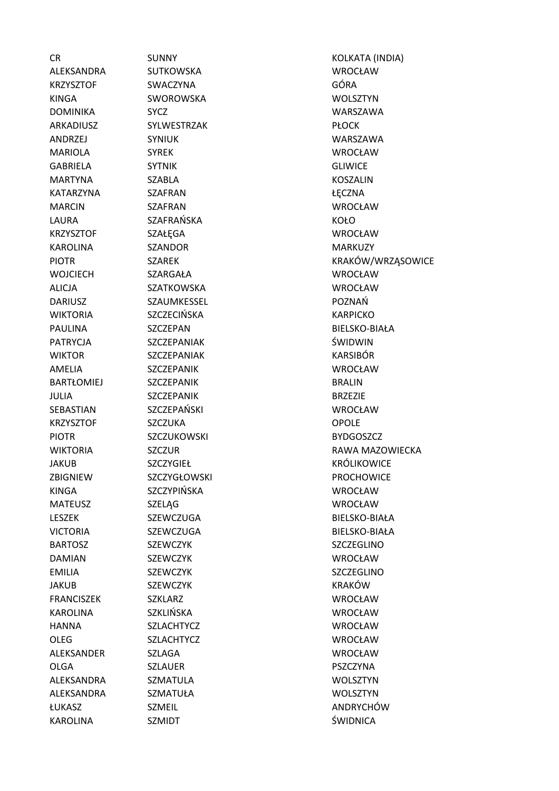KAROLINA SZMIDT SZMIDT SZMIDNICA

ALEKSANDRA SUTKOWSKA WROCŁAW KRZYSZTOF SWACZYNA GÓRA KINGA SWOROWSKA WOLSZTYN DOMINIKA SYCZ WARSZAWA ARKADIUSZ SYLWESTRZAK PŁOCK ANDRZEJ SYNIUK WARSZAWA MARIOLA SYREK WROCŁAW GABRIELA SYTNIK GLIWICE MARTYNA SZABLA KOSZALIN KATARZYNA SZAFRAN **zamoratów szamoratów (zm. 1988)** MARCIN SZAFRAN WROCŁAW LAURA SZAFRAŃSKA KOŁO KRZYSZTOF SZAŁĘGA WROCŁAW KAROLINA SZANDOR MARKUZY WOJCIECH SZARGAŁA WROCŁAW ALICJA SZATKOWSKA WROCŁAW DARIUSZ SZAUMKESSEL POZNAŃ WIKTORIA SZCZECIŃSKA KARPICKO PATRYCJA SZCZEPANIAK ŚWIDWIN WIKTOR SZCZEPANIAK KARSIBÓR AMELIA SZCZEPANIK WROCŁAW BARTŁOMIEJ SZCZEPANIK **BRALIN** JULIA SZCZEPANIK BRZEZIE SEBASTIAN SZCZEPAŃSKI WROCŁAW KRZYSZTOF SZCZUKA OPOLE PIOTR SZCZUKOWSKI BYDGOSZCZ KINGA SZCZYPIŃSKA WROCŁAW MATEUSZ SZELĄG WROCŁAW BARTOSZ SZEWCZYK SZEWEZYK SZCZEGLINO DAMIAN SZEWCZYK WROCŁAW EMILIA SZEWCZYK SZEWCZYK SZCZEGLINO JAKUB SZEWCZYK KRAKÓW FRANCISZEK SZKLARZ WROCŁAW KAROLINA SZKLIŃSKA WROCŁAW HANNA SZLACHTYCZ WROCŁAW OLEG SZLACHTYCZ WROCŁAW ALEKSANDER SZLAGA WROCŁAW OLGA SZLAUER PSZCZYNA ALEKSANDRA SZMATULA WOLSZTYN ALEKSANDRA SZMATUŁA WOLSZTYN ŁUKASZ SZMEIL ANDRYCHÓW

CR SUNNY KOLKATA (INDIA) PIOTR SZAREK SZÁREK KRAKÓW/WRZĄSOWICE PAULINA SZCZEPAN BIELSKO-BIAŁA WIKTORIA SZCZUR SZCZUR RAWA MAZOWIECKA JAKUB SZCZYGIEŁ KRÓLIKOWICE ZBIGNIEW SZCZYGŁOWSKI PROCHOWICE LESZEK SZEWCZUGA BIELSKO-BIAŁA VICTORIA SZEWCZUGA BIELSKO-BIAŁA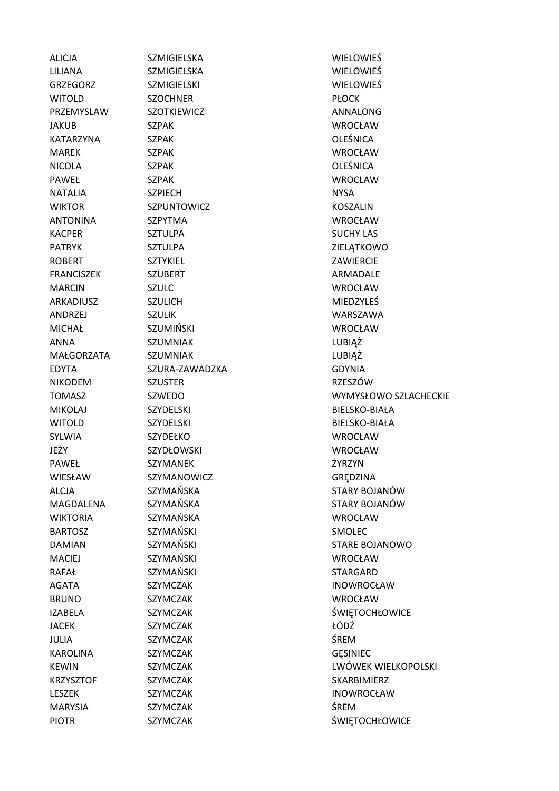| <b>ALICJA</b>     | SZMIGIELSKA        | WIELOWIEŚ             |
|-------------------|--------------------|-----------------------|
| LILIANA           | <b>SZMIGIELSKA</b> | <b>WIELOWIEŚ</b>      |
| <b>GRZEGORZ</b>   | <b>SZMIGIELSKI</b> | <b>WIELOWIEŚ</b>      |
| <b>WITOLD</b>     | <b>SZOCHNER</b>    | <b>PŁOCK</b>          |
| PRZEMYSLAW        | <b>SZOTKIEWICZ</b> | ANNALONG              |
| <b>JAKUB</b>      | <b>SZPAK</b>       | <b>WROCŁAW</b>        |
| KATARZYNA         | <b>SZPAK</b>       | <b>OLEŚNICA</b>       |
| <b>MAREK</b>      | <b>SZPAK</b>       | <b>WROCŁAW</b>        |
| <b>NICOLA</b>     | <b>SZPAK</b>       | <b>OLEŚNICA</b>       |
| <b>PAWEŁ</b>      | <b>SZPAK</b>       | <b>WROCŁAW</b>        |
| <b>NATALIA</b>    | <b>SZPIECH</b>     | <b>NYSA</b>           |
| <b>WIKTOR</b>     | SZPUNTOWICZ        | <b>KOSZALIN</b>       |
| <b>ANTONINA</b>   | <b>SZPYTMA</b>     | WROCŁAW               |
| <b>KACPER</b>     | <b>SZTULPA</b>     | <b>SUCHY LAS</b>      |
| <b>PATRYK</b>     | <b>SZTULPA</b>     | ZIELĄTKOWO            |
| <b>ROBERT</b>     | <b>SZTYKIEL</b>    | ZAWIERCIE             |
| <b>FRANCISZEK</b> | <b>SZUBERT</b>     | ARMADALE              |
| <b>MARCIN</b>     | <b>SZULC</b>       | WROCŁAW               |
| ARKADIUSZ         | <b>SZULICH</b>     | MIEDZYLEŚ             |
| ANDRZEJ           | <b>SZULIK</b>      | WARSZAWA              |
| <b>MICHAŁ</b>     | SZUMIŃSKI          | WROCŁAW               |
| <b>ANNA</b>       | <b>SZUMNIAK</b>    | LUBIĄŻ                |
| MAŁGORZATA        | <b>SZUMNIAK</b>    | LUBIĄŻ                |
| <b>EDYTA</b>      | SZURA-ZAWADZKA     | <b>GDYNIA</b>         |
| <b>NIKODEM</b>    | <b>SZUSTER</b>     | <b>RZESZÓW</b>        |
| <b>TOMASZ</b>     | SZWEDO             | WYMYSŁOWO SZLACHECKIE |
| <b>MIKOLAJ</b>    | <b>SZYDELSKI</b>   | BIELSKO-BIAŁA         |
| <b>WITOLD</b>     | <b>SZYDELSKI</b>   | BIELSKO-BIAŁA         |
| <b>SYLWIA</b>     | <b>SZYDEŁKO</b>    | WROCŁAW               |
| JEŻY              | SZYDŁOWSKI         | <b>WROCŁAW</b>        |
| PAWEŁ             | SZYMANEK           | ŻYRZYN                |
| <b>WIESŁAW</b>    | SZYMANOWICZ        | GRĘDZINA              |
| ALCJA             | SZYMAŃSKA          | STARY BOJANÓW         |
| MAGDALENA         | SZYMAŃSKA          | STARY BOJANÓW         |
| <b>WIKTORIA</b>   | SZYMAŃSKA          | <b>WROCŁAW</b>        |
| <b>BARTOSZ</b>    | <b>SZYMAŃSKI</b>   | <b>SMOLEC</b>         |
| <b>DAMIAN</b>     | SZYMAŃSKI          | <b>STARE BOJANOWO</b> |
| <b>MACIEJ</b>     | <b>SZYMAŃSKI</b>   | <b>WROCŁAW</b>        |
| <b>RAFAŁ</b>      | <b>SZYMAŃSKI</b>   | <b>STARGARD</b>       |
| <b>AGATA</b>      | <b>SZYMCZAK</b>    | <b>INOWROCŁAW</b>     |
| <b>BRUNO</b>      | <b>SZYMCZAK</b>    | WROCŁAW               |
| <b>IZABELA</b>    | SZYMCZAK           | ŚWIĘTOCHŁOWICE        |
| <b>JACEK</b>      | SZYMCZAK           | ŁÓDŹ                  |
| <b>JULIA</b>      | <b>SZYMCZAK</b>    | <b>ŚREM</b>           |
| <b>KAROLINA</b>   | <b>SZYMCZAK</b>    | <b>GESINIEC</b>       |
| <b>KEWIN</b>      | <b>SZYMCZAK</b>    | LWÓWEK WIELKOPOLSKI   |
| <b>KRZYSZTOF</b>  | SZYMCZAK           | SKARBIMIERZ           |
| <b>LESZEK</b>     | <b>SZYMCZAK</b>    | <b>INOWROCŁAW</b>     |
| <b>MARYSIA</b>    | <b>SZYMCZAK</b>    | ŚREM                  |
| <b>PIOTR</b>      | SZYMCZAK           | ŚWIĘTOCHŁOWICE        |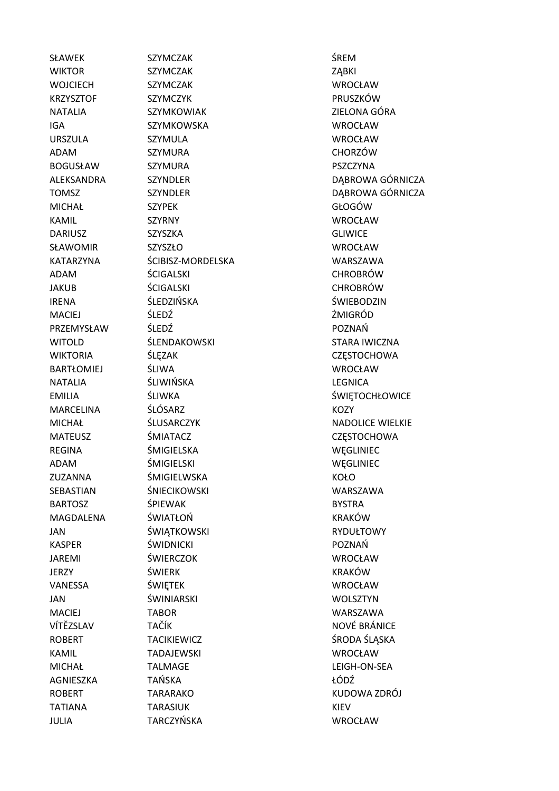JULIA TARCZYŃSKA WROCŁAW

SŁAWEK SZYMCZAK SZYMERAK ŚREM WIKTOR SZYMCZAK ZABKI WOJCIECH SZYMCZAK WROCŁAW KRZYSZTOF SZYMCZYK PRUSZKÓW NATALIA SZYMKOWIAK ZIELONA GÓRA IGA SZYMKOWSKA WROCŁAW URSZULA SZYMULA WROCŁAW ADAM SZYMURA CHORZÓW BOGUSŁAW SZYMURA PSZCZYNA MICHAŁ SZYPEK GŁOGÓW KAMIL SZYRNY WROCŁAW DARIUSZ SZYSZKA GLIWICE SŁAWOMIR SZYSZŁO WROCŁAW KATARZYNA ŚCIBISZ-MORDELSKA WARSZAWA ADAM ŚCIGALSKI CHROBRÓW JAKUB ŚCIGALSKI CHROBRÓW IRENA ŚLEDZIŃSKA ŚWIEBODZIN MACIEJ ŚLEDŹ ŻMIGRÓD PRZEMYSŁAW ŚLEDŹ POZNAŃ WITOLD SLENDAKOWSKI STARA IWICZNA WIKTORIA ŚLEZAK CZESTOCHOWA BARTŁOMIEJ ŚLIWA WROCŁAW NATALIA ŚLIWIŃSKA LEGNICA MARCELINA ŚLÓSARZ KOZY MATEUSZ ŚMIATACZ CZĘSTOCHOWA REGINA ŚMIGIELSKA WĘGLINIEC ADAM ŚMIGIELSKI WĘGLINIEC ZUZANNA ŚMIGIELWSKA KOŁO SEBASTIAN ŚNIECIKOWSKI WARSZAWA BARTOSZ ŚPIEWAK **BARTOSZ ŚPIEWAK SZCZESNI** BYSTRA MAGDALENA ŚWIATŁOŃ KRAKÓW JAN ŚWIATKOWSKI RYDUŁTOWY KASPER ŚWIDNICKI POZNAŃ JAREMI ŚWIERCZOK WROCŁAW JERZY ŚWIERK KRAKÓW VANESSA ŚWIĘTEK WROCŁAW JAN ŚWINIARSKI WOLSZTYN MACIEJ TABOR WARSZAWA VÍTĚZSLAV TAČÍK NOVÉ BRÁNICE ROBERT TACIKIEWICZ ŚRODA ŚLĄSKA KAMIL TADAJEWSKI WROCŁAW MICHAŁ TALMAGE LEIGH-ON-SEA AGNIESZKA TAŃSKA ŁÓDŹ ROBERT TARARAKO KUDOWA ZDRÓJ TATIANA TARASIUK **KIEV** KIEV

ALEKSANDRA SZYNDLER DABROWA GÓRNICZA TOMSZ SZYNDLER DABROWA GÓRNICZA EMILIA ŚLIWKA ŚLIWKA ŚWIĘTOCHŁOWICE MICHAŁ ŚLUSARCZYK NADOLICE WIELKIE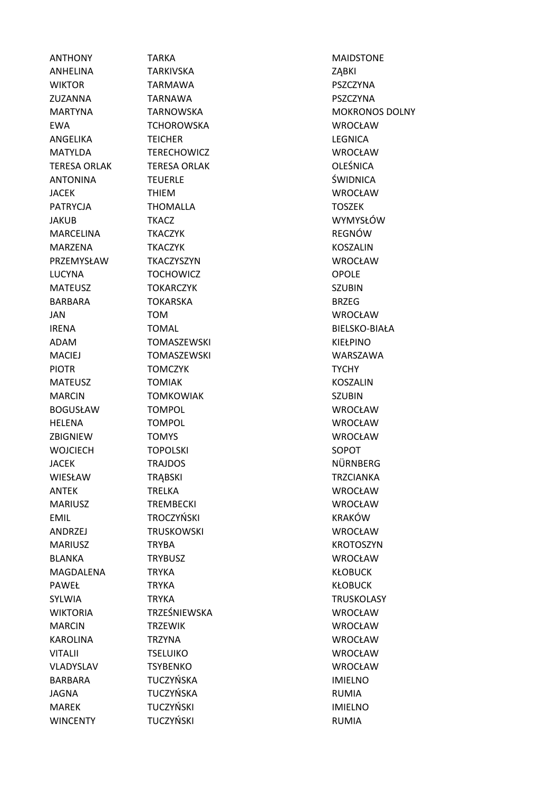WINCENTY TUCZYŃSKI WINCENTY RUMIA

ANTHONY TARKA MAIDSTONE ANHELINA TARKIVSKA ZABKI WIKTOR TARMAWA PSZCZYNA ZUZANNA TARNAWA PSZCZYNA EWA TCHOROWSKA WROCŁAW ANGELIKA TEICHER LEGNICA MATYLDA TERECHOWICZ WROCŁAW TERESA ORLAK TERESA ORLAK OLEŚNICA ANTONINA TEUERLE ŚWIDNICA JACEK THIEM WROCŁAW PATRYCJA THOMALLA TOSZEK JAKUB TKACZ WYMYSŁÓW MARCELINA TKACZYK REGNÓW MARZENA TKACZYK KOSZALIN PRZEMYSŁAW TKACZYSZYN WROCŁAW LUCYNA TOCHOWICZ OPOLE MATEUSZ TOKARCZYK SZUBIN BARBARA TOKARSKA BRZEG JAN TOM WROCŁAW IRENA TOMAL BIELSKO-BIAŁA ADAM TOMASZEWSKI KIEŁPINO MACIEJ TOMASZEWSKI WARSZAWA PIOTR TOMCZYK TOWN TYCHY MATEUSZ TOMIAK KOSZALIN MARCIN TOMKOWIAK SZUBIN BOGUSŁAW TOMPOL WROCŁAW HELENA TOMPOL WROCŁAW ZBIGNIEW TOMYS WROCŁAW WOJCIECH TOPOLSKI SOPOT JACEK TRAJDOS NÜRNBERG WIESŁAW TRĄBSKI TRODATY TRZCIANKA ANTEK TRELKA WROCŁAW MARIUSZ TREMBECKI WROCŁAW EMIL TROCZYŃSKI KRAKÓW ANDRZEJ TRUSKOWSKI WROCŁAW MARIUSZ TRYBA KROTOSZYN BLANKA TRYBUSZ WROCŁAW MAGDALENA TRYKA KŁOBUCK PAWEŁ TRYKA KŁOBUCK SYLWIA TRYKA TRYKA TROSKOLASY WIKTORIA TRZEŚNIEWSKA WROCŁAW MARCIN TRZEWIK WROCŁAW KAROLINA TRZYNA WROCŁAW VITALII TSELUIKO WROCŁAW VLADYSLAV TSYBENKO WROCŁAW BARBARA TUCZYŃSKA IMIELNO JAGNA TUCZYŃSKA RUMIA MAREK TUCZYŃSKI IMIELNO

MARTYNA TARNOWSKA MOKRONOS DOLNY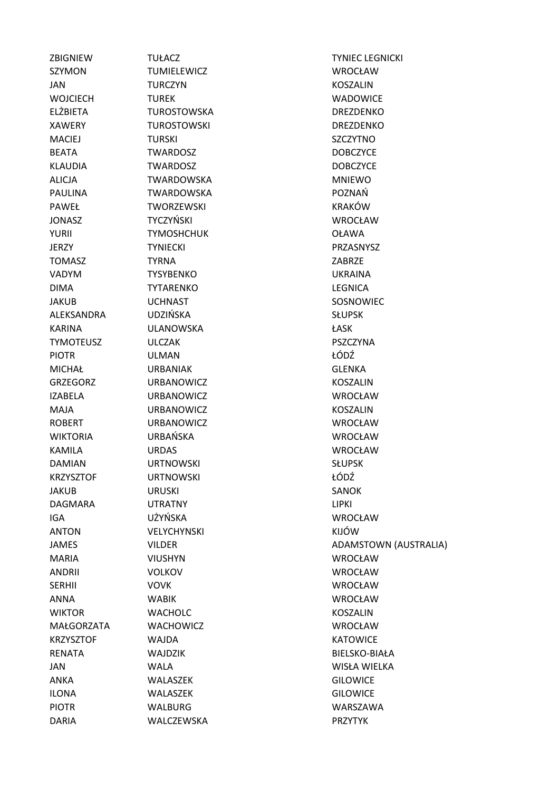SZYMON TUMIELEWICZ WROCŁAW JAN TURCZYN KOSZALIN WOJCIECH TUREK TWO WADOWICE ELŻBIETA TUROSTOWSKA DREZDENKO XAWERY TUROSTOWSKI DREZDENKO MACIEJ TURSKI SZCZYTNO BEATA TWARDOSZ DOBCZYCE KLAUDIA TWARDOSZ DOBCZYCE ALICJA TWARDOWSKA MNIEWO PAULINA TWARDOWSKA POZNAŃ PAWEŁ TWORZEWSKI KRAKÓW JONASZ TYCZYŃSKI WROCŁAW YURII TYMOSHCHUK OŁAWA JERZY TYNIECKI PRZASNYSZ TOMASZ TYRNA ZABRZE VADYM TYSYBENKO UKRAINA DIMA TYTARENKO LEGNICA JAKUB UCHNAST SOSNOWIEC ALEKSANDRA UDZIŃSKA SŁUPSK KARINA ULANOWSKA ŁASK TYMOTEUSZ ULCZAK PSZCZYNA PIOTR ULMAN ŁÓDŹ MICHAŁ URBANIAK GLENKA GRZEGORZ URBANOWICZ KOSZALIN IZABELA URBANOWICZ WROCŁAW MAJA URBANOWICZ KOSZALIN ROBERT URBANOWICZ WROCŁAW WIKTORIA URBAŃSKA WROCŁAW KAMILA URDAS WROCŁAW DAMIAN URTNOWSKI SŁUPSK KRZYSZTOF URTNOWSKI *kodź* JAKUB URUSKI SANOK DAGMARA UTRATNY LIPKI IGA UŻYŃSKA WROCŁAW ANTON VELYCHYNSKI KIJÓW MARIA VIUSHYN WROCŁAW ANDRII VOLKOV WROCŁAW SERHII VOVK WROCŁAW ANNA WABIK WROCŁAW WIKTOR WACHOLC KOSZALIN MAŁGORZATA WACHOWICZ WROCŁAW KRZYSZTOF WAJDA KATOWICE RENATA WAJDZIK BIELSKO-BIAŁA JAN WALA WISŁA WIELKA ANKA WALASZEK GILOWICE ILONA WALASZEK GILOWICE PIOTR WALBURG WARSZAWA

ZBIGNIEW TUŁACZ TYNIEC LEGNICKI JAMES VILDER **VILDER** ADAMSTOWN (AUSTRALIA) DARIA WALCZEWSKA PRZYTYK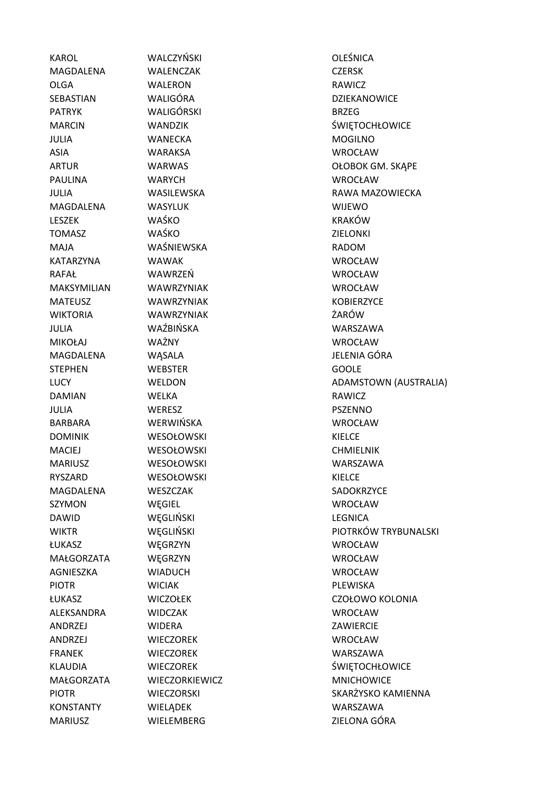MAGDALENA WALENCZAK CZERSK OLGA WALERON RAWICZ SEBASTIAN WALIGÓRA DZIEKANOWICE PATRYK WALIGÓRSKI BRZEG JULIA WANECKA MOGILNO ASIA WARAKSA WROCŁAW PAULINA WARYCH WEOCŁAW MAGDALENA WASYLUK WIJEWO LESZEK WAŚKO KRAKÓW TOMASZ WAŚKO ZIELONKI MAJA WAŚNIEWSKA RADOM KATARZYNA WAWAK WROCŁAW RAFAŁ WAWRZEŃ WROCŁAW MAKSYMILIAN WAWRZYNIAK WROCŁAW MATEUSZ WAWRZYNIAK KOBIERZYCE WIKTORIA WAWRZYNIAK ŻARÓW JULIA WAŹBIŃSKA WARSZAWA MIKOŁAJ WAŻNY WROCŁAW MAGDALENA WASALA WASALA JELENIA GÓRA STEPHEN WEBSTER GOOLE DAMIAN WELKA WELKA RAWICZ JULIA WERESZ PSZENNO BARBARA WERWIŃSKA WROCŁAW DOMINIK WESOŁOWSKI KIELCE MACIEJ WESOŁOWSKI CHMIELNIK MARIUSZ WESOŁOWSKI WARSZAWA RYSZARD WESOŁOWSKI KIELCE MAGDALENA WESZCZAK SADOKRZYCE SZYMON WĘGIEL WEGIEL WERD WROCŁAW DAWID WĘGLIŃSKI LEGNICA ŁUKASZ WĘGRZYN WROCŁAW MAŁGORZATA WĘGRZYN WROCŁAW AGNIESZKA WIADUCH WROCŁAW PIOTR WICIAK PLEWISKA ALEKSANDRA WIDCZAK WROCŁAW ANDRZEJ WIDERA ZAWIERCIE ANDRZEJ WIECZOREK WROCŁAW FRANEK WIECZOREK WARSZAWA MAŁGORZATA WIECZORKIEWICZ MNICHOWICE KONSTANTY WIELĄDEK WARSZAWA MARIUSZ WIELEMBERG ZIELONA GÓRA

KAROL WALCZYŃSKI OLEŚNICA

MARCIN WANDZIK ŚWIĘTOCHŁOWICE ARTUR WARWAS WARWAS OŁOBOK GM. SKĄPE JULIA WASILEWSKA RAWA MAZOWIECKA LUCY **WELDON** WELDON ADAMSTOWN (AUSTRALIA) WIKTR WEGLIŃSKI PIOTRKÓW TRYBUNALSKI ŁUKASZ WICZOŁEK CZOŁOWO KOLONIA KLAUDIA WIECZOREK ŚWIETOCHŁOWICE PIOTR WIECZORSKI SKARŻYSKO KAMIENNA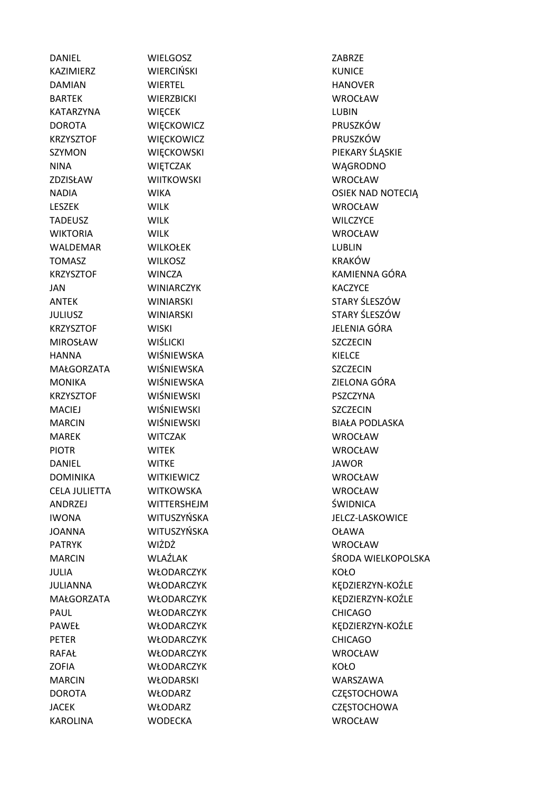DANIEL WIELGOSZ ZABRZE KAZIMIERZ WIERCIŃSKI KUNICE DAMIAN WIERTEL HANOVER BARTEK WIERZBICKI WROCŁAW KATARZYNA WIĘCEK LUBIN DOROTA WIĘCKOWICZ PRUSZKÓW KRZYSZTOF WIECKOWICZ PRUSZKÓW NINA WIĘTCZAK WĄGRODNO ZDZISŁAW WIITKOWSKI WROCŁAW LESZEK WILK WROCŁAW TADEUSZ WILK WILCZYCE WIKTORIA WILK WROCŁAW WALDEMAR WILKOŁEK LUBLIN TOMASZ WILKOSZ KRAKÓW JAN WINIARCZYK KACZYCE KRZYSZTOF WISKI WIELENIA GÓRA MIROSŁAW WIŚLICKI SZCZECIN HANNA WIŚNIEWSKA KIELCE MAŁGORZATA WIŚNIEWSKA Z SZCZECIN MONIKA WIŚNIEWSKA ZIELONA GÓRA KRZYSZTOF WIŚNIEWSKI PSZCZYNA MACIEJ WIŚNIEWSKI SZCZECIN MAREK WITCZAK WROCŁAW PIOTR WITEK WROCŁAW DANIEL WITKE JAWOR DOMINIKA WITKIEWICZ WROCŁAW CELA JULIETTA WITKOWSKA WROCŁAW ANDRZEJ WITTERSHEJM ŚWIDNICA JOANNA WITUSZYŃSKA OŁAWA PATRYK WIŻDŻ WROCŁAW JULIA WŁODARCZYK KOŁO PAUL WŁODARCZYK CHICAGO PETER WŁODARCZYK CHICAGO RAFAŁ WŁODARCZYK WROCŁAW ZOFIA WŁODARCZYK KOŁO MARCIN WŁODARSKI WARSZAWA DOROTA WŁODARZ CZĘSTOCHOWA JACEK WŁODARZ CZESTOCHOWA

SZYMON WIĘCKOWSKI PIEKARY ŚLĄSKIE NADIA WIKA OSIEK NAD NOTECIĄ KRZYSZTOF WINCZA KAMIENNA GÓRA ANTEK WINIARSKI STARY ŚLESZÓW JULIUSZ WINIARSKI STARY ŚLESZÓW MARCIN WIŚNIEWSKI BIAŁA PODLASKA IWONA WITUSZYŃSKA JELCZ-LASKOWICE MARCIN WLAŹLAK ŚRODA WIELKOPOLSKA JULIANNA WŁODARCZYK KĘDZIERZYN-KOŹLE MAŁGORZATA WŁODARCZYK KEDZIERZYN-KOŹLE PAWEŁ WŁODARCZYK KĘDZIERZYN-KOŹLE KAROLINA WODECKA WROCŁAW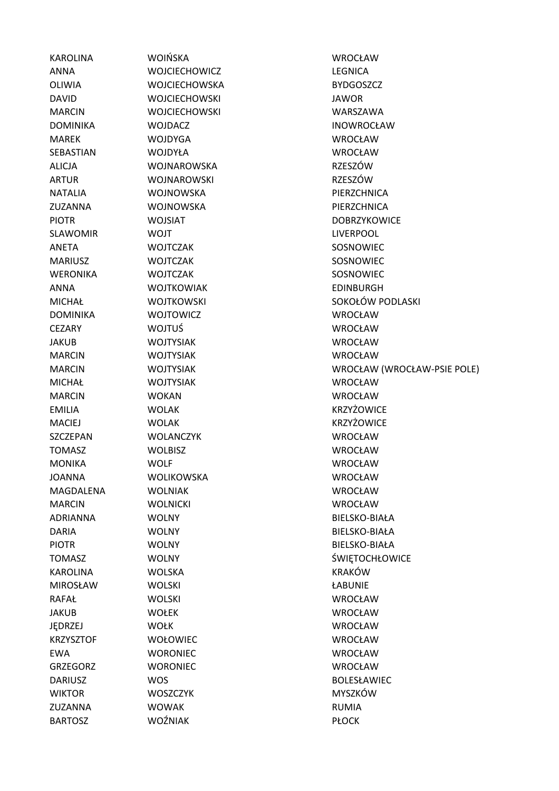| <b>KAROLINA</b>  | <b>WOIŃSKA</b>       | <b>WROCŁAW</b>              |
|------------------|----------------------|-----------------------------|
| <b>ANNA</b>      | <b>WOJCIECHOWICZ</b> | <b>LEGNICA</b>              |
| <b>OLIWIA</b>    | <b>WOJCIECHOWSKA</b> | <b>BYDGOSZCZ</b>            |
| <b>DAVID</b>     | <b>WOJCIECHOWSKI</b> | <b>JAWOR</b>                |
| <b>MARCIN</b>    | <b>WOJCIECHOWSKI</b> | WARSZAWA                    |
| <b>DOMINIKA</b>  | <b>WOJDACZ</b>       | <b>INOWROCŁAW</b>           |
| <b>MAREK</b>     | <b>WOJDYGA</b>       | <b>WROCŁAW</b>              |
| SEBASTIAN        | WOJDYŁA              | <b>WROCŁAW</b>              |
| <b>ALICJA</b>    | <b>WOJNAROWSKA</b>   | <b>RZESZÓW</b>              |
| <b>ARTUR</b>     | WOJNAROWSKI          | <b>RZESZÓW</b>              |
| <b>NATALIA</b>   | <b>WOJNOWSKA</b>     | PIERZCHNICA                 |
| ZUZANNA          | <b>WOJNOWSKA</b>     | PIERZCHNICA                 |
| <b>PIOTR</b>     | <b>WOJSIAT</b>       | <b>DOBRZYKOWICE</b>         |
| <b>SLAWOMIR</b>  | <b>WOJT</b>          | <b>LIVERPOOL</b>            |
| <b>ANETA</b>     | <b>WOJTCZAK</b>      | SOSNOWIEC                   |
| <b>MARIUSZ</b>   | <b>WOJTCZAK</b>      | SOSNOWIEC                   |
| <b>WERONIKA</b>  | <b>WOJTCZAK</b>      | SOSNOWIEC                   |
| <b>ANNA</b>      | <b>WOJTKOWIAK</b>    | <b>EDINBURGH</b>            |
| <b>MICHAŁ</b>    | <b>WOJTKOWSKI</b>    | SOKOŁÓW PODLASKI            |
| <b>DOMINIKA</b>  | <b>WOJTOWICZ</b>     | <b>WROCŁAW</b>              |
| <b>CEZARY</b>    | <b>WOJTUŚ</b>        | <b>WROCŁAW</b>              |
| <b>JAKUB</b>     | <b>WOJTYSIAK</b>     | <b>WROCŁAW</b>              |
| <b>MARCIN</b>    | <b>WOJTYSIAK</b>     | <b>WROCŁAW</b>              |
| <b>MARCIN</b>    | <b>WOJTYSIAK</b>     | WROCŁAW (WROCŁAW-PSIE POLE) |
| <b>MICHAŁ</b>    | <b>WOJTYSIAK</b>     | <b>WROCŁAW</b>              |
| <b>MARCIN</b>    | <b>WOKAN</b>         | <b>WROCŁAW</b>              |
| <b>EMILIA</b>    | <b>WOLAK</b>         | <b>KRZYŻOWICE</b>           |
| <b>MACIEJ</b>    | <b>WOLAK</b>         | KRZYŻOWICE                  |
| SZCZEPAN         | <b>WOLANCZYK</b>     | <b>WROCŁAW</b>              |
| <b>TOMASZ</b>    | <b>WOLBISZ</b>       | <b>WROCŁAW</b>              |
| <b>MONIKA</b>    | <b>WOLF</b>          | WROCŁAW                     |
| <b>JOANNA</b>    | WOLIKOWSKA           | <b>WROCŁAW</b>              |
| MAGDALENA        | <b>WOLNIAK</b>       | <b>WROCŁAW</b>              |
| <b>MARCIN</b>    | <b>WOLNICKI</b>      | <b>WROCŁAW</b>              |
| <b>ADRIANNA</b>  | <b>WOLNY</b>         | <b>BIELSKO-BIAŁA</b>        |
| <b>DARIA</b>     | <b>WOLNY</b>         | <b>BIELSKO-BIAŁA</b>        |
| <b>PIOTR</b>     | <b>WOLNY</b>         | <b>BIELSKO-BIAŁA</b>        |
| <b>TOMASZ</b>    | <b>WOLNY</b>         | <b>ŚWIĘTOCHŁOWICE</b>       |
| <b>KAROLINA</b>  | <b>WOLSKA</b>        | <b>KRAKÓW</b>               |
| <b>MIROSŁAW</b>  | <b>WOLSKI</b>        | ŁABUNIE                     |
| RAFAŁ            | <b>WOLSKI</b>        | <b>WROCŁAW</b>              |
| <b>JAKUB</b>     | <b>WOŁEK</b>         | <b>WROCŁAW</b>              |
| JĘDRZEJ          | <b>WOŁK</b>          | <b>WROCŁAW</b>              |
| <b>KRZYSZTOF</b> | WOŁOWIEC             | <b>WROCŁAW</b>              |
| <b>EWA</b>       | <b>WORONIEC</b>      | WROCŁAW                     |
| <b>GRZEGORZ</b>  | <b>WORONIEC</b>      | <b>WROCŁAW</b>              |
| <b>DARIUSZ</b>   | <b>WOS</b>           | <b>BOLESŁAWIEC</b>          |
| <b>WIKTOR</b>    | <b>WOSZCZYK</b>      | MYSZKÓW                     |
| ZUZANNA          | <b>WOWAK</b>         | <b>RUMIA</b>                |
| <b>BARTOSZ</b>   | <b>WOŹNIAK</b>       | <b>PŁOCK</b>                |
|                  |                      |                             |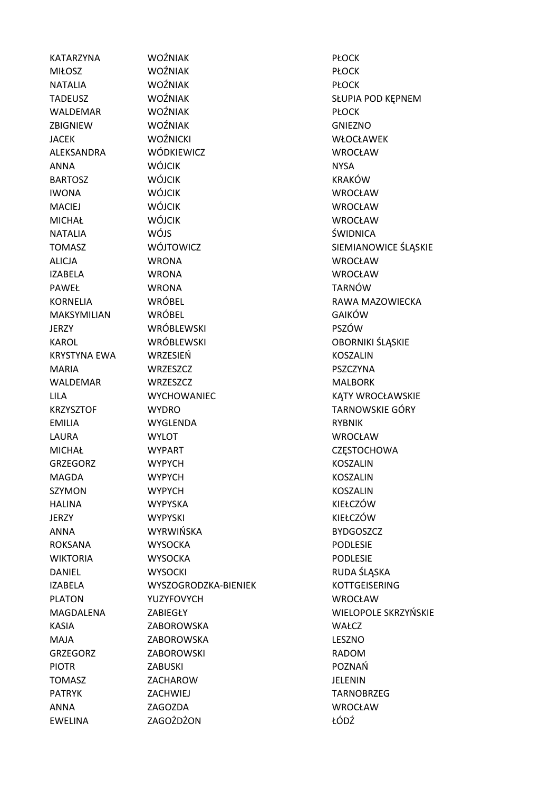EWELINA ZAGOŻDŻON ŁÓDŹ

KATARZYNA WOŹNIAK PŁOCK MIŁOSZ WOŹNIAK PŁOCK NATALIA WOŹNIAK PŁOCK WALDEMAR WOŹNIAK PŁOCK ZBIGNIEW WOŹNIAK GNIEZNO JACEK WOŹNICKI WOŻENICKI WŁOCŁAWEK ALEKSANDRA WÓDKIEWICZ WROCŁAW ANNA WÓJCIK NYSA BARTOSZ WÓJCIK KRAKÓW IWONA WÓJCIK WROCŁAW MACIEJ WÓJCIK WROCŁAW MICHAŁ WÓJCIK WROCŁAW NATALIA WÓJS ŚWIDNICA ALICJA WRONA WROCŁAW IZABELA WRONA WROCŁAW PAWEŁ WRONA TARNÓW MAKSYMILIAN WRÓBEL GAIKÓW JERZY WRÓBLEWSKI PSZÓW KAROL WRÓBLEWSKI OBORNIKI ŚLĄSKIE KRYSTYNA EWA WRZESIEŃ KOSZALIN MARIA WRZESZCZ PSZCZYNA WALDEMAR WRZESZCZ MALBORK EMILIA WYGLENDA RYBNIK LAURA WYLOT WROCŁAW MICHAŁ WYPART CZESTOCHOWA GRZEGORZ WYPYCH KOSZALIN MAGDA WYPYCH KOSZALIN SZYMON WYPYCH **WYPYCH KOSZALIN** HALINA WYPYSKA KIEŁCZÓW JERZY WYPYSKI KIEŁCZÓW ANNA WYRWIŃSKA BYDGOSZCZ ROKSANA WYSOCKA PODLESIE WIKTORIA WYSOCKA PODLESIE DANIEL WYSOCKI RUDA ŚLĄSKA IZABELA WYSZOGRODZKA-BIENIEK KOTTGEISERING PLATON YUZYFOVYCH WROCŁAW KASIA ZABOROWSKA WAŁCZ MAJA ZABOROWSKA LESZNO GRZEGORZ ZABOROWSKI RADOM PIOTR ZABUSKI POZNAŃ TOMASZ ZACHAROW JELENIN PATRYK ZACHWIEJ ZACHWIEJ ZACHWIEJ ZA ZA ZA ZAKOBRZEG ANNA ZAGOZDA WROCŁAW

TADEUSZ WOŹNIAK SŁUPIA POD KĘPNEM TOMASZ WÓJTOWICZ SIEMIANOWICE ŚLĄSKIE KORNELIA WRÓBEL RAWA MAZOWIECKA LILA WYCHOWANIEC KĄTY WROCŁAWSKIE KRZYSZTOF WYDRO TARNOWSKIE GÓRY MAGDALENA ZABIEGŁY WIELOPOLE SKRZYŃSKIE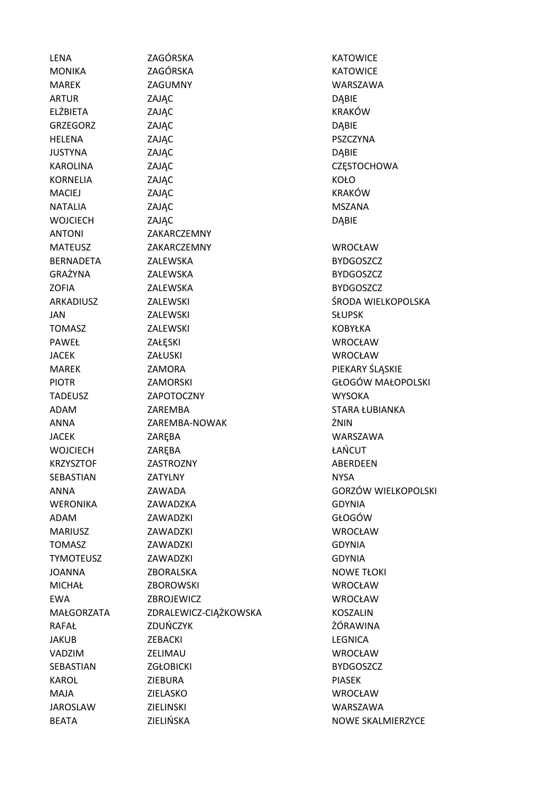LENA ZAGÓRSKA KATOWICE MONIKA ZAGÓRSKA KATOWICE MAREK ZAGUMNY WARSZAWA ARTUR ZAJĄC DĄBIE ELŻBIETA ZAJĄC KRAKÓW GRZEGORZ ZAJĄC ZAJĄC DĄBIE HELENA ZAJĄC PSZCZYNA JUSTYNA ZAJĄC DĄBIE KAROLINA ZAJĄC ZAJĄC ZAJĄC ZESTOCHOWA KORNELIA ZAJĄC KOŁO MACIEJ ZAJĄC KRAKÓW NATALIA ZAJĄC ZAJĄC ZAJĄC MSZANA WOJCIECH ZAJĄC DĄBIE ANTONI ZAKARCZEMNY MATEUSZ ZAKARCZEMNY WROCŁAW BERNADETA ZALEWSKA BYDGOSZCZ GRAŻYNA ZALEWSKA BYDGOSZCZ ZOFIA ZALEWSKA BYDGOSZCZ ARKADIUSZ ZALEWSKI ŚRODA WIELKOPOLSKA JAN ZALEWSKI SŁUPSK TOMASZ ZALEWSKI KOBYŁKA PAWEŁ ZAŁESKI ZAŁESKI WROCŁAW JACEK ZAŁUSKI WROCŁAW MAREK ZAMORA PIEKARY ŚLĄSKIE PIOTR ZAMORSKI GŁOGÓW MAŁOPOLSKI TADEUSZ ZAPOTOCZNY WYSOKA ADAM ZAREMBA STARA ŁUBIANKA ANNA ZAREMBA-NOWAK ŻNIN JACEK ZARĘBA WARSZAWA WOJCIECH ZARĘBA ŁAŃCUT KRZYSZTOF ZASTROZNY ABERDEEN SEBASTIAN ZATYLNY NYSA ANNA ZAWADA GORZÓW WIELKOPOLSKI WERONIKA ZAWADZKA GDYNIA ADAM ZAWADZKI GŁOGÓW MARIUSZ ZAWADZKI WROCŁAW TOMASZ ZAWADZKI GDYNIA TYMOTEUSZ ZAWADZKI GDYNIA JOANNA ZBORALSKA NOWE TŁOKI MICHAŁ ZBOROWSKI WROCŁAW EWA ZBROJEWICZ WROCŁAW MAŁGORZATA ZDRALEWICZ-CIĄŻKOWSKA KOSZALIN RAFAŁ ZDUŃCZYK ŻÓRAWINA JAKUB ZEBACKI LEGNICA VADZIM ZELIMAU WROCŁAW SEBASTIAN ZGŁOBICKI BYDGOSZCZ KAROL ZIEBURA PIASEK MAJA ZIELASKO WROCŁAW JAROSLAW ZIELINSKI WARSZAWA BEATA ZIELIŃSKA NOWE SKALMIERZYCE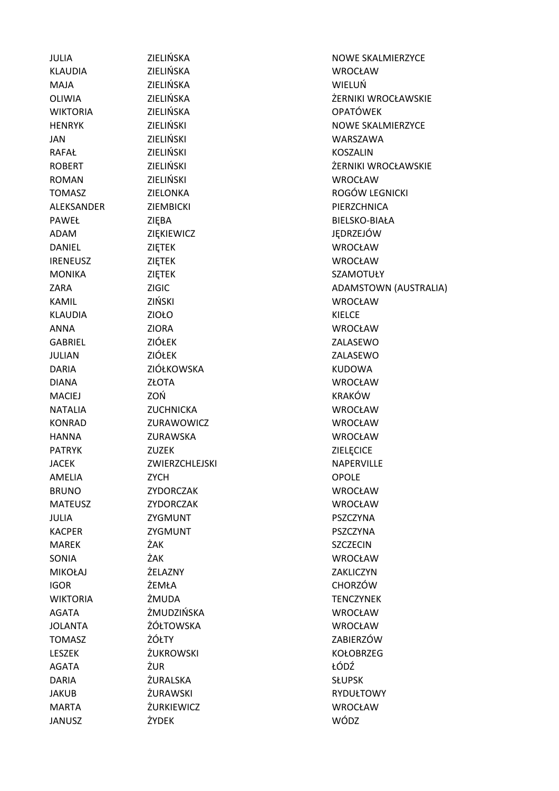JANUSZ ŻYDEK WÓDZ

KLAUDIA ZIELIŃSKA WROCŁAW MAJA ZIELIŃSKA WIELUŃ WIKTORIA ZIELIŃSKA OPATÓWEK JAN ZIELIŃSKI WARSZAWA RAFAŁ ZIELIŃSKI KOSZALIN ROMAN ZIELIŃSKI ZIELIŃSKI WROCŁAW ALEKSANDER ZIEMBICKI PIERZCHNICA PAWEŁ ZIĘBA ZIĘBA BIELSKO-BIAŁA ADAM ZIĘKIEWICZ JĘDRZEJÓW DANIEL ZIĘTEK WROCŁAW IRENEUSZ ZIĘTEK WROCŁAW MONIKA ZIĘTEK SZAMOTUŁY KAMIL ZIŃSKI WROCŁAW KLAUDIA ZIOŁO KIELCE ANNA ZIORA WROCŁAW GABRIEL ZIÓŁEK ZALASEWO JULIAN ZIÓŁEK ZALASEWO DARIA ZIÓŁKOWSKA KUDOWA DIANA ZŁOTA WROCŁAW MACIEJ ZOŃ KRAKÓW NATALIA ZUCHNICKA WROCŁAW KONRAD ZURAWOWICZ WROCŁAW HANNA ZURAWSKA WROCŁAW PATRYK ZUZEK ZIELĘCICE JACEK ZWIERZCHLEJSKI NAPERVILLE AMELIA ZYCH ZYCH OPOLE BRUNO ZYDORCZAK WROCŁAW MATEUSZ ZYDORCZAK WROCŁAW JULIA ZYGMUNT PSZCZYNA KACPER ZYGMUNT PSZCZYNA MAREK ŻAK ŻAK SZCZECIN SONIA ŻAK WROCŁAW MIKOŁAJ ŻELAZNY ZAKLICZYN IGOR ŻEMŁA CHORZÓW WIKTORIA ŻMUDA TENCZYNEK AGATA ŻMUDZIŃSKA WROCŁAW JOLANTA ŻÓŁTOWSKA WROCŁAW TOMASZ ŻÓŁTY ZABIERZÓW LESZEK ŻUKROWSKI KOŁOBRZEG AGATA ŻUR ŁÓDŹ DARIA ŻURALSKA SŁUPSK JAKUB ŻURAWSKI RYDUŁTOWY MARTA ŻURKIEWICZ WROCŁAW

**JULIA CIELIŃSKA ZIELIŃSKA NOWE SKALMIERZYCE** OLIWIA ZIELIŃSKA ŻERNIKI WROCŁAWSKIE HENRYK ZIELIŃSKI NOWE SKALMIERZYCE ROBERT ZIELIŃSKI ŻERNIKI WROCŁAWSKIE TOMASZ ZIELONKA ROGÓW LEGNICKI ZARA ZIGIC ZIGIC ADAMSTOWN (AUSTRALIA)